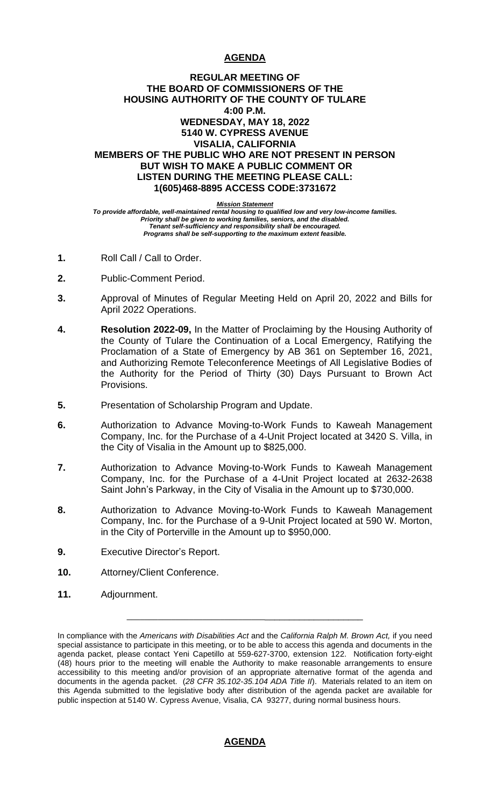# **AGENDA**

## **REGULAR MEETING OF THE BOARD OF COMMISSIONERS OF THE HOUSING AUTHORITY OF THE COUNTY OF TULARE 4:00 P.M. WEDNESDAY, MAY 18, 2022 5140 W. CYPRESS AVENUE VISALIA, CALIFORNIA MEMBERS OF THE PUBLIC WHO ARE NOT PRESENT IN PERSON BUT WISH TO MAKE A PUBLIC COMMENT OR LISTEN DURING THE MEETING PLEASE CALL: 1(605)468-8895 ACCESS CODE:3731672**

*Mission Statement*

*To provide affordable, well-maintained rental housing to qualified low and very low-income families. Priority shall be given to working families, seniors, and the disabled. Tenant self-sufficiency and responsibility shall be encouraged. Programs shall be self-supporting to the maximum extent feasible.*

- **1.** Roll Call / Call to Order.
- **2.** Public-Comment Period.
- **3.** Approval of Minutes of Regular Meeting Held on April 20, 2022 and Bills for April 2022 Operations.
- **4. Resolution 2022-09,** In the Matter of Proclaiming by the Housing Authority of the County of Tulare the Continuation of a Local Emergency, Ratifying the Proclamation of a State of Emergency by AB 361 on September 16, 2021, and Authorizing Remote Teleconference Meetings of All Legislative Bodies of the Authority for the Period of Thirty (30) Days Pursuant to Brown Act Provisions.
- **5.** Presentation of Scholarship Program and Update.
- **6.** Authorization to Advance Moving-to-Work Funds to Kaweah Management Company, Inc. for the Purchase of a 4-Unit Project located at 3420 S. Villa, in the City of Visalia in the Amount up to \$825,000.
- **7.** Authorization to Advance Moving-to-Work Funds to Kaweah Management Company, Inc. for the Purchase of a 4-Unit Project located at 2632-2638 Saint John's Parkway, in the City of Visalia in the Amount up to \$730,000.
- **8.** Authorization to Advance Moving-to-Work Funds to Kaweah Management Company, Inc. for the Purchase of a 9-Unit Project located at 590 W. Morton, in the City of Porterville in the Amount up to \$950,000.
- **9.** Executive Director's Report.
- **10.** Attorney/Client Conference.
- **11.** Adjournment.

\_\_\_\_\_\_\_\_\_\_\_\_\_\_\_\_\_\_\_\_\_\_\_\_\_\_\_\_\_\_\_\_\_\_\_\_\_\_\_\_\_\_\_\_\_\_\_\_\_\_\_

# **AGENDA**

In compliance with the *Americans with Disabilities Act* and the *California Ralph M. Brown Act,* if you need special assistance to participate in this meeting, or to be able to access this agenda and documents in the agenda packet, please contact Yeni Capetillo at 559-627-3700, extension 122. Notification forty-eight (48) hours prior to the meeting will enable the Authority to make reasonable arrangements to ensure accessibility to this meeting and/or provision of an appropriate alternative format of the agenda and documents in the agenda packet. (*28 CFR 35.102-35.104 ADA Title II*). Materials related to an item on this Agenda submitted to the legislative body after distribution of the agenda packet are available for public inspection at 5140 W. Cypress Avenue, Visalia, CA 93277, during normal business hours.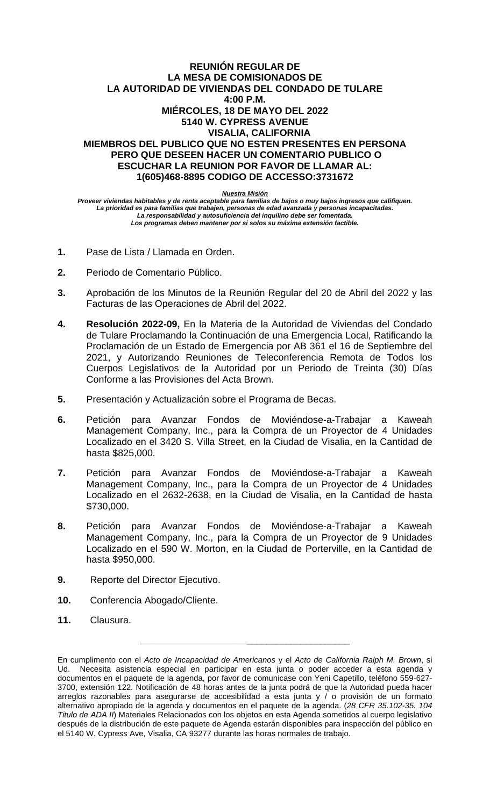## **REUNIÓN REGULAR DE LA MESA DE COMISIONADOS DE LA AUTORIDAD DE VIVIENDAS DEL CONDADO DE TULARE 4:00 P.M. MIÉRCOLES, 18 DE MAYO DEL 2022 5140 W. CYPRESS AVENUE VISALIA, CALIFORNIA MIEMBROS DEL PUBLICO QUE NO ESTEN PRESENTES EN PERSONA PERO QUE DESEEN HACER UN COMENTARIO PUBLICO O ESCUCHAR LA REUNION POR FAVOR DE LLAMAR AL: 1(605)468-8895 CODIGO DE ACCESSO:3731672**

*Nuestra Misión*

*Proveer viviendas habitables y de renta aceptable para familias de bajos o muy bajos ingresos que califiquen. La prioridad es para familias que trabajen, personas de edad avanzada y personas incapacitadas. La responsabilidad y autosuficiencia del inquilino debe ser fomentada. Los programas deben mantener por si solos su máxima extensión factible.*

- **1.** Pase de Lista / Llamada en Orden.
- **2.** Periodo de Comentario Público.
- **3.** Aprobación de los Minutos de la Reunión Regular del 20 de Abril del 2022 y las Facturas de las Operaciones de Abril del 2022.
- **4. Resolución 2022-09,** En la Materia de la Autoridad de Viviendas del Condado de Tulare Proclamando la Continuación de una Emergencia Local, Ratificando la Proclamación de un Estado de Emergencia por AB 361 el 16 de Septiembre del 2021, y Autorizando Reuniones de Teleconferencia Remota de Todos los Cuerpos Legislativos de la Autoridad por un Periodo de Treinta (30) Días Conforme a las Provisiones del Acta Brown.
- **5.** Presentación y Actualización sobre el Programa de Becas.
- **6.** Petición para Avanzar Fondos de Moviéndose-a-Trabajar a Kaweah Management Company, Inc., para la Compra de un Proyector de 4 Unidades Localizado en el 3420 S. Villa Street, en la Ciudad de Visalia, en la Cantidad de hasta \$825,000.
- **7.** Petición para Avanzar Fondos de Moviéndose-a-Trabajar a Kaweah Management Company, Inc., para la Compra de un Proyector de 4 Unidades Localizado en el 2632-2638, en la Ciudad de Visalia, en la Cantidad de hasta \$730,000.
- **8.** Petición para Avanzar Fondos de Moviéndose-a-Trabajar a Kaweah Management Company, Inc., para la Compra de un Proyector de 9 Unidades Localizado en el 590 W. Morton, en la Ciudad de Porterville, en la Cantidad de hasta \$950,000.
- **9.** Reporte del Director Ejecutivo.
- **10.** Conferencia Abogado/Cliente.
- **11.** Clausura.

\_\_\_\_\_\_\_\_\_\_\_\_\_\_\_\_\_\_\_\_\_\_\_\_\_\_\_\_\_\_\_\_\_\_\_\_\_\_\_\_\_\_\_\_\_

En cumplimento con el *Acto de Incapacidad de Americanos* y el *Acto de California Ralph M. Brown*, si Ud. Necesita asistencia especial en participar en esta junta o poder acceder a esta agenda y documentos en el paquete de la agenda, por favor de comunicase con Yeni Capetillo, teléfono 559-627- 3700, extensión 122. Notificación de 48 horas antes de la junta podrá de que la Autoridad pueda hacer arreglos razonables para asegurarse de accesibilidad a esta junta y / o provisión de un formato alternativo apropiado de la agenda y documentos en el paquete de la agenda. (*28 CFR 35.102-35. 104 Titulo de ADA II*) Materiales Relacionados con los objetos en esta Agenda sometidos al cuerpo legislativo después de la distribución de este paquete de Agenda estarán disponibles para inspección del público en el 5140 W. Cypress Ave, Visalia, CA 93277 durante las horas normales de trabajo.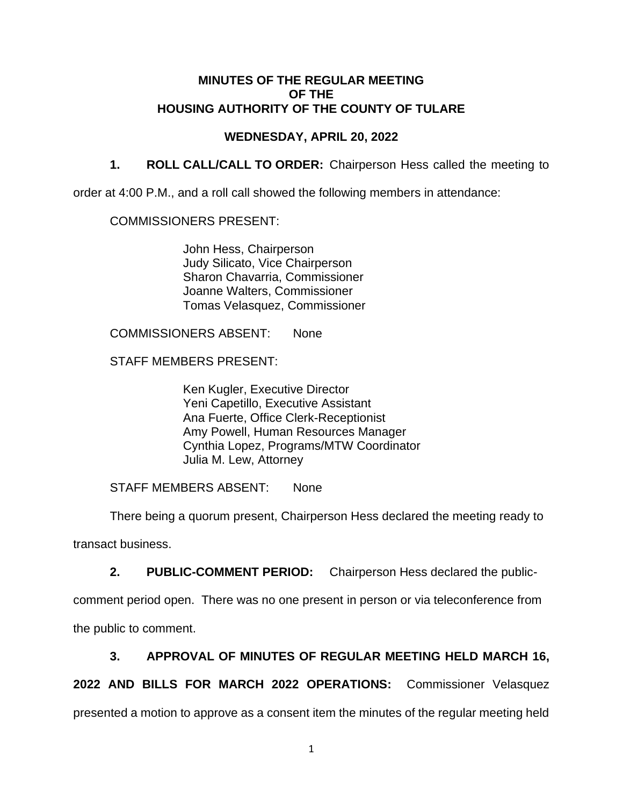# **MINUTES OF THE REGULAR MEETING OF THE HOUSING AUTHORITY OF THE COUNTY OF TULARE**

# **WEDNESDAY, APRIL 20, 2022**

**1. ROLL CALL/CALL TO ORDER:** Chairperson Hess called the meeting to

order at 4:00 P.M., and a roll call showed the following members in attendance:

## COMMISSIONERS PRESENT:

John Hess, Chairperson Judy Silicato, Vice Chairperson Sharon Chavarria, Commissioner Joanne Walters, Commissioner Tomas Velasquez, Commissioner

COMMISSIONERS ABSENT: None

STAFF MEMBERS PRESENT:

Ken Kugler, Executive Director Yeni Capetillo, Executive Assistant Ana Fuerte, Office Clerk-Receptionist Amy Powell, Human Resources Manager Cynthia Lopez, Programs/MTW Coordinator Julia M. Lew, Attorney

STAFF MEMBERS ABSENT: None

There being a quorum present, Chairperson Hess declared the meeting ready to transact business.

**2. PUBLIC-COMMENT PERIOD:** Chairperson Hess declared the public-

comment period open. There was no one present in person or via teleconference from the public to comment.

# **3. APPROVAL OF MINUTES OF REGULAR MEETING HELD MARCH 16,**

**2022 AND BILLS FOR MARCH 2022 OPERATIONS:** Commissioner Velasquez presented a motion to approve as a consent item the minutes of the regular meeting held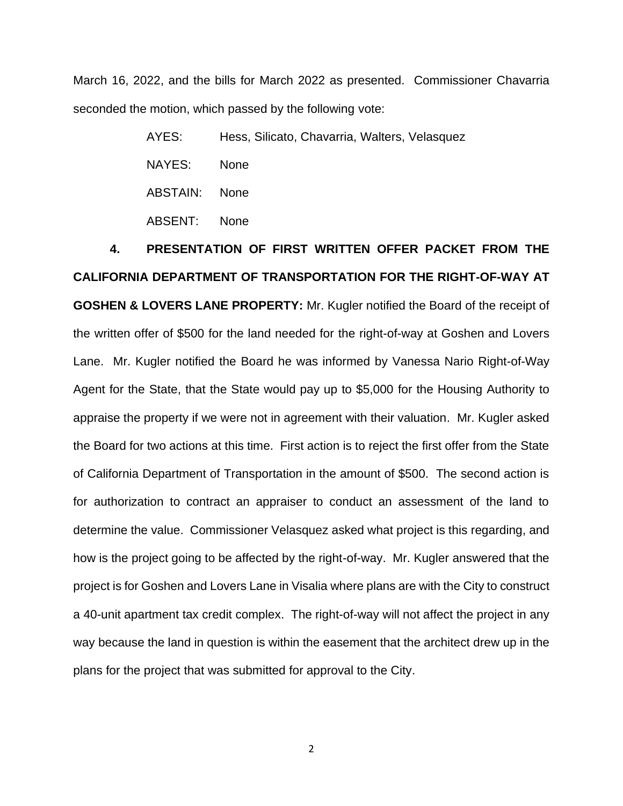March 16, 2022, and the bills for March 2022 as presented. Commissioner Chavarria seconded the motion, which passed by the following vote:

> AYES: Hess, Silicato, Chavarria, Walters, Velasquez NAYES: None ABSTAIN: None ABSENT: None

**4. PRESENTATION OF FIRST WRITTEN OFFER PACKET FROM THE CALIFORNIA DEPARTMENT OF TRANSPORTATION FOR THE RIGHT-OF-WAY AT GOSHEN & LOVERS LANE PROPERTY:** Mr. Kugler notified the Board of the receipt of the written offer of \$500 for the land needed for the right-of-way at Goshen and Lovers Lane. Mr. Kugler notified the Board he was informed by Vanessa Nario Right-of-Way Agent for the State, that the State would pay up to \$5,000 for the Housing Authority to appraise the property if we were not in agreement with their valuation. Mr. Kugler asked the Board for two actions at this time. First action is to reject the first offer from the State of California Department of Transportation in the amount of \$500. The second action is for authorization to contract an appraiser to conduct an assessment of the land to determine the value. Commissioner Velasquez asked what project is this regarding, and how is the project going to be affected by the right-of-way. Mr. Kugler answered that the project is for Goshen and Lovers Lane in Visalia where plans are with the City to construct a 40-unit apartment tax credit complex. The right-of-way will not affect the project in any way because the land in question is within the easement that the architect drew up in the plans for the project that was submitted for approval to the City.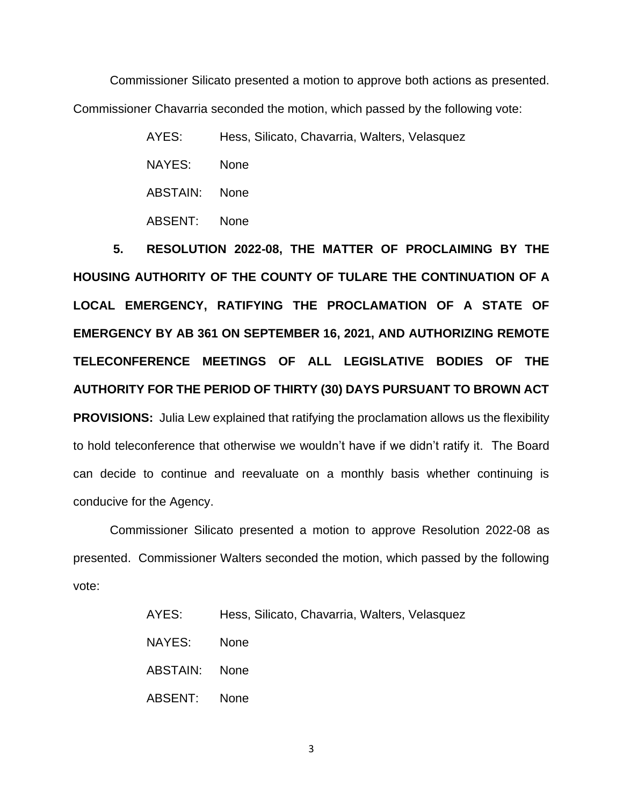Commissioner Silicato presented a motion to approve both actions as presented. Commissioner Chavarria seconded the motion, which passed by the following vote:

> AYES: Hess, Silicato, Chavarria, Walters, Velasquez NAYES: None ABSTAIN: None ABSENT: None

**5. RESOLUTION 2022-08, THE MATTER OF PROCLAIMING BY THE HOUSING AUTHORITY OF THE COUNTY OF TULARE THE CONTINUATION OF A LOCAL EMERGENCY, RATIFYING THE PROCLAMATION OF A STATE OF EMERGENCY BY AB 361 ON SEPTEMBER 16, 2021, AND AUTHORIZING REMOTE TELECONFERENCE MEETINGS OF ALL LEGISLATIVE BODIES OF THE AUTHORITY FOR THE PERIOD OF THIRTY (30) DAYS PURSUANT TO BROWN ACT PROVISIONS:** Julia Lew explained that ratifying the proclamation allows us the flexibility to hold teleconference that otherwise we wouldn't have if we didn't ratify it. The Board can decide to continue and reevaluate on a monthly basis whether continuing is conducive for the Agency.

Commissioner Silicato presented a motion to approve Resolution 2022-08 as presented. Commissioner Walters seconded the motion, which passed by the following vote:

| AYES:         | Hess, Silicato, Chavarria, Walters, Velasquez |
|---------------|-----------------------------------------------|
| NAYES:        | <b>None</b>                                   |
| ABSTAIN: None |                                               |
| ABSENT: None  |                                               |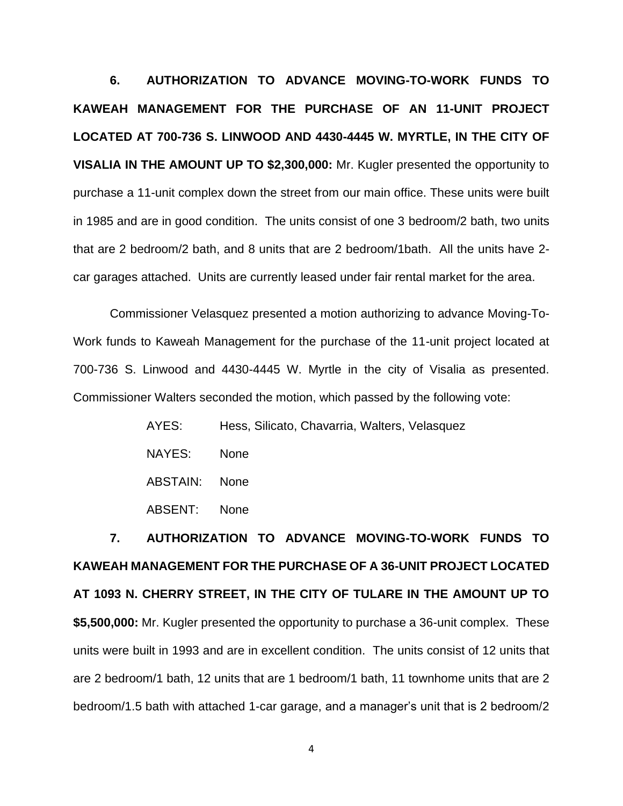**6. AUTHORIZATION TO ADVANCE MOVING-TO-WORK FUNDS TO KAWEAH MANAGEMENT FOR THE PURCHASE OF AN 11-UNIT PROJECT LOCATED AT 700-736 S. LINWOOD AND 4430-4445 W. MYRTLE, IN THE CITY OF VISALIA IN THE AMOUNT UP TO \$2,300,000:** Mr. Kugler presented the opportunity to purchase a 11-unit complex down the street from our main office. These units were built in 1985 and are in good condition. The units consist of one 3 bedroom/2 bath, two units that are 2 bedroom/2 bath, and 8 units that are 2 bedroom/1bath. All the units have 2 car garages attached. Units are currently leased under fair rental market for the area.

Commissioner Velasquez presented a motion authorizing to advance Moving-To-Work funds to Kaweah Management for the purchase of the 11-unit project located at 700-736 S. Linwood and 4430-4445 W. Myrtle in the city of Visalia as presented. Commissioner Walters seconded the motion, which passed by the following vote:

| AYES:    | Hess, Silicato, Chavarria, Walters, Velasquez |
|----------|-----------------------------------------------|
| NAYES:   | <b>None</b>                                   |
| ABSTAIN: | <b>None</b>                                   |
| ABSENT:  | <b>None</b>                                   |

**7. AUTHORIZATION TO ADVANCE MOVING-TO-WORK FUNDS TO KAWEAH MANAGEMENT FOR THE PURCHASE OF A 36-UNIT PROJECT LOCATED AT 1093 N. CHERRY STREET, IN THE CITY OF TULARE IN THE AMOUNT UP TO \$5,500,000:** Mr. Kugler presented the opportunity to purchase a 36-unit complex. These units were built in 1993 and are in excellent condition. The units consist of 12 units that are 2 bedroom/1 bath, 12 units that are 1 bedroom/1 bath, 11 townhome units that are 2 bedroom/1.5 bath with attached 1-car garage, and a manager's unit that is 2 bedroom/2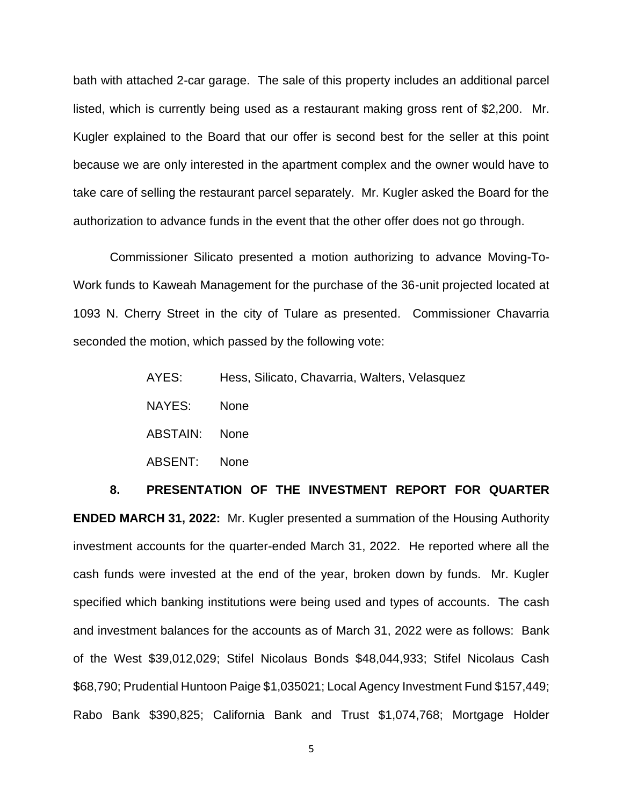bath with attached 2-car garage. The sale of this property includes an additional parcel listed, which is currently being used as a restaurant making gross rent of \$2,200. Mr. Kugler explained to the Board that our offer is second best for the seller at this point because we are only interested in the apartment complex and the owner would have to take care of selling the restaurant parcel separately. Mr. Kugler asked the Board for the authorization to advance funds in the event that the other offer does not go through.

Commissioner Silicato presented a motion authorizing to advance Moving-To-Work funds to Kaweah Management for the purchase of the 36-unit projected located at 1093 N. Cherry Street in the city of Tulare as presented. Commissioner Chavarria seconded the motion, which passed by the following vote:

| AYES:    | Hess, Silicato, Chavarria, Walters, Velasquez |
|----------|-----------------------------------------------|
| NAYES:   | <b>None</b>                                   |
| ABSTAIN: | <b>None</b>                                   |
| ABSENT:  | <b>None</b>                                   |

**8. PRESENTATION OF THE INVESTMENT REPORT FOR QUARTER ENDED MARCH 31, 2022:** Mr. Kugler presented a summation of the Housing Authority investment accounts for the quarter-ended March 31, 2022. He reported where all the cash funds were invested at the end of the year, broken down by funds. Mr. Kugler specified which banking institutions were being used and types of accounts. The cash and investment balances for the accounts as of March 31, 2022 were as follows: Bank of the West \$39,012,029; Stifel Nicolaus Bonds \$48,044,933; Stifel Nicolaus Cash \$68,790; Prudential Huntoon Paige \$1,035021; Local Agency Investment Fund \$157,449; Rabo Bank \$390,825; California Bank and Trust \$1,074,768; Mortgage Holder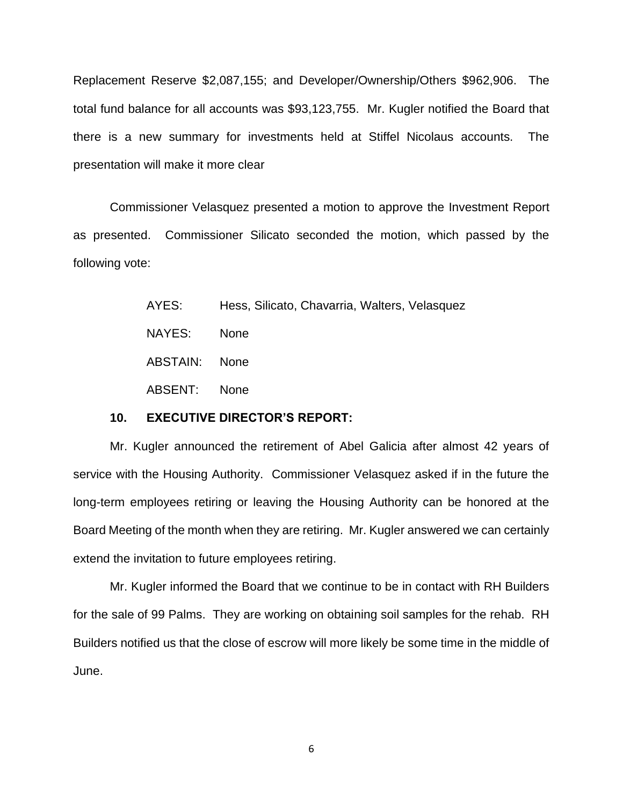Replacement Reserve \$2,087,155; and Developer/Ownership/Others \$962,906. The total fund balance for all accounts was \$93,123,755. Mr. Kugler notified the Board that there is a new summary for investments held at Stiffel Nicolaus accounts. The presentation will make it more clear

Commissioner Velasquez presented a motion to approve the Investment Report as presented. Commissioner Silicato seconded the motion, which passed by the following vote:

| AYES:         | Hess, Silicato, Chavarria, Walters, Velasquez |
|---------------|-----------------------------------------------|
| NAYES:        | <b>None</b>                                   |
| ABSTAIN: None |                                               |
| ABSENT: None  |                                               |

## **10. EXECUTIVE DIRECTOR'S REPORT:**

Mr. Kugler announced the retirement of Abel Galicia after almost 42 years of service with the Housing Authority. Commissioner Velasquez asked if in the future the long-term employees retiring or leaving the Housing Authority can be honored at the Board Meeting of the month when they are retiring. Mr. Kugler answered we can certainly extend the invitation to future employees retiring.

Mr. Kugler informed the Board that we continue to be in contact with RH Builders for the sale of 99 Palms. They are working on obtaining soil samples for the rehab. RH Builders notified us that the close of escrow will more likely be some time in the middle of June.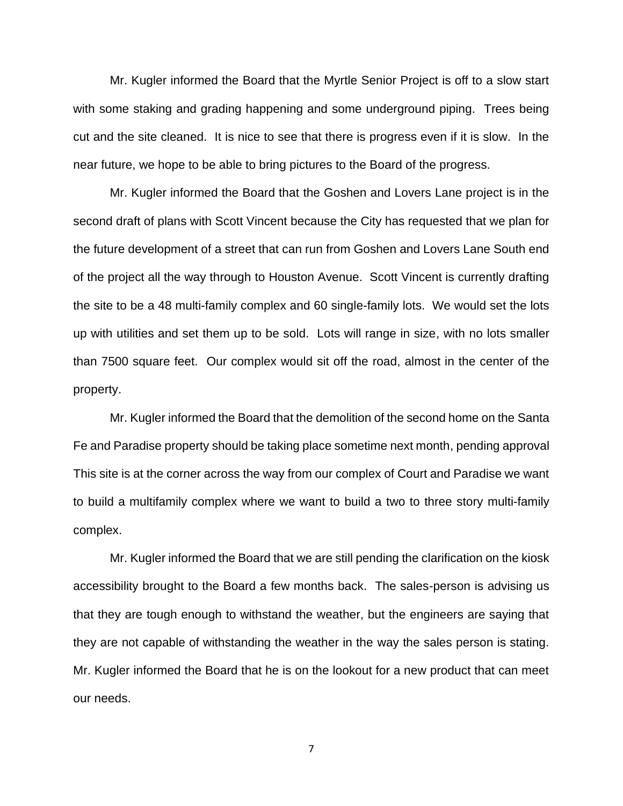Mr. Kugler informed the Board that the Myrtle Senior Project is off to a slow start with some staking and grading happening and some underground piping. Trees being cut and the site cleaned. It is nice to see that there is progress even if it is slow. In the near future, we hope to be able to bring pictures to the Board of the progress.

Mr. Kugler informed the Board that the Goshen and Lovers Lane project is in the second draft of plans with Scott Vincent because the City has requested that we plan for the future development of a street that can run from Goshen and Lovers Lane South end of the project all the way through to Houston Avenue. Scott Vincent is currently drafting the site to be a 48 multi-family complex and 60 single-family lots. We would set the lots up with utilities and set them up to be sold. Lots will range in size, with no lots smaller than 7500 square feet. Our complex would sit off the road, almost in the center of the property.

Mr. Kugler informed the Board that the demolition of the second home on the Santa Fe and Paradise property should be taking place sometime next month, pending approval This site is at the corner across the way from our complex of Court and Paradise we want to build a multifamily complex where we want to build a two to three story multi-family complex.

Mr. Kugler informed the Board that we are still pending the clarification on the kiosk accessibility brought to the Board a few months back. The sales-person is advising us that they are tough enough to withstand the weather, but the engineers are saying that they are not capable of withstanding the weather in the way the sales person is stating. Mr. Kugler informed the Board that he is on the lookout for a new product that can meet our needs.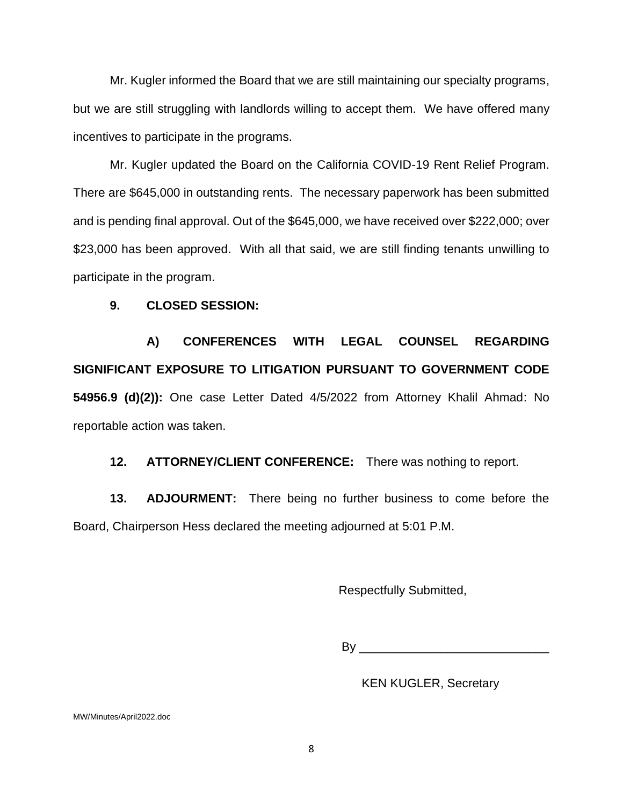Mr. Kugler informed the Board that we are still maintaining our specialty programs, but we are still struggling with landlords willing to accept them. We have offered many incentives to participate in the programs.

Mr. Kugler updated the Board on the California COVID-19 Rent Relief Program. There are \$645,000 in outstanding rents. The necessary paperwork has been submitted and is pending final approval. Out of the \$645,000, we have received over \$222,000; over \$23,000 has been approved. With all that said, we are still finding tenants unwilling to participate in the program.

## **9. CLOSED SESSION:**

**A) CONFERENCES WITH LEGAL COUNSEL REGARDING SIGNIFICANT EXPOSURE TO LITIGATION PURSUANT TO GOVERNMENT CODE 54956.9 (d)(2)):** One case Letter Dated 4/5/2022 from Attorney Khalil Ahmad: No reportable action was taken.

**12. ATTORNEY/CLIENT CONFERENCE:** There was nothing to report.

**13. ADJOURMENT:** There being no further business to come before the Board, Chairperson Hess declared the meeting adjourned at 5:01 P.M.

Respectfully Submitted,

By \_\_\_\_\_\_\_\_\_\_\_\_\_\_\_\_\_\_\_\_\_\_\_\_\_\_\_\_

KEN KUGLER, Secretary

MW/Minutes/April2022.doc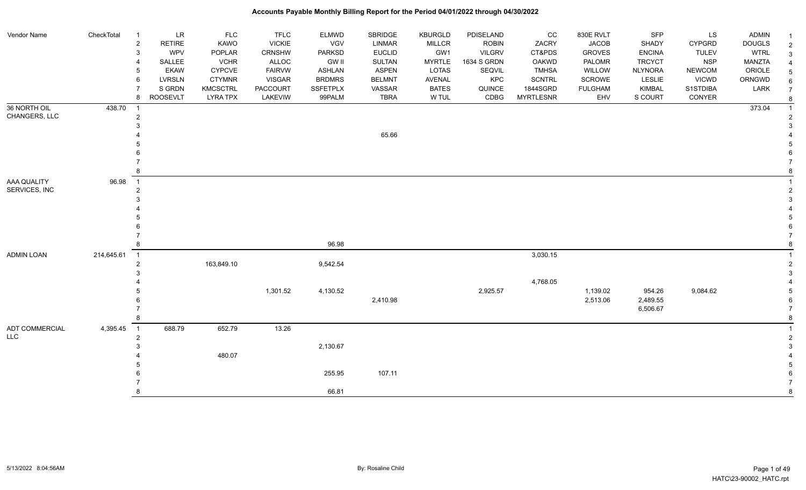| Vendor Name                   | CheckTotal | $\overline{1}$      | <b>LR</b>       | <b>FLC</b>      | <b>TFLC</b>     | <b>ELMWD</b>  | SBRIDGE       | <b>KBURGLD</b> | PDISELAND     | CC               | 830E RVLT      | SFP            | LS            | <b>ADMIN</b>  |  |
|-------------------------------|------------|---------------------|-----------------|-----------------|-----------------|---------------|---------------|----------------|---------------|------------------|----------------|----------------|---------------|---------------|--|
|                               |            | $\overline{c}$      | <b>RETIRE</b>   | <b>KAWO</b>     | <b>VICKIE</b>   | VGV           | <b>LINMAR</b> | <b>MILLCR</b>  | <b>ROBIN</b>  | ZACRY            | <b>JACOB</b>   | SHADY          | <b>CYPGRD</b> | <b>DOUGLS</b> |  |
|                               |            | $\mathbf{3}$        | WPV             | <b>POPLAR</b>   | <b>CRNSHW</b>   | <b>PARKSD</b> | <b>EUCLID</b> | GW1            | <b>VILGRV</b> | CT&PDS           | <b>GROVES</b>  | <b>ENCINA</b>  | <b>TULEV</b>  | <b>WTRL</b>   |  |
|                               |            | -4                  | SALLEE          | <b>VCHR</b>     | ALLOC           | <b>GW II</b>  | <b>SULTAN</b> | <b>MYRTLE</b>  | 1634 S GRDN   | OAKWD            | PALOMR         | <b>TRCYCT</b>  | <b>NSP</b>    | MANZTA        |  |
|                               |            | 5                   | <b>EKAW</b>     | <b>CYPCVE</b>   | <b>FAIRVW</b>   | ASHLAN        | <b>ASPEN</b>  | LOTAS          | <b>SEQVIL</b> | <b>TMHSA</b>     | <b>WILLOW</b>  | <b>NLYNORA</b> | <b>NEWCOM</b> | ORIOLE        |  |
|                               |            | 6                   | <b>LVRSLN</b>   | <b>CTYMNR</b>   | <b>VISGAR</b>   | <b>BRDMRS</b> | <b>BELMNT</b> | AVENAL         | KPC           | <b>SCNTRL</b>    | <b>SCROWE</b>  | LESLIE         | <b>VICWD</b>  | ORNGWD        |  |
|                               |            | $\overline{7}$      | S GRDN          | <b>KMCSCTRL</b> | <b>PACCOURT</b> | SSFETPLX      | VASSAR        | <b>BATES</b>   | QUINCE        | 1844SGRD         | <b>FULGHAM</b> | <b>KIMBAL</b>  | S1STDIBA      | LARK          |  |
|                               |            | 8                   | <b>ROOSEVLT</b> | <b>LYRA TPX</b> | LAKEVIW         | 99PALM        | <b>TBRA</b>   | W TUL          | CDBG          | <b>MYRTLESNR</b> | EHV            | S COURT        | CONYER        |               |  |
| 36 NORTH OIL<br>CHANGERS, LLC | 438.70     | $\overline{1}$      |                 |                 |                 |               |               |                |               |                  |                |                |               | 373.04        |  |
|                               |            | $\overline{c}$<br>3 |                 |                 |                 |               |               |                |               |                  |                |                |               |               |  |
|                               |            |                     |                 |                 |                 |               | 65.66         |                |               |                  |                |                |               |               |  |
|                               |            |                     |                 |                 |                 |               |               |                |               |                  |                |                |               |               |  |
|                               |            |                     |                 |                 |                 |               |               |                |               |                  |                |                |               |               |  |
|                               |            |                     |                 |                 |                 |               |               |                |               |                  |                |                |               |               |  |
|                               |            | 8                   |                 |                 |                 |               |               |                |               |                  |                |                |               |               |  |
| AAA QUALITY                   | 96.98      | $\overline{1}$      |                 |                 |                 |               |               |                |               |                  |                |                |               |               |  |
| SERVICES, INC                 |            | $\overline{c}$      |                 |                 |                 |               |               |                |               |                  |                |                |               |               |  |
|                               |            | 3                   |                 |                 |                 |               |               |                |               |                  |                |                |               |               |  |
|                               |            |                     |                 |                 |                 |               |               |                |               |                  |                |                |               |               |  |
|                               |            |                     |                 |                 |                 |               |               |                |               |                  |                |                |               |               |  |
|                               |            | -6                  |                 |                 |                 |               |               |                |               |                  |                |                |               |               |  |
|                               |            |                     |                 |                 |                 |               |               |                |               |                  |                |                |               |               |  |
|                               |            | 8                   |                 |                 |                 | 96.98         |               |                |               |                  |                |                |               |               |  |
| <b>ADMIN LOAN</b>             | 214,645.61 | $\overline{1}$      |                 |                 |                 |               |               |                |               | 3,030.15         |                |                |               |               |  |
|                               |            | $\overline{2}$      |                 | 163,849.10      |                 | 9,542.54      |               |                |               |                  |                |                |               |               |  |
|                               |            | 3                   |                 |                 |                 |               |               |                |               | 4,768.05         |                |                |               |               |  |
|                               |            |                     |                 |                 | 1,301.52        | 4,130.52      |               |                | 2,925.57      |                  | 1,139.02       | 954.26         | 9,084.62      |               |  |
|                               |            |                     |                 |                 |                 |               | 2,410.98      |                |               |                  | 2,513.06       | 2,489.55       |               |               |  |
|                               |            |                     |                 |                 |                 |               |               |                |               |                  |                | 6,506.67       |               |               |  |
|                               |            | 8                   |                 |                 |                 |               |               |                |               |                  |                |                |               |               |  |
| ADT COMMERCIAL                | 4,395.45   | $\overline{1}$      | 688.79          | 652.79          | 13.26           |               |               |                |               |                  |                |                |               |               |  |
| <b>LLC</b>                    |            | $\overline{2}$      |                 |                 |                 |               |               |                |               |                  |                |                |               |               |  |
|                               |            | 3                   |                 |                 |                 | 2,130.67      |               |                |               |                  |                |                |               |               |  |
|                               |            |                     |                 | 480.07          |                 |               |               |                |               |                  |                |                |               |               |  |
|                               |            |                     |                 |                 |                 |               |               |                |               |                  |                |                |               |               |  |
|                               |            | 6                   |                 |                 |                 | 255.95        | 107.11        |                |               |                  |                |                |               |               |  |

 7 7 8 assessment to the contract of  $66.81$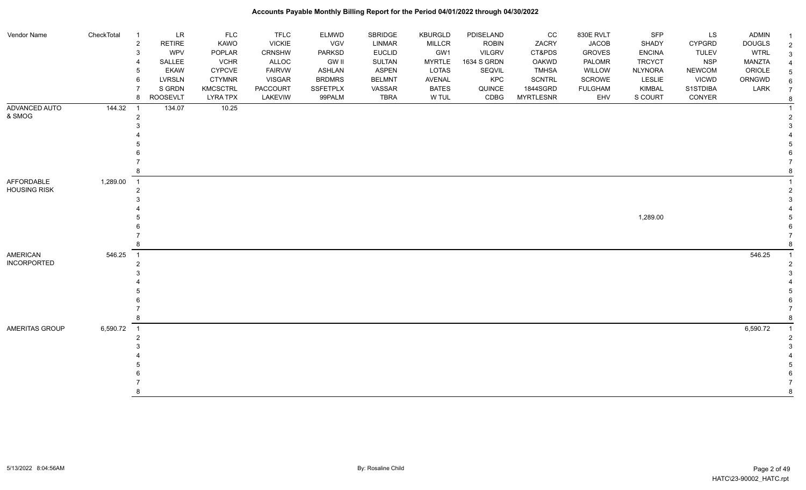| Vendor Name         | CheckTotal | $\overline{1}$           | <b>LR</b>       | <b>FLC</b>      | <b>TFLC</b>     | <b>ELMWD</b>    | SBRIDGE       | KBURGLD       | PDISELAND     | CC               | 830E RVLT      | <b>SFP</b>     | LS            | <b>ADMIN</b>  | -1             |
|---------------------|------------|--------------------------|-----------------|-----------------|-----------------|-----------------|---------------|---------------|---------------|------------------|----------------|----------------|---------------|---------------|----------------|
|                     |            | $\overline{2}$           | <b>RETIRE</b>   | KAWO            | <b>VICKIE</b>   | VGV             | LINMAR        | <b>MILLCR</b> | <b>ROBIN</b>  | ZACRY            | <b>JACOB</b>   | SHADY          | <b>CYPGRD</b> | <b>DOUGLS</b> | $\overline{2}$ |
|                     |            | 3                        | <b>WPV</b>      | POPLAR          | <b>CRNSHW</b>   | PARKSD          | <b>EUCLID</b> | GW1           | <b>VILGRV</b> | CT&PDS           | <b>GROVES</b>  | <b>ENCINA</b>  | <b>TULEV</b>  | <b>WTRL</b>   | 3              |
|                     |            | $\boldsymbol{\Delta}$    | SALLEE          | <b>VCHR</b>     | ALLOC           | <b>GW II</b>    | SULTAN        | <b>MYRTLE</b> | 1634 S GRDN   | OAKWD            | PALOMR         | <b>TRCYCT</b>  | <b>NSP</b>    | MANZTA        |                |
|                     |            | 5                        | <b>EKAW</b>     | <b>CYPCVE</b>   | <b>FAIRVW</b>   | <b>ASHLAN</b>   | <b>ASPEN</b>  | LOTAS         | SEQVIL        | <b>TMHSA</b>     | WILLOW         | <b>NLYNORA</b> | <b>NEWCOM</b> | ORIOLE        |                |
|                     |            | 6                        | <b>LVRSLN</b>   | <b>CTYMNR</b>   | <b>VISGAR</b>   | <b>BRDMRS</b>   | <b>BELMNT</b> | AVENAL        | KPC           | <b>SCNTRL</b>    | SCROWE         | LESLIE         | <b>VICWD</b>  | ORNGWD        |                |
|                     |            |                          | S GRDN          | <b>KMCSCTRL</b> | <b>PACCOURT</b> | <b>SSFETPLX</b> | VASSAR        | <b>BATES</b>  | QUINCE        | 1844SGRD         | <b>FULGHAM</b> | <b>KIMBAL</b>  | S1STDIBA      | LARK          |                |
|                     |            | 8                        | <b>ROOSEVLT</b> | <b>LYRA TPX</b> | <b>LAKEVIW</b>  | 99PALM          | <b>TBRA</b>   | W TUL         | CDBG          | <b>MYRTLESNR</b> | EHV            | S COURT        | CONYER        |               | 8              |
| ADVANCED AUTO       | 144.32     | $\overline{1}$           | 134.07          | 10.25           |                 |                 |               |               |               |                  |                |                |               |               |                |
| & SMOG              |            | $\overline{2}$           |                 |                 |                 |                 |               |               |               |                  |                |                |               |               |                |
|                     |            |                          |                 |                 |                 |                 |               |               |               |                  |                |                |               |               |                |
|                     |            |                          |                 |                 |                 |                 |               |               |               |                  |                |                |               |               |                |
|                     |            |                          |                 |                 |                 |                 |               |               |               |                  |                |                |               |               |                |
|                     |            |                          |                 |                 |                 |                 |               |               |               |                  |                |                |               |               |                |
|                     |            |                          |                 |                 |                 |                 |               |               |               |                  |                |                |               |               |                |
|                     |            |                          |                 |                 |                 |                 |               |               |               |                  |                |                |               |               |                |
| AFFORDABLE          | 1,289.00   | $\overline{1}$           |                 |                 |                 |                 |               |               |               |                  |                |                |               |               |                |
| <b>HOUSING RISK</b> |            | $\overline{2}$           |                 |                 |                 |                 |               |               |               |                  |                |                |               |               |                |
|                     |            |                          |                 |                 |                 |                 |               |               |               |                  |                |                |               |               |                |
|                     |            |                          |                 |                 |                 |                 |               |               |               |                  |                |                |               |               |                |
|                     |            |                          |                 |                 |                 |                 |               |               |               |                  |                | 1,289.00       |               |               |                |
|                     |            |                          |                 |                 |                 |                 |               |               |               |                  |                |                |               |               |                |
|                     |            |                          |                 |                 |                 |                 |               |               |               |                  |                |                |               |               |                |
|                     |            |                          |                 |                 |                 |                 |               |               |               |                  |                |                |               |               |                |
| <b>AMERICAN</b>     | 546.25     | $\overline{1}$           |                 |                 |                 |                 |               |               |               |                  |                |                |               | 546.25        |                |
| <b>INCORPORTED</b>  |            | 2                        |                 |                 |                 |                 |               |               |               |                  |                |                |               |               |                |
|                     |            |                          |                 |                 |                 |                 |               |               |               |                  |                |                |               |               |                |
|                     |            |                          |                 |                 |                 |                 |               |               |               |                  |                |                |               |               |                |
|                     |            |                          |                 |                 |                 |                 |               |               |               |                  |                |                |               |               |                |
|                     |            |                          |                 |                 |                 |                 |               |               |               |                  |                |                |               |               |                |
|                     |            |                          |                 |                 |                 |                 |               |               |               |                  |                |                |               |               |                |
|                     |            | 8                        |                 |                 |                 |                 |               |               |               |                  |                |                |               |               | 8              |
| AMERITAS GROUP      | 6,590.72   | $\overline{\phantom{1}}$ |                 |                 |                 |                 |               |               |               |                  |                |                |               | 6,590.72      | $\overline{1}$ |
|                     |            | $\overline{2}$           |                 |                 |                 |                 |               |               |               |                  |                |                |               |               | 2              |
|                     |            |                          |                 |                 |                 |                 |               |               |               |                  |                |                |               |               |                |
|                     |            |                          |                 |                 |                 |                 |               |               |               |                  |                |                |               |               |                |
|                     |            |                          |                 |                 |                 |                 |               |               |               |                  |                |                |               |               |                |
|                     |            |                          |                 |                 |                 |                 |               |               |               |                  |                |                |               |               |                |
|                     |            |                          |                 |                 |                 |                 |               |               |               |                  |                |                |               |               |                |
|                     |            |                          |                 |                 |                 |                 |               |               |               |                  |                |                |               |               | 8              |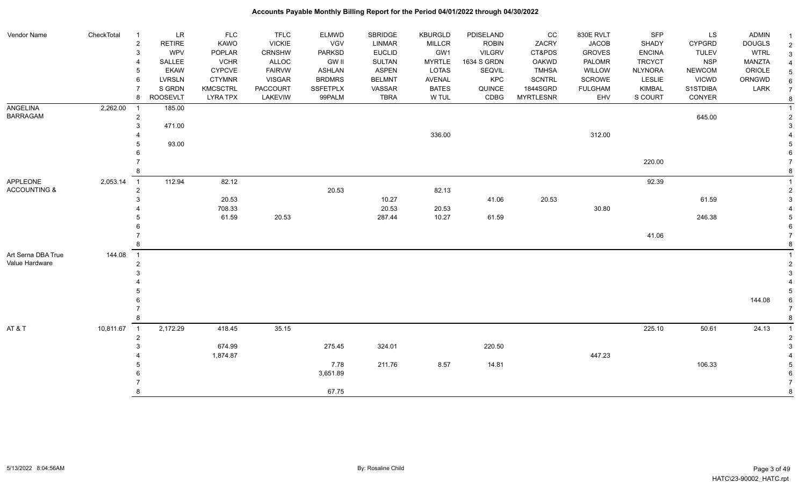#### Vendor Name CheckTotal 1 LR FLC FLC ELMWD SBRIDGE KBURGLD PDISELAND CC 830E RVLT SFP LS ADMIN <sub>1</sub> 2 RETIRE KAWO VICKIE VGV LINMAR MILLCR ROBIN ZACRY JACOB SHADY CYPGRD DOUGLS 2 3 WPV POPLAR CRNSHW PARKSD EUCLID GW1 VILGRV CT&PDS GROVES ENCINA TULEV WTRL 3 4 SALLEE VCHR ALLOC GW II SULTAN MYRTLE 1634 S GRDN OAKWD PALOMR TRCYCT NSP MANZTA 4 5 EKAW CYPCVE FAIRVW ASHLAN ASPEN LOTAS SEQVIL TMHSA WILLOW NLYNORA NEWCOM ORIOLE 5 6 LVRSLN CTYMNR VISGAR BRDMRS BELMNT AVENAL KPC SCNTRL SCROWE LESLIE VICWD ORNGWD  $_{6}$ 7 SIGRDN KMCSCTRL PACCOURT SSFETPLX VASSAR BATES QUINCE 1844SGRD FULGHAM KIMBAL S1STDIBA LARK 7 8 ROOSEVLT LYRA TPX LAKEVIW 99PALM TBRA W TUL CDBG MYRTLESNR EHV S COURT CONYER <sub>8</sub> ANGELINA BARRAGAM 2,262.00 1 185.00 1 2 645.00 2 3 471.00 3 4 336.00 336.00 336.00 3212.00 34 5 93.00 5  $6$  7 220.00 7 8 8 APPLEONE ACCOUNTING & 2,053.14 1 112.94 82.12 92.39 1 2 20.53  $3^{20.53}$   $3^{21.13}$  $3$  20.53 20.53 20.53 20.53 20.53 3 3 3 3 41.06 20.53 5 41.06 20.53 61.59 6 3 3 3 41.04  $\,$ 4 708.33 708.33 20.53 20.53 20.53 20.53 30.80 5 61.59 20.53 287.44 10.27 61.59 246.38 5  $6$  7 41.06 7 8 8 Art Serna DBA True Value Hardware 144.08 1 1 2 2  $3<sup>3</sup>$  4 4 5 5 6 144.08 6 7 7 8 8 AT & T 225.10 50.61 10,811.67 1 2,172.29 418.45 35.15 35.15 36.15 36.15 37.16 225.10 50.61 24.13 1 2 2 3 674.99 275.45 324.01 220.50 3 4 1,874.87 447.23 4 5 7.78 211.76 8.57 14.81 106.33 5 6 3,651.89 6 7 7 8 a contract to the contract of the contract of the contract of the contract of the contract of the contract of the contract of the contract of the contract of the contract of the contract of the contract of the contract o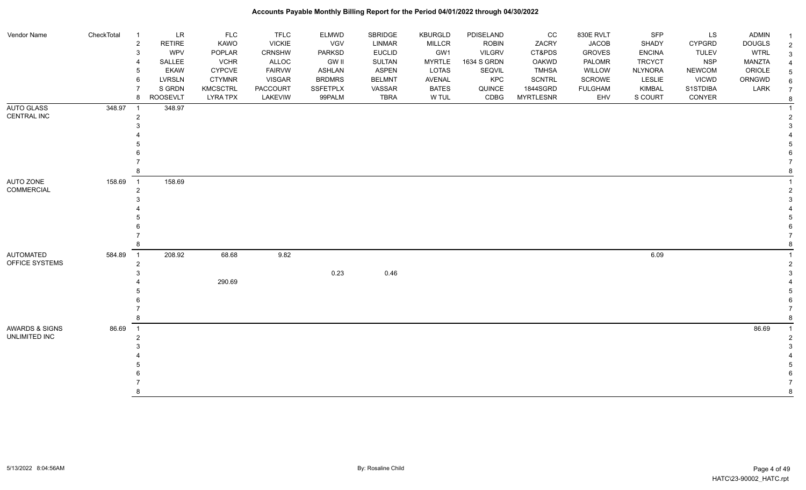| Vendor Name        | CheckTotal | $\overline{1}$             | LR              | <b>FLC</b>      | <b>TFLC</b>   | <b>ELMWD</b>    | SBRIDGE       | <b>KBURGLD</b> | PDISELAND     | CC               | 830E RVLT      | SFP            | <b>LS</b>     | <b>ADMIN</b>  |               |
|--------------------|------------|----------------------------|-----------------|-----------------|---------------|-----------------|---------------|----------------|---------------|------------------|----------------|----------------|---------------|---------------|---------------|
|                    |            | $\overline{c}$             | <b>RETIRE</b>   | KAWO            | <b>VICKIE</b> | VGV             | <b>LINMAR</b> | <b>MILLCR</b>  | <b>ROBIN</b>  | ZACRY            | <b>JACOB</b>   | SHADY          | <b>CYPGRD</b> | <b>DOUGLS</b> | $\mathcal{P}$ |
|                    |            | $\mathbf{3}$               | <b>WPV</b>      | POPLAR          | <b>CRNSHW</b> | <b>PARKSD</b>   | <b>EUCLID</b> | GW1            | <b>VILGRV</b> | CT&PDS           | <b>GROVES</b>  | <b>ENCINA</b>  | <b>TULEV</b>  | <b>WTRL</b>   | 3             |
|                    |            | $\overline{4}$             | SALLEE          | <b>VCHR</b>     | ALLOC         | <b>GW II</b>    | <b>SULTAN</b> | <b>MYRTLE</b>  | 1634 S GRDN   | OAKWD            | PALOMR         | <b>TRCYCT</b>  | <b>NSP</b>    | <b>MANZTA</b> |               |
|                    |            | $5\phantom{.0}$            | <b>EKAW</b>     | <b>CYPCVE</b>   | <b>FAIRVW</b> | ASHLAN          | <b>ASPEN</b>  | <b>LOTAS</b>   | SEQVIL        | <b>TMHSA</b>     | WILLOW         | <b>NLYNORA</b> | <b>NEWCOM</b> | ORIOLE        |               |
|                    |            | 6                          | <b>LVRSLN</b>   | <b>CTYMNR</b>   | VISGAR        | <b>BRDMRS</b>   | <b>BELMNT</b> | AVENAL         | KPC           | SCNTRL           | <b>SCROWE</b>  | <b>LESLIE</b>  | <b>VICWD</b>  | ORNGWD        |               |
|                    |            | $\overline{7}$             | S GRDN          | <b>KMCSCTRL</b> | PACCOURT      | <b>SSFETPLX</b> | VASSAR        | <b>BATES</b>   | QUINCE        | 1844SGRD         | <b>FULGHAM</b> | <b>KIMBAL</b>  | S1STDIBA      | LARK          |               |
|                    |            | 8                          | <b>ROOSEVLT</b> | <b>LYRA TPX</b> | LAKEVIW       | 99PALM          | <b>TBRA</b>   | W TUL          | CDBG          | <b>MYRTLESNR</b> | EHV            | S COURT        | CONYER        |               |               |
| AUTO GLASS         | 348.97     | $\overline{1}$             | 348.97          |                 |               |                 |               |                |               |                  |                |                |               |               |               |
| <b>CENTRAL INC</b> |            | $\overline{c}$             |                 |                 |               |                 |               |                |               |                  |                |                |               |               |               |
|                    |            | 3                          |                 |                 |               |                 |               |                |               |                  |                |                |               |               |               |
|                    |            |                            |                 |                 |               |                 |               |                |               |                  |                |                |               |               |               |
|                    |            |                            |                 |                 |               |                 |               |                |               |                  |                |                |               |               |               |
|                    |            |                            |                 |                 |               |                 |               |                |               |                  |                |                |               |               |               |
|                    |            |                            |                 |                 |               |                 |               |                |               |                  |                |                |               |               |               |
|                    |            | 8                          |                 |                 |               |                 |               |                |               |                  |                |                |               |               |               |
| AUTO ZONE          | 158.69     | $\overline{1}$             | 158.69          |                 |               |                 |               |                |               |                  |                |                |               |               |               |
| <b>COMMERCIAL</b>  |            | $\overline{2}$             |                 |                 |               |                 |               |                |               |                  |                |                |               |               |               |
|                    |            | 3                          |                 |                 |               |                 |               |                |               |                  |                |                |               |               |               |
|                    |            |                            |                 |                 |               |                 |               |                |               |                  |                |                |               |               |               |
|                    |            |                            |                 |                 |               |                 |               |                |               |                  |                |                |               |               |               |
|                    |            |                            |                 |                 |               |                 |               |                |               |                  |                |                |               |               |               |
|                    |            |                            |                 |                 |               |                 |               |                |               |                  |                |                |               |               |               |
|                    |            | 8                          |                 |                 |               |                 |               |                |               |                  |                |                |               |               |               |
| <b>AUTOMATED</b>   | 584.89     | $\overline{1}$             | 208.92          | 68.68           | 9.82          |                 |               |                |               |                  |                | 6.09           |               |               |               |
| OFFICE SYSTEMS     |            | $\overline{c}$             |                 |                 |               |                 |               |                |               |                  |                |                |               |               |               |
|                    |            | 3                          |                 |                 |               | 0.23            | 0.46          |                |               |                  |                |                |               |               |               |
|                    |            |                            |                 | 290.69          |               |                 |               |                |               |                  |                |                |               |               |               |
|                    |            |                            |                 |                 |               |                 |               |                |               |                  |                |                |               |               |               |
|                    |            |                            |                 |                 |               |                 |               |                |               |                  |                |                |               |               |               |
|                    |            |                            |                 |                 |               |                 |               |                |               |                  |                |                |               |               |               |
|                    |            | 8                          |                 |                 |               |                 |               |                |               |                  |                |                |               |               |               |
| AWARDS & SIGNS     | 86.69      | $\overline{\phantom{0}}$ 1 |                 |                 |               |                 |               |                |               |                  |                |                |               | 86.69         |               |
| UNLIMITED INC      |            | $\overline{2}$             |                 |                 |               |                 |               |                |               |                  |                |                |               |               |               |
|                    |            | 3                          |                 |                 |               |                 |               |                |               |                  |                |                |               |               |               |
|                    |            |                            |                 |                 |               |                 |               |                |               |                  |                |                |               |               |               |
|                    |            |                            |                 |                 |               |                 |               |                |               |                  |                |                |               |               |               |
|                    |            |                            |                 |                 |               |                 |               |                |               |                  |                |                |               |               |               |
|                    |            |                            |                 |                 |               |                 |               |                |               |                  |                |                |               |               |               |
|                    |            | 8                          |                 |                 |               |                 |               |                |               |                  |                |                |               |               |               |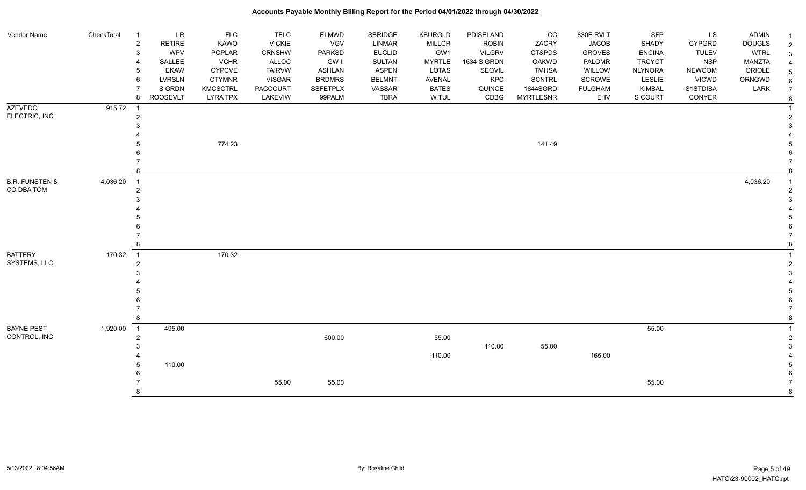#### Vendor Name CheckTotal 1 LR FLC FLC ELMWD SBRIDGE KBURGLD PDISELAND CC 830E RVLT SFP LS ADMIN <sub>1</sub> 2 RETIRE KAWO VICKIE VGV LINMAR MILLCR ROBIN ZACRY JACOB SHADY CYPGRD DOUGLS 2 3 WPV POPLAR CRNSHW PARKSD EUCLID GW1 VILGRV CT&PDS GROVES ENCINA TULEV WTRL 3 4 SALLEE VCHR ALLOC GW II SULTAN MYRTLE 1634 S GRDN OAKWD PALOMR TRCYCT NSP MANZTA 4 5 EKAW CYPCVE FAIRVW ASHLAN ASPEN LOTAS SEQVIL TMHSA WILLOW NLYNORA NEWCOM ORIOLE 5 6 LVRSLN CTYMNR VISGAR BRDMRS BELMNT AVENAL KPC SCNTRL SCROWE LESLIE VICWD ORNGWD  $_{6}$ 7 SIGRDN KMCSCTRL PACCOURT SSFETPLX VASSAR BATES QUINCE 1844SGRD FULGHAM KIMBAL S1STDIBA LARK 7 8 ROOSEVLT LYRA TPX LAKEVIW 99PALM TBRA W TUL CDBG MYRTLESNR EHV S COURT CONYER <sub>8</sub> AZEVEDO ELECTRIC, INC. 915.72 1 2 2  $3<sup>3</sup>$  4 4 5 774.23 141.49 5  $6$  7 7 8 8 B.R. FUNSTEN & CO DBA TOM 4,036.20 1 4,036.20 1 2 2  $3<sup>3</sup>$  4 4 5 5  $6$  7 7 8 8 BATTERY SYSTEMS, LLC 170.32 1 170.32 1 2 2  $3<sup>3</sup>$  4 4 5 5  $6$  7 7 8 8 BAYNE PEST CONTROL, INC 1,920.00 1 495.00 55.00 1 2 600.00 55.00 2  $3 \times 110.00 \times 55.00$  3 4 110.00 **110.00 110.00 165.00** 165.00 **4**  5 110.00 5  $6$  7 55.00 55.00 55.00 7 8 8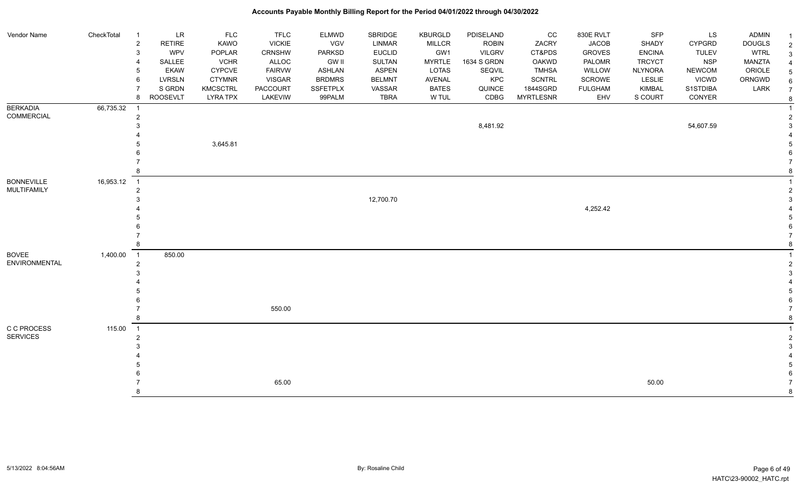#### Vendor Name CheckTotal 1 LR FLC FLC ELMWD SBRIDGE KBURGLD PDISELAND CC 830E RVLT SFP LS ADMIN <sub>1</sub> 2 RETIRE KAWO VICKIE VGV LINMAR MILLCR ROBIN ZACRY JACOB SHADY CYPGRD DOUGLS 2 3 WPV POPLAR CRNSHW PARKSD EUCLID GW1 VILGRV CT&PDS GROVES ENCINA TULEV WTRL 3 4 SALLEE VCHR ALLOC GW II SULTAN MYRTLE 1634 S GRDN OAKWD PALOMR TRCYCT NSP MANZTA 4 5 EKAW CYPCVE FAIRVW ASHLAN ASPEN LOTAS SEQVIL TMHSA WILLOW NLYNORA NEWCOM ORIOLE 5 6 LVRSLN CTYMNR VISGAR BRDMRS BELMNT AVENAL KPC SCNTRL SCROWE LESLIE VICWD ORNGWD  $_{6}$ 7 SIGRDN KMCSCTRL PACCOURT SSFETPLX VASSAR BATES QUINCE 1844SGRD FULGHAM KIMBAL S1STDIBA LARK 7 8 ROOSEVLT LYRA TPX LAKEVIW 99PALM TBRA W TUL CDBG MYRTLESNR EHV S COURT CONYER <sub>8</sub> **BERKADIA** COMMERCIAL 66,735.32 1 1 2 2  $8,481.92$   $8,481.92$   $54,607.59$   $3$  4 4 5 3,645.81 5  $6$  7 7 8 8 BONNEVILLE MULTIFAMILY 16,953.12 1 1 2 2 3 12,700.70 3 4 4,252.42 4 5 5  $6$  7 7 8 8 BOVEE ENVIRONMENTAL 1,400.00 1 850.00 1 2 2  $3<sup>3</sup>$  4 4 5 5  $6$  7 550.00 7 8 8 C C PROCESS SERVICES 115.00 1 1 2 2  $3<sup>3</sup>$  4 4 5 5  $6$  7 65.00 50.00 7 8 8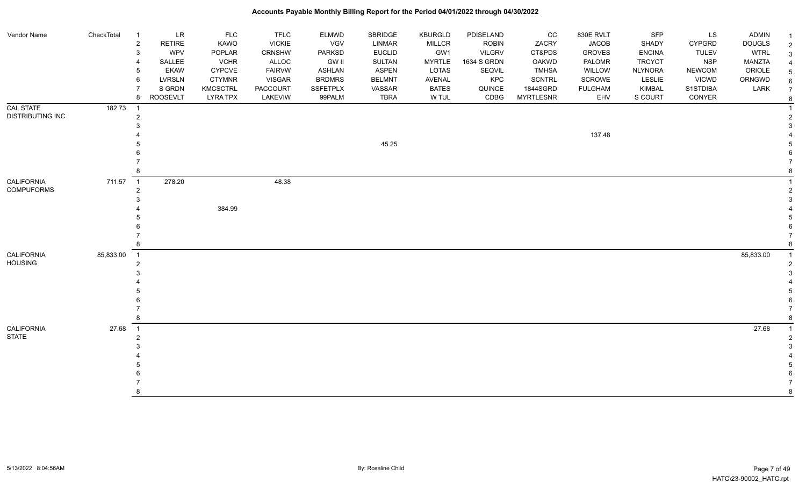| Vendor Name                          | CheckTotal<br>$\overline{1}$ | LR<br>$\overline{\mathbf{c}}$<br><b>RETIRE</b><br><b>WPV</b><br>3<br>SALLEE<br><b>EKAW</b><br><b>LVRSLN</b><br>6<br>S GRDN<br><b>ROOSEVLT</b><br>8 | <b>FLC</b><br>KAWO<br>POPLAR<br><b>VCHR</b><br>CYPCVE<br><b>CTYMNR</b><br><b>KMCSCTRL</b><br><b>LYRA TPX</b> | <b>TFLC</b><br><b>VICKIE</b><br>CRNSHW<br>ALLOC<br><b>FAIRVW</b><br><b>VISGAR</b><br><b>PACCOURT</b><br>LAKEVIW | ELMWD<br>VGV<br><b>PARKSD</b><br><b>GW II</b><br><b>ASHLAN</b><br><b>BRDMRS</b><br>SSFETPLX<br>99PALM | SBRIDGE<br><b>LINMAR</b><br><b>EUCLID</b><br>SULTAN<br><b>ASPEN</b><br><b>BELMNT</b><br>VASSAR<br><b>TBRA</b> | KBURGLD<br><b>MILLCR</b><br>GW1<br><b>MYRTLE</b><br>LOTAS<br>AVENAL<br><b>BATES</b><br>W TUL | PDISELAND<br><b>ROBIN</b><br><b>VILGRV</b><br>1634 S GRDN<br>SEQVIL<br>KPC<br>QUINCE<br>CDBG | CC<br>ZACRY<br>CT&PDS<br><b>OAKWD</b><br><b>TMHSA</b><br><b>SCNTRL</b><br>1844SGRD<br><b>MYRTLESNR</b> | 830E RVLT<br><b>JACOB</b><br><b>GROVES</b><br>PALOMR<br>WILLOW<br>SCROWE<br><b>FULGHAM</b><br>EHV | SFP<br>SHADY<br><b>ENCINA</b><br><b>TRCYCT</b><br><b>NLYNORA</b><br>LESLIE<br>KIMBAL<br>S COURT | LS<br><b>CYPGRD</b><br><b>TULEV</b><br><b>NSP</b><br><b>NEWCOM</b><br><b>VICWD</b><br>S1STDIBA<br>CONYER | ADMIN<br><b>DOUGLS</b><br><b>WTRL</b><br><b>MANZTA</b><br>ORIOLE<br>ORNGWD<br>LARK | $\overline{2}$<br>3<br>5<br>6<br>$\overline{7}$<br>8 |
|--------------------------------------|------------------------------|----------------------------------------------------------------------------------------------------------------------------------------------------|--------------------------------------------------------------------------------------------------------------|-----------------------------------------------------------------------------------------------------------------|-------------------------------------------------------------------------------------------------------|---------------------------------------------------------------------------------------------------------------|----------------------------------------------------------------------------------------------|----------------------------------------------------------------------------------------------|--------------------------------------------------------------------------------------------------------|---------------------------------------------------------------------------------------------------|-------------------------------------------------------------------------------------------------|----------------------------------------------------------------------------------------------------------|------------------------------------------------------------------------------------|------------------------------------------------------|
| CAL STATE<br><b>DISTRIBUTING INC</b> | 182.73<br>$\overline{1}$     | 2                                                                                                                                                  |                                                                                                              |                                                                                                                 |                                                                                                       | 45.25                                                                                                         |                                                                                              |                                                                                              |                                                                                                        | 137.48                                                                                            |                                                                                                 |                                                                                                          |                                                                                    |                                                      |
| CALIFORNIA<br><b>COMPUFORMS</b>      | 711.57<br>$\overline{1}$     | 278.20<br>$\overline{2}$                                                                                                                           | 384.99                                                                                                       | 48.38                                                                                                           |                                                                                                       |                                                                                                               |                                                                                              |                                                                                              |                                                                                                        |                                                                                                   |                                                                                                 |                                                                                                          |                                                                                    |                                                      |
| <b>CALIFORNIA</b><br><b>HOUSING</b>  | 85,833.00<br>$\overline{1}$  | 2                                                                                                                                                  |                                                                                                              |                                                                                                                 |                                                                                                       |                                                                                                               |                                                                                              |                                                                                              |                                                                                                        |                                                                                                   |                                                                                                 |                                                                                                          | 85,833.00                                                                          | $\overline{1}$                                       |
| CALIFORNIA<br><b>STATE</b>           | 27.68<br>$\overline{1}$      |                                                                                                                                                    |                                                                                                              |                                                                                                                 |                                                                                                       |                                                                                                               |                                                                                              |                                                                                              |                                                                                                        |                                                                                                   |                                                                                                 |                                                                                                          | 27.68                                                                              | 8                                                    |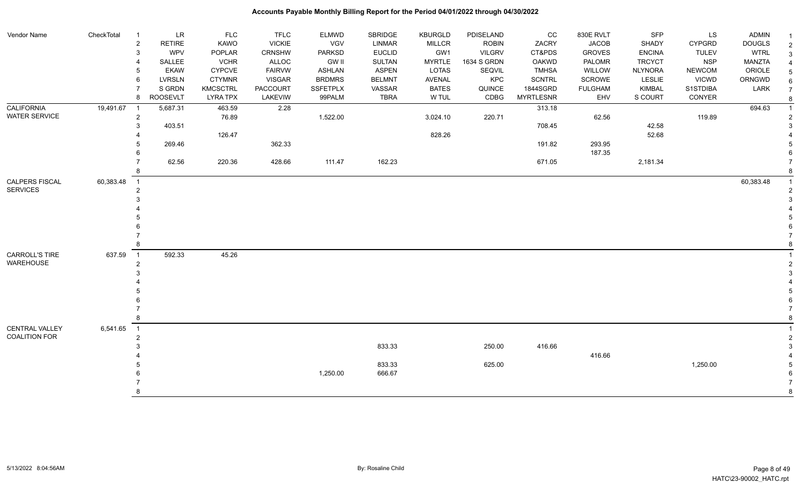| Vendor Name          | CheckTotal | -1               | <b>LR</b>       | FLC             | <b>TFLC</b>     | <b>ELMWD</b>    | SBRIDGE       | <b>KBURGLD</b> | PDISELAND     | CC               | 830E RVLT      | <b>SFP</b>     | LS           | ADMIN         |                |
|----------------------|------------|------------------|-----------------|-----------------|-----------------|-----------------|---------------|----------------|---------------|------------------|----------------|----------------|--------------|---------------|----------------|
|                      |            | $\boldsymbol{2}$ | <b>RETIRE</b>   | <b>KAWO</b>     | <b>VICKIE</b>   | VGV             | LINMAR        | <b>MILLCR</b>  | <b>ROBIN</b>  | ZACRY            | <b>JACOB</b>   | SHADY          | CYPGRD       | <b>DOUGLS</b> | $\overline{2}$ |
|                      |            | 3                | <b>WPV</b>      | POPLAR          | <b>CRNSHW</b>   | <b>PARKSD</b>   | <b>EUCLID</b> | GW1            | <b>VILGRV</b> | CT&PDS           | <b>GROVES</b>  | <b>ENCINA</b>  | <b>TULEV</b> | <b>WTRL</b>   | 3              |
|                      |            |                  | SALLEE          | <b>VCHR</b>     | <b>ALLOC</b>    | <b>GW II</b>    | <b>SULTAN</b> | <b>MYRTLE</b>  | 1634 S GRDN   | <b>OAKWD</b>     | PALOMR         | <b>TRCYCT</b>  | <b>NSP</b>   | MANZTA        |                |
|                      |            |                  | <b>EKAW</b>     | <b>CYPCVE</b>   | <b>FAIRVW</b>   | <b>ASHLAN</b>   | <b>ASPEN</b>  | LOTAS          | SEQVIL        | <b>TMHSA</b>     | WILLOW         | <b>NLYNORA</b> | NEWCOM       | ORIOLE        |                |
|                      |            | 6                | LVRSLN          | <b>CTYMNR</b>   | <b>VISGAR</b>   | <b>BRDMRS</b>   | <b>BELMNT</b> | AVENAL         | <b>KPC</b>    | <b>SCNTRL</b>    | SCROWE         | LESLIE         | <b>VICWD</b> | ORNGWD        |                |
|                      |            |                  | S GRDN          | <b>KMCSCTRL</b> | <b>PACCOURT</b> | <b>SSFETPLX</b> | VASSAR        | <b>BATES</b>   | QUINCE        | 1844SGRD         | <b>FULGHAM</b> | KIMBAL         | S1STDIBA     | LARK          |                |
|                      |            | 8                | <b>ROOSEVLT</b> | <b>LYRA TPX</b> | LAKEVIW         | 99PALM          | <b>TBRA</b>   | W TUL          | CDBG          | <b>MYRTLESNR</b> | EHV            | S COURT        | CONYER       |               |                |
| <b>CALIFORNIA</b>    | 19,491.67  | $\overline{1}$   | 5,687.31        | 463.59          | 2.28            |                 |               |                |               | 313.18           |                |                |              | 694.63        |                |
| <b>WATER SERVICE</b> |            | $\overline{2}$   |                 | 76.89           |                 | 1,522.00        |               | 3,024.10       | 220.71        |                  | 62.56          |                | 119.89       |               |                |
|                      |            | 3                | 403.51          |                 |                 |                 |               |                |               | 708.45           |                | 42.58          |              |               |                |
|                      |            |                  |                 | 126.47          |                 |                 |               | 828.26         |               |                  |                | 52.68          |              |               |                |
|                      |            |                  | 269.46          |                 | 362.33          |                 |               |                |               | 191.82           | 293.95         |                |              |               |                |
|                      |            |                  |                 |                 |                 |                 |               |                |               |                  | 187.35         |                |              |               |                |
|                      |            |                  | 62.56           | 220.36          | 428.66          | 111.47          | 162.23        |                |               | 671.05           |                | 2,181.34       |              |               |                |
|                      |            |                  |                 |                 |                 |                 |               |                |               |                  |                |                |              |               |                |
| CALPERS FISCAL       | 60,383.48  | $\overline{1}$   |                 |                 |                 |                 |               |                |               |                  |                |                |              | 60,383.48     |                |
| <b>SERVICES</b>      |            |                  |                 |                 |                 |                 |               |                |               |                  |                |                |              |               |                |
|                      |            |                  |                 |                 |                 |                 |               |                |               |                  |                |                |              |               |                |
|                      |            |                  |                 |                 |                 |                 |               |                |               |                  |                |                |              |               |                |
|                      |            |                  |                 |                 |                 |                 |               |                |               |                  |                |                |              |               |                |
|                      |            |                  |                 |                 |                 |                 |               |                |               |                  |                |                |              |               |                |
|                      |            |                  |                 |                 |                 |                 |               |                |               |                  |                |                |              |               |                |
|                      |            |                  |                 |                 |                 |                 |               |                |               |                  |                |                |              |               |                |
| CARROLL'S TIRE       | 637.59     | $\overline{1}$   | 592.33          | 45.26           |                 |                 |               |                |               |                  |                |                |              |               |                |
| <b>WAREHOUSE</b>     |            | 2                |                 |                 |                 |                 |               |                |               |                  |                |                |              |               |                |
|                      |            |                  |                 |                 |                 |                 |               |                |               |                  |                |                |              |               |                |
|                      |            |                  |                 |                 |                 |                 |               |                |               |                  |                |                |              |               |                |
|                      |            |                  |                 |                 |                 |                 |               |                |               |                  |                |                |              |               |                |
|                      |            |                  |                 |                 |                 |                 |               |                |               |                  |                |                |              |               |                |
|                      |            |                  |                 |                 |                 |                 |               |                |               |                  |                |                |              |               |                |
|                      |            |                  |                 |                 |                 |                 |               |                |               |                  |                |                |              |               |                |
| CENTRAL VALLEY       | 6,541.65   | $\overline{1}$   |                 |                 |                 |                 |               |                |               |                  |                |                |              |               |                |
| <b>COALITION FOR</b> |            | $\overline{2}$   |                 |                 |                 |                 |               |                |               |                  |                |                |              |               |                |
|                      |            |                  |                 |                 |                 |                 | 833.33        |                | 250.00        | 416.66           |                |                |              |               |                |
|                      |            |                  |                 |                 |                 |                 |               |                |               |                  | 416.66         |                |              |               |                |
|                      |            |                  |                 |                 |                 |                 | 833.33        |                | 625.00        |                  |                |                | 1,250.00     |               |                |
|                      |            |                  |                 |                 |                 | 1,250.00        | 666.67        |                |               |                  |                |                |              |               |                |
|                      |            |                  |                 |                 |                 |                 |               |                |               |                  |                |                |              |               |                |
|                      |            | 8                |                 |                 |                 |                 |               |                |               |                  |                |                |              |               | 8              |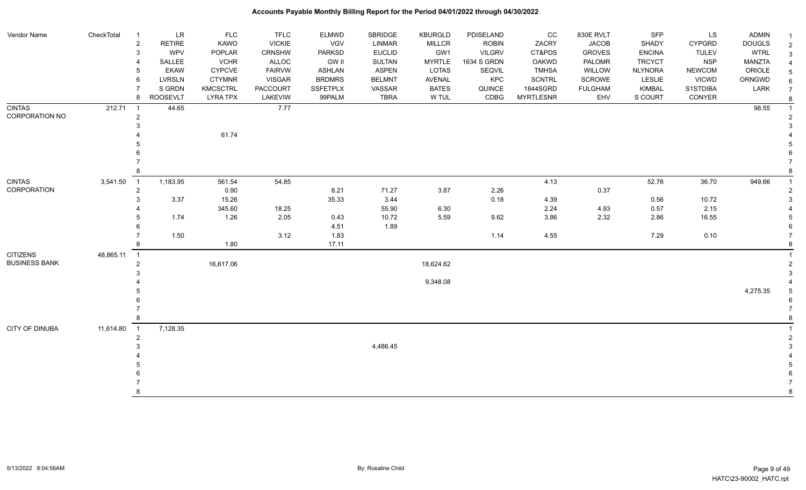| Vendor Name                      | CheckTotal  | $\overline{1}$ | <b>LR</b>       | <b>FLC</b>            | <b>TFLC</b>     | ELMWD                  | <b>SBRIDGE</b>                 | <b>KBURGLD</b>       | PDISELAND                    | CC                     | 830E RVLT               | <b>SFP</b>                     | LS                         | <b>ADMIN</b>          |  |
|----------------------------------|-------------|----------------|-----------------|-----------------------|-----------------|------------------------|--------------------------------|----------------------|------------------------------|------------------------|-------------------------|--------------------------------|----------------------------|-----------------------|--|
|                                  |             | $\overline{c}$ | <b>RETIRE</b>   | KAWO                  | <b>VICKIE</b>   | VGV                    | LINMAR                         | <b>MILLCR</b>        | <b>ROBIN</b>                 | ZACRY                  | <b>JACOB</b>            | SHADY                          | <b>CYPGRD</b>              | <b>DOUGLS</b>         |  |
|                                  |             | 3              | WPV<br>SALLEE   | POPLAR<br><b>VCHR</b> | CRNSHW<br>ALLOC | PARKSD<br><b>GW II</b> | <b>EUCLID</b><br><b>SULTAN</b> | GW1<br><b>MYRTLE</b> | <b>VILGRV</b><br>1634 S GRDN | CT&PDS<br><b>OAKWD</b> | <b>GROVES</b><br>PALOMR | <b>ENCINA</b><br><b>TRCYCT</b> | <b>TULEV</b><br><b>NSP</b> | <b>WTRL</b><br>MANZTA |  |
|                                  |             |                | <b>EKAW</b>     | <b>CYPCVE</b>         | <b>FAIRVW</b>   | ASHLAN                 | <b>ASPEN</b>                   | <b>LOTAS</b>         | SEQVIL                       | <b>TMHSA</b>           | WILLOW                  | <b>NLYNORA</b>                 | <b>NEWCOM</b>              | ORIOLE                |  |
|                                  |             | 6              | <b>LVRSLN</b>   | <b>CTYMNR</b>         | <b>VISGAR</b>   | <b>BRDMRS</b>          | <b>BELMNT</b>                  | AVENAL               | KPC                          | <b>SCNTRL</b>          | SCROWE                  | LESLIE                         | <b>VICWD</b>               | ORNGWD                |  |
|                                  |             |                | S GRDN          | <b>KMCSCTRL</b>       | <b>PACCOURT</b> | <b>SSFETPLX</b>        | VASSAR                         | <b>BATES</b>         | QUINCE                       | 1844SGRD               | <b>FULGHAM</b>          | KIMBAL                         | S1STDIBA                   | LARK                  |  |
|                                  |             | 8              | <b>ROOSEVLT</b> | <b>LYRA TPX</b>       | LAKEVIW         | 99PALM                 | <b>TBRA</b>                    | W TUL                | CDBG                         | <b>MYRTLESNR</b>       | EHV                     | S COURT                        | CONYER                     |                       |  |
| <b>CINTAS</b>                    | 212.71      |                | 44.65           |                       | 7.77            |                        |                                |                      |                              |                        |                         |                                |                            | 98.55                 |  |
| CORPORATION NO                   |             | $\overline{2}$ |                 |                       |                 |                        |                                |                      |                              |                        |                         |                                |                            |                       |  |
|                                  |             |                |                 |                       |                 |                        |                                |                      |                              |                        |                         |                                |                            |                       |  |
|                                  |             |                |                 | 61.74                 |                 |                        |                                |                      |                              |                        |                         |                                |                            |                       |  |
|                                  |             |                |                 |                       |                 |                        |                                |                      |                              |                        |                         |                                |                            |                       |  |
|                                  |             |                |                 |                       |                 |                        |                                |                      |                              |                        |                         |                                |                            |                       |  |
|                                  |             |                |                 |                       |                 |                        |                                |                      |                              |                        |                         |                                |                            |                       |  |
|                                  |             |                |                 |                       |                 |                        |                                |                      |                              |                        |                         |                                |                            |                       |  |
| <b>CINTAS</b>                    | 3,541.50    | $\overline{1}$ | 1,183.95        | 561.54                | 54.85           |                        |                                |                      |                              | 4.13                   |                         | 52.76                          | 36.70                      | 949.66                |  |
| CORPORATION                      |             | $\overline{c}$ |                 | 0.90                  |                 | 8.21                   | 71.27                          | 3.87                 | 2.26                         |                        | 0.37                    |                                |                            |                       |  |
|                                  |             |                | 3.37            | 15.26                 |                 | 35.33                  | 3.44                           |                      | 0.18                         | 4.39                   |                         | 0.56                           | 10.72                      |                       |  |
|                                  |             |                |                 | 345.60                | 18.25           |                        | 55.90                          | 6.30                 |                              | 2.24                   | 4.93                    | 0.57                           | 2.15                       |                       |  |
|                                  |             |                | 1.74            | 1.26                  | 2.05            | 0.43                   | 10.72                          | 5.59                 | 9.62                         | 3.86                   | 2.32                    | 2.86                           | 16.55                      |                       |  |
|                                  |             |                |                 |                       |                 | 4.51                   | 1.89                           |                      |                              |                        |                         |                                |                            |                       |  |
|                                  |             | 8              | 1.50            | 1.80                  | 3.12            | 1.83<br>17.11          |                                |                      | 1.14                         | 4.55                   |                         | 7.29                           | 0.10                       |                       |  |
|                                  |             |                |                 |                       |                 |                        |                                |                      |                              |                        |                         |                                |                            |                       |  |
| CITIZENS<br><b>BUSINESS BANK</b> | 48,865.11 1 | $\mathcal{P}$  |                 |                       |                 |                        |                                |                      |                              |                        |                         |                                |                            |                       |  |
|                                  |             |                |                 | 16,617.06             |                 |                        |                                | 18,624.62            |                              |                        |                         |                                |                            |                       |  |
|                                  |             |                |                 |                       |                 |                        |                                | 9,348.08             |                              |                        |                         |                                |                            |                       |  |
|                                  |             |                |                 |                       |                 |                        |                                |                      |                              |                        |                         |                                |                            | 4,275.35              |  |
|                                  |             |                |                 |                       |                 |                        |                                |                      |                              |                        |                         |                                |                            |                       |  |
|                                  |             |                |                 |                       |                 |                        |                                |                      |                              |                        |                         |                                |                            |                       |  |
|                                  |             |                |                 |                       |                 |                        |                                |                      |                              |                        |                         |                                |                            |                       |  |
| CITY OF DINUBA                   | 11,614.80   | $\overline{1}$ | 7,128.35        |                       |                 |                        |                                |                      |                              |                        |                         |                                |                            |                       |  |
|                                  |             | $\overline{2}$ |                 |                       |                 |                        |                                |                      |                              |                        |                         |                                |                            |                       |  |
|                                  |             |                |                 |                       |                 |                        | 4,486.45                       |                      |                              |                        |                         |                                |                            |                       |  |
|                                  |             |                |                 |                       |                 |                        |                                |                      |                              |                        |                         |                                |                            |                       |  |
|                                  |             |                |                 |                       |                 |                        |                                |                      |                              |                        |                         |                                |                            |                       |  |
|                                  |             |                |                 |                       |                 |                        |                                |                      |                              |                        |                         |                                |                            |                       |  |
|                                  |             |                |                 |                       |                 |                        |                                |                      |                              |                        |                         |                                |                            |                       |  |
|                                  |             |                |                 |                       |                 |                        |                                |                      |                              |                        |                         |                                |                            |                       |  |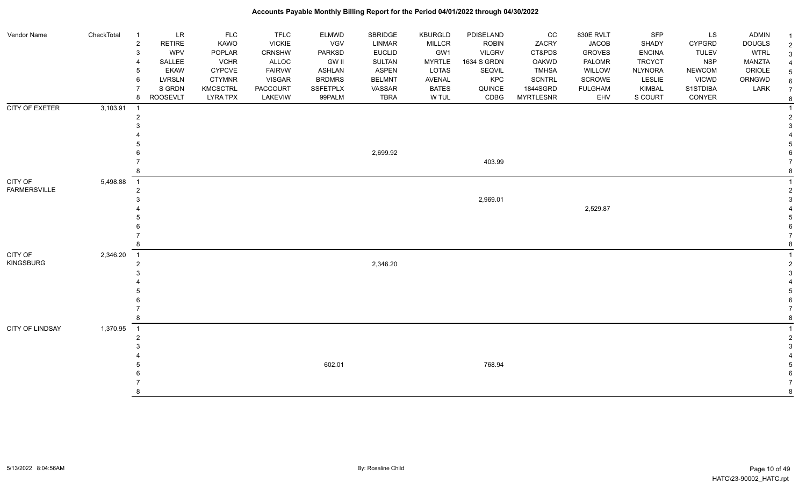#### Vendor Name CheckTotal 1 LR FLC FLC ELMWD SBRIDGE KBURGLD PDISELAND CC 830E RVLT SFP LS ADMIN <sub>1</sub> 2 RETIRE KAWO VICKIE VGV LINMAR MILLCR ROBIN ZACRY JACOB SHADY CYPGRD DOUGLS 2 3 WPV POPLAR CRNSHW PARKSD EUCLID GW1 VILGRV CT&PDS GROVES ENCINA TULEV WTRL 3 4 SALLEE VCHR ALLOC GW II SULTAN MYRTLE 1634 S GRDN OAKWD PALOMR TRCYCT NSP MANZTA 4 5 EKAW CYPCVE FAIRVW ASHLAN ASPEN LOTAS SEQVIL TMHSA WILLOW NLYNORA NEWCOM ORIOLE 5 6 LVRSLN CTYMNR VISGAR BRDMRS BELMNT AVENAL KPC SCNTRL SCROWE LESLIE VICWD ORNGWD  $_{6}$ 7 SIGRDN KMCSCTRL PACCOURT SSFETPLX VASSAR BATES QUINCE 1844SGRD FULGHAM KIMBAL S1STDIBA LARK 7 8 ROOSEVLT LYRA TPX LAKEVIW 99PALM TBRA W TUL CDBG MYRTLESNR EHV S COURT CONYER <sub>8</sub> **Accounts Payable Monthly Billing Report for the Period 04/01/2022 through 04/30/2022** CITY OF EXETER 3,103.91 1 1 2 2  $3<sup>3</sup>$  4 4 5 5 6 2,699.92 6 7 403.99 7 8 8 CITY OF FARMERSVILLE 5,498.88 1 1 2 2  $2,969.01$  3 4 2,529.87 4 5 5  $6$  7 7 8 8 CITY OF KINGSBURG 2,346.20 1 1 2 and a set of the set of the set of the set of the set of the set of the set of the set of the set of the set of the set of the set of the set of the set of the set of the set of the set of the set of the set of the set  $3<sup>3</sup>$  4 4 5 5  $6$  7 7 8 8 CITY OF LINDSAY 1,370.95 1 1 2 2  $3<sup>3</sup>$  4 4 5 602.01 768.94 5  $6$ 7 7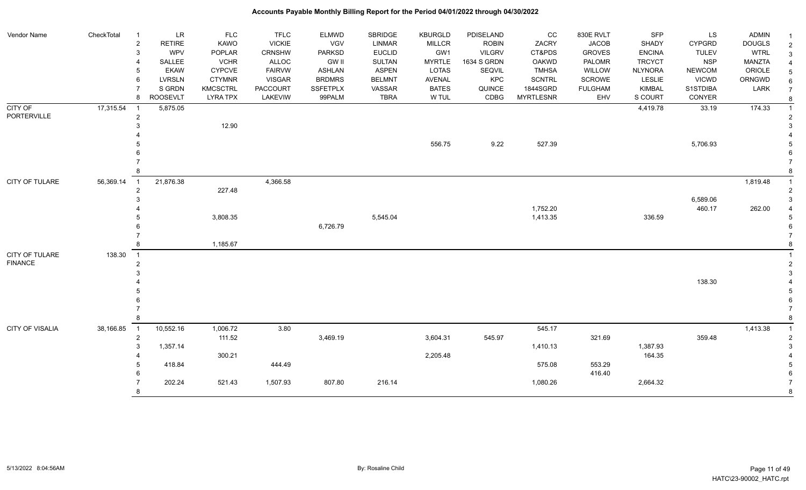| Vendor Name     | CheckTotal | $\overline{1}$      | LR                    | <b>FLC</b>                   | <b>TFLC</b>            | <b>ELMWD</b>                  | SBRIDGE                        | <b>KBURGLD</b>                | PDISELAND                     | cc                           | 830E RVLT                     | SFP                             | LS                          | <b>ADMIN</b>            | -1                  |
|-----------------|------------|---------------------|-----------------------|------------------------------|------------------------|-------------------------------|--------------------------------|-------------------------------|-------------------------------|------------------------------|-------------------------------|---------------------------------|-----------------------------|-------------------------|---------------------|
|                 |            | $\overline{2}$<br>3 | <b>RETIRE</b><br>WPV  | <b>KAWO</b>                  | <b>VICKIE</b>          | <b>VGV</b>                    | <b>LINMAR</b><br><b>EUCLID</b> | <b>MILLCR</b><br>GW1          | <b>ROBIN</b><br><b>VILGRV</b> | ZACRY<br>CT&PDS              | <b>JACOB</b><br><b>GROVES</b> | SHADY                           | <b>CYPGRD</b>               | <b>DOUGLS</b>           | $\overline{2}$      |
|                 |            |                     |                       | POPLAR                       | <b>CRNSHW</b>          | <b>PARKSD</b>                 |                                |                               |                               |                              |                               | <b>ENCINA</b>                   | <b>TULEV</b>                | <b>WTRL</b>             | 3                   |
|                 |            |                     | SALLEE<br><b>EKAW</b> | <b>VCHR</b><br><b>CYPCVE</b> | ALLOC<br><b>FAIRVW</b> | <b>GW II</b><br><b>ASHLAN</b> | SULTAN<br><b>ASPEN</b>         | <b>MYRTLE</b><br><b>LOTAS</b> | 1634 S GRDN<br>SEQVIL         | <b>OAKWD</b><br><b>TMHSA</b> | PALOMR<br>WILLOW              | <b>TRCYCT</b><br><b>NLYNORA</b> | <b>NSP</b><br><b>NEWCOM</b> | <b>MANZTA</b><br>ORIOLE |                     |
|                 |            | 6                   | <b>LVRSLN</b>         | <b>CTYMNR</b>                | <b>VISGAR</b>          | <b>BRDMRS</b>                 | <b>BELMNT</b>                  | <b>AVENAL</b>                 | KPC                           | <b>SCNTRL</b>                | SCROWE                        | LESLIE                          | <b>VICWD</b>                | ORNGWD                  |                     |
|                 |            |                     | S GRDN                | <b>KMCSCTRL</b>              | <b>PACCOURT</b>        | <b>SSFETPLX</b>               | VASSAR                         | <b>BATES</b>                  | QUINCE                        | 1844SGRD                     | <b>FULGHAM</b>                | <b>KIMBAL</b>                   | S1STDIBA                    | LARK                    |                     |
|                 |            | 8                   | <b>ROOSEVLT</b>       | <b>LYRA TPX</b>              | LAKEVIW                | 99PALM                        | <b>TBRA</b>                    | W TUL                         | CDBG                          | <b>MYRTLESNR</b>             | EHV                           | S COURT                         | CONYER                      |                         |                     |
| <b>CITY OF</b>  | 17,315.54  |                     | 5,875.05              |                              |                        |                               |                                |                               |                               |                              |                               | 4,419.78                        | 33.19                       | 174.33                  | 8<br>$\overline{1}$ |
| PORTERVILLE     |            | $\overline{c}$      |                       |                              |                        |                               |                                |                               |                               |                              |                               |                                 |                             |                         |                     |
|                 |            |                     |                       | 12.90                        |                        |                               |                                |                               |                               |                              |                               |                                 |                             |                         |                     |
|                 |            |                     |                       |                              |                        |                               |                                |                               |                               |                              |                               |                                 |                             |                         |                     |
|                 |            |                     |                       |                              |                        |                               |                                | 556.75                        | 9.22                          | 527.39                       |                               |                                 | 5,706.93                    |                         |                     |
|                 |            |                     |                       |                              |                        |                               |                                |                               |                               |                              |                               |                                 |                             |                         |                     |
|                 |            |                     |                       |                              |                        |                               |                                |                               |                               |                              |                               |                                 |                             |                         |                     |
|                 |            |                     |                       |                              |                        |                               |                                |                               |                               |                              |                               |                                 |                             |                         |                     |
| CITY OF TULARE  | 56,369.14  | $\overline{1}$      | 21,876.38             |                              | 4,366.58               |                               |                                |                               |                               |                              |                               |                                 |                             | 1,819.48                |                     |
|                 |            | $\overline{2}$      |                       | 227.48                       |                        |                               |                                |                               |                               |                              |                               |                                 |                             |                         |                     |
|                 |            |                     |                       |                              |                        |                               |                                |                               |                               |                              |                               |                                 | 6,589.06                    |                         |                     |
|                 |            |                     |                       |                              |                        |                               |                                |                               |                               | 1,752.20                     |                               |                                 | 460.17                      | 262.00                  |                     |
|                 |            |                     |                       | 3,808.35                     |                        |                               | 5,545.04                       |                               |                               | 1,413.35                     |                               | 336.59                          |                             |                         |                     |
|                 |            |                     |                       |                              |                        | 6,726.79                      |                                |                               |                               |                              |                               |                                 |                             |                         |                     |
|                 |            |                     |                       |                              |                        |                               |                                |                               |                               |                              |                               |                                 |                             |                         |                     |
|                 |            |                     |                       | 1,185.67                     |                        |                               |                                |                               |                               |                              |                               |                                 |                             |                         |                     |
| CITY OF TULARE  | 138.30     | $\overline{1}$      |                       |                              |                        |                               |                                |                               |                               |                              |                               |                                 |                             |                         |                     |
| <b>FINANCE</b>  |            | $\overline{2}$      |                       |                              |                        |                               |                                |                               |                               |                              |                               |                                 |                             |                         | $\overline{2}$      |
|                 |            |                     |                       |                              |                        |                               |                                |                               |                               |                              |                               |                                 |                             |                         |                     |
|                 |            |                     |                       |                              |                        |                               |                                |                               |                               |                              |                               |                                 | 138.30                      |                         |                     |
|                 |            |                     |                       |                              |                        |                               |                                |                               |                               |                              |                               |                                 |                             |                         |                     |
|                 |            |                     |                       |                              |                        |                               |                                |                               |                               |                              |                               |                                 |                             |                         |                     |
|                 |            |                     |                       |                              |                        |                               |                                |                               |                               |                              |                               |                                 |                             |                         |                     |
|                 |            |                     |                       |                              |                        |                               |                                |                               |                               |                              |                               |                                 |                             |                         | 8                   |
| CITY OF VISALIA | 38,166.85  | $\overline{1}$      | 10,552.16             | 1,006.72                     | 3.80                   |                               |                                |                               |                               | 545.17                       |                               |                                 |                             | 1,413.38                | $\overline{1}$      |
|                 |            | $\overline{2}$      |                       | 111.52                       |                        | 3,469.19                      |                                | 3,604.31                      | 545.97                        |                              | 321.69                        |                                 | 359.48                      |                         | $\overline{2}$      |
|                 |            | 3                   | 1,357.14              |                              |                        |                               |                                |                               |                               | 1,410.13                     |                               | 1,387.93                        |                             |                         |                     |
|                 |            |                     |                       | 300.21                       |                        |                               |                                | 2,205.48                      |                               |                              |                               | 164.35                          |                             |                         |                     |
|                 |            |                     | 418.84                |                              | 444.49                 |                               |                                |                               |                               | 575.08                       | 553.29                        |                                 |                             |                         |                     |
|                 |            |                     | 202.24                | 521.43                       | 1,507.93               | 807.80                        | 216.14                         |                               |                               | 1,080.26                     | 416.40                        | 2,664.32                        |                             |                         |                     |
|                 |            | 8                   |                       |                              |                        |                               |                                |                               |                               |                              |                               |                                 |                             |                         | 8                   |
|                 |            |                     |                       |                              |                        |                               |                                |                               |                               |                              |                               |                                 |                             |                         |                     |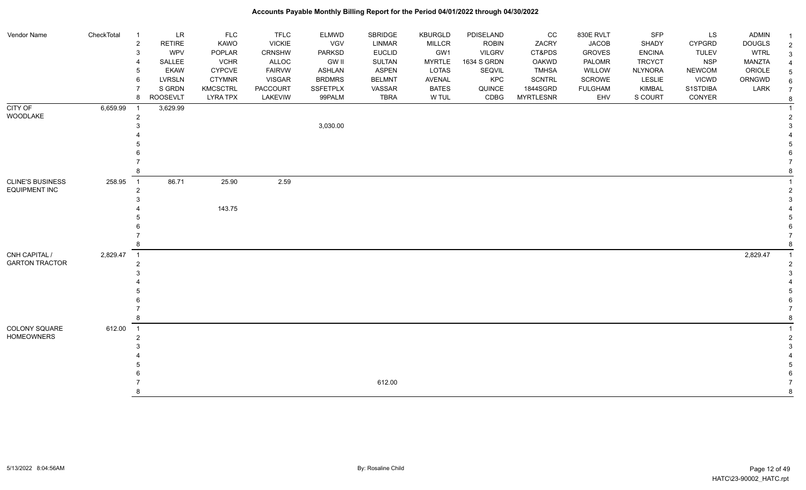| Vendor Name                                     | CheckTotal | $\mathbf{1}$                     | LR              | FLC             | <b>TFLC</b>   | <b>ELMWD</b>    | SBRIDGE       | <b>KBURGLD</b> | PDISELAND     | $_{\rm CC}$      | 830E RVLT      | SFP            | LS            | <b>ADMIN</b>  |  |
|-------------------------------------------------|------------|----------------------------------|-----------------|-----------------|---------------|-----------------|---------------|----------------|---------------|------------------|----------------|----------------|---------------|---------------|--|
|                                                 |            | $\sqrt{2}$                       | RETIRE          | KAWO            | <b>VICKIE</b> | VGV             | <b>LINMAR</b> | <b>MILLCR</b>  | <b>ROBIN</b>  | ZACRY            | <b>JACOB</b>   | SHADY          | <b>CYPGRD</b> | <b>DOUGLS</b> |  |
|                                                 |            | $\mathsf 3$                      | <b>WPV</b>      | POPLAR          | CRNSHW        | <b>PARKSD</b>   | <b>EUCLID</b> | GW1            | <b>VILGRV</b> | CT&PDS           | <b>GROVES</b>  | <b>ENCINA</b>  | <b>TULEV</b>  | <b>WTRL</b>   |  |
|                                                 |            | $\overline{4}$                   | SALLEE          | <b>VCHR</b>     | ALLOC         | <b>GW II</b>    | <b>SULTAN</b> | <b>MYRTLE</b>  | 1634 S GRDN   | OAKWD            | PALOMR         | <b>TRCYCT</b>  | <b>NSP</b>    | <b>MANZTA</b> |  |
|                                                 |            | 5                                | <b>EKAW</b>     | <b>CYPCVE</b>   | <b>FAIRVW</b> | <b>ASHLAN</b>   | <b>ASPEN</b>  | <b>LOTAS</b>   | SEQVIL        | <b>TMHSA</b>     | WILLOW         | <b>NLYNORA</b> | <b>NEWCOM</b> | ORIOLE        |  |
|                                                 |            | 6                                | <b>LVRSLN</b>   | <b>CTYMNR</b>   | <b>VISGAR</b> | <b>BRDMRS</b>   | <b>BELMNT</b> | AVENAL         | KPC           | <b>SCNTRL</b>    | SCROWE         | <b>LESLIE</b>  | <b>VICWD</b>  | ORNGWD        |  |
|                                                 |            | $\overline{7}$                   | S GRDN          | <b>KMCSCTRL</b> | PACCOURT      | <b>SSFETPLX</b> | VASSAR        | <b>BATES</b>   | QUINCE        | 1844SGRD         | <b>FULGHAM</b> | <b>KIMBAL</b>  | S1STDIBA      | LARK          |  |
|                                                 |            | 8                                | <b>ROOSEVLT</b> | <b>LYRA TPX</b> | LAKEVIW       | 99PALM          | <b>TBRA</b>   | W TUL          | CDBG          | <b>MYRTLESNR</b> | EHV            | S COURT        | CONYER        |               |  |
| CITY OF                                         | 6,659.99   | $\overline{1}$                   | 3,629.99        |                 |               |                 |               |                |               |                  |                |                |               |               |  |
| WOODLAKE                                        |            | $\overline{2}$                   |                 |                 |               |                 |               |                |               |                  |                |                |               |               |  |
|                                                 |            | 3                                |                 |                 |               | 3,030.00        |               |                |               |                  |                |                |               |               |  |
|                                                 |            |                                  |                 |                 |               |                 |               |                |               |                  |                |                |               |               |  |
|                                                 |            |                                  |                 |                 |               |                 |               |                |               |                  |                |                |               |               |  |
|                                                 |            |                                  |                 |                 |               |                 |               |                |               |                  |                |                |               |               |  |
|                                                 |            |                                  |                 |                 |               |                 |               |                |               |                  |                |                |               |               |  |
|                                                 |            | 8                                |                 |                 |               |                 |               |                |               |                  |                |                |               |               |  |
| <b>CLINE'S BUSINESS</b><br><b>EQUIPMENT INC</b> | 258.95     | $\overline{1}$<br>$\overline{2}$ | 86.71           | 25.90           | 2.59          |                 |               |                |               |                  |                |                |               |               |  |
|                                                 |            | 3                                |                 |                 |               |                 |               |                |               |                  |                |                |               |               |  |
|                                                 |            |                                  |                 | 143.75          |               |                 |               |                |               |                  |                |                |               |               |  |
|                                                 |            |                                  |                 |                 |               |                 |               |                |               |                  |                |                |               |               |  |
|                                                 |            |                                  |                 |                 |               |                 |               |                |               |                  |                |                |               |               |  |
|                                                 |            |                                  |                 |                 |               |                 |               |                |               |                  |                |                |               |               |  |
|                                                 |            | 8                                |                 |                 |               |                 |               |                |               |                  |                |                |               |               |  |
| CNH CAPITAL /                                   | 2,829.47   | $\overline{1}$                   |                 |                 |               |                 |               |                |               |                  |                |                |               | 2,829.47      |  |
| <b>GARTON TRACTOR</b>                           |            | $\overline{2}$                   |                 |                 |               |                 |               |                |               |                  |                |                |               |               |  |
|                                                 |            | 3                                |                 |                 |               |                 |               |                |               |                  |                |                |               |               |  |
|                                                 |            |                                  |                 |                 |               |                 |               |                |               |                  |                |                |               |               |  |
|                                                 |            |                                  |                 |                 |               |                 |               |                |               |                  |                |                |               |               |  |
|                                                 |            |                                  |                 |                 |               |                 |               |                |               |                  |                |                |               |               |  |
|                                                 |            |                                  |                 |                 |               |                 |               |                |               |                  |                |                |               |               |  |
|                                                 |            | 8                                |                 |                 |               |                 |               |                |               |                  |                |                |               |               |  |
| COLONY SQUARE                                   | 612.00     | $\overline{1}$                   |                 |                 |               |                 |               |                |               |                  |                |                |               |               |  |
| <b>HOMEOWNERS</b>                               |            | $\overline{2}$                   |                 |                 |               |                 |               |                |               |                  |                |                |               |               |  |
|                                                 |            | 3                                |                 |                 |               |                 |               |                |               |                  |                |                |               |               |  |
|                                                 |            |                                  |                 |                 |               |                 |               |                |               |                  |                |                |               |               |  |
|                                                 |            |                                  |                 |                 |               |                 |               |                |               |                  |                |                |               |               |  |
|                                                 |            |                                  |                 |                 |               |                 |               |                |               |                  |                |                |               |               |  |
|                                                 |            |                                  |                 |                 |               |                 | 612.00        |                |               |                  |                |                |               |               |  |
|                                                 |            | 8                                |                 |                 |               |                 |               |                |               |                  |                |                |               |               |  |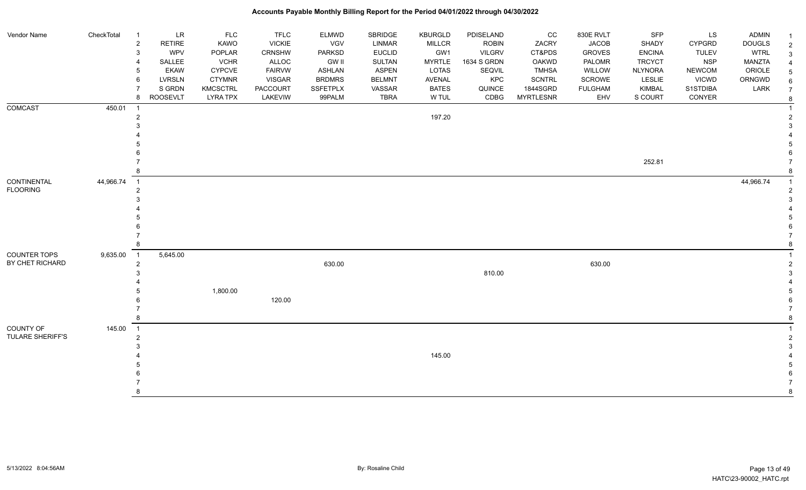| Vendor Name             | CheckTotal | $\overline{1}$             | <b>LR</b>       | <b>FLC</b>      | <b>TFLC</b>   | <b>ELMWD</b>    | SBRIDGE       | <b>KBURGLD</b> | PDISELAND     | cc               | 830E RVLT      | <b>SFP</b>     | LS            | <b>ADMIN</b>  |                |
|-------------------------|------------|----------------------------|-----------------|-----------------|---------------|-----------------|---------------|----------------|---------------|------------------|----------------|----------------|---------------|---------------|----------------|
|                         |            | $\sqrt{2}$                 | <b>RETIRE</b>   | KAWO            | <b>VICKIE</b> | VGV             | LINMAR        | <b>MILLCR</b>  | <b>ROBIN</b>  | ZACRY            | <b>JACOB</b>   | SHADY          | <b>CYPGRD</b> | <b>DOUGLS</b> | $\overline{2}$ |
|                         |            | $\mathsf 3$                | WPV             | POPLAR          | <b>CRNSHW</b> | <b>PARKSD</b>   | <b>EUCLID</b> | GW1            | <b>VILGRV</b> | CT&PDS           | <b>GROVES</b>  | <b>ENCINA</b>  | <b>TULEV</b>  | <b>WTRL</b>   |                |
|                         |            | $\overline{4}$             | SALLEE          | <b>VCHR</b>     | ALLOC         | <b>GW II</b>    | SULTAN        | <b>MYRTLE</b>  | 1634 S GRDN   | <b>OAKWD</b>     | PALOMR         | <b>TRCYCT</b>  | <b>NSP</b>    | MANZTA        |                |
|                         |            | 5                          | <b>EKAW</b>     | <b>CYPCVE</b>   | <b>FAIRVW</b> | <b>ASHLAN</b>   | <b>ASPEN</b>  | <b>LOTAS</b>   | <b>SEQVIL</b> | TMHSA            | WILLOW         | <b>NLYNORA</b> | <b>NEWCOM</b> | ORIOLE        |                |
|                         |            | 6                          | <b>LVRSLN</b>   | <b>CTYMNR</b>   | <b>VISGAR</b> | <b>BRDMRS</b>   | <b>BELMNT</b> | AVENAL         | KPC           | <b>SCNTRL</b>    | SCROWE         | LESLIE         | <b>VICWD</b>  | ORNGWD        |                |
|                         |            |                            | S GRDN          | <b>KMCSCTRL</b> | PACCOURT      | <b>SSFETPLX</b> | VASSAR        | <b>BATES</b>   | QUINCE        | 1844SGRD         | <b>FULGHAM</b> | <b>KIMBAL</b>  | S1STDIBA      | LARK          |                |
|                         |            | 8                          | <b>ROOSEVLT</b> | <b>LYRA TPX</b> | LAKEVIW       | 99PALM          | <b>TBRA</b>   | W TUL          | CDBG          | <b>MYRTLESNR</b> | EHV            | S COURT        | CONYER        |               |                |
| <b>COMCAST</b>          | 450.01     | $\overline{1}$             |                 |                 |               |                 |               |                |               |                  |                |                |               |               |                |
|                         |            | $\overline{2}$             |                 |                 |               |                 |               | 197.20         |               |                  |                |                |               |               |                |
|                         |            | 3                          |                 |                 |               |                 |               |                |               |                  |                |                |               |               |                |
|                         |            |                            |                 |                 |               |                 |               |                |               |                  |                |                |               |               |                |
|                         |            |                            |                 |                 |               |                 |               |                |               |                  |                |                |               |               |                |
|                         |            |                            |                 |                 |               |                 |               |                |               |                  |                |                |               |               |                |
|                         |            |                            |                 |                 |               |                 |               |                |               |                  |                | 252.81         |               |               |                |
|                         |            | 8                          |                 |                 |               |                 |               |                |               |                  |                |                |               |               |                |
| <b>CONTINENTAL</b>      | 44,966.74  | $\overline{1}$             |                 |                 |               |                 |               |                |               |                  |                |                |               | 44,966.74     |                |
| <b>FLOORING</b>         |            | $\overline{2}$             |                 |                 |               |                 |               |                |               |                  |                |                |               |               |                |
|                         |            | 3                          |                 |                 |               |                 |               |                |               |                  |                |                |               |               |                |
|                         |            |                            |                 |                 |               |                 |               |                |               |                  |                |                |               |               |                |
|                         |            |                            |                 |                 |               |                 |               |                |               |                  |                |                |               |               |                |
|                         |            |                            |                 |                 |               |                 |               |                |               |                  |                |                |               |               |                |
|                         |            |                            |                 |                 |               |                 |               |                |               |                  |                |                |               |               |                |
|                         |            | 8                          |                 |                 |               |                 |               |                |               |                  |                |                |               |               |                |
| <b>COUNTER TOPS</b>     | 9,635.00   | $\overline{\phantom{0}}$ 1 | 5,645.00        |                 |               |                 |               |                |               |                  |                |                |               |               |                |
| BY CHET RICHARD         |            | $\overline{c}$             |                 |                 |               | 630.00          |               |                |               |                  | 630.00         |                |               |               |                |
|                         |            | 3                          |                 |                 |               |                 |               |                | 810.00        |                  |                |                |               |               |                |
|                         |            |                            |                 |                 |               |                 |               |                |               |                  |                |                |               |               |                |
|                         |            | 5                          |                 | 1,800.00        |               |                 |               |                |               |                  |                |                |               |               |                |
|                         |            |                            |                 |                 | 120.00        |                 |               |                |               |                  |                |                |               |               |                |
|                         |            | $\overline{7}$             |                 |                 |               |                 |               |                |               |                  |                |                |               |               |                |
|                         |            | 8                          |                 |                 |               |                 |               |                |               |                  |                |                |               |               |                |
| COUNTY OF               | 145.00     | $\overline{1}$             |                 |                 |               |                 |               |                |               |                  |                |                |               |               |                |
| <b>TULARE SHERIFF'S</b> |            | $\overline{2}$             |                 |                 |               |                 |               |                |               |                  |                |                |               |               |                |
|                         |            | 3                          |                 |                 |               |                 |               |                |               |                  |                |                |               |               |                |
|                         |            |                            |                 |                 |               |                 |               | 145.00         |               |                  |                |                |               |               |                |
|                         |            |                            |                 |                 |               |                 |               |                |               |                  |                |                |               |               |                |
|                         |            |                            |                 |                 |               |                 |               |                |               |                  |                |                |               |               |                |
|                         |            | 8                          |                 |                 |               |                 |               |                |               |                  |                |                |               |               |                |
|                         |            |                            |                 |                 |               |                 |               |                |               |                  |                |                |               |               |                |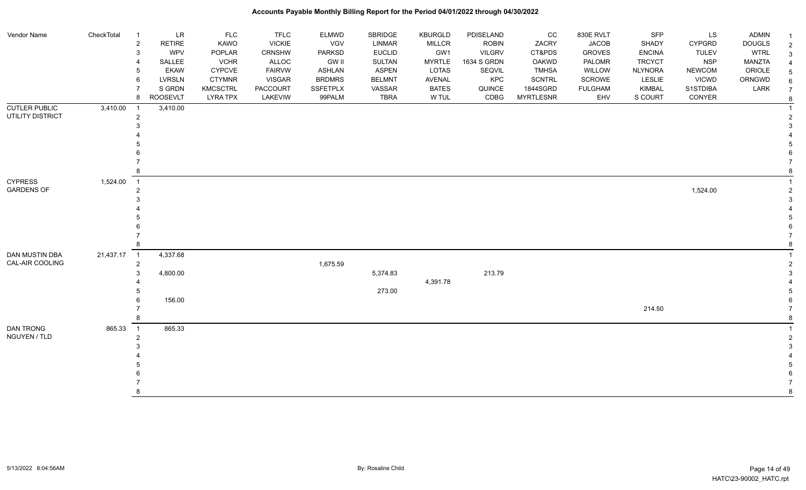| Vendor Name          | CheckTotal  | $\overline{1}$             | <b>LR</b>     | <b>FLC</b>      | <b>TFLC</b>   | <b>ELMWD</b>    | <b>SBRIDGE</b> | <b>KBURGLD</b> | PDISELAND     | $_{\rm CC}$      | 830E RVLT      | SFP            | <b>LS</b>     | <b>ADMIN</b>  |                |
|----------------------|-------------|----------------------------|---------------|-----------------|---------------|-----------------|----------------|----------------|---------------|------------------|----------------|----------------|---------------|---------------|----------------|
|                      |             | $\overline{c}$             | <b>RETIRE</b> | KAWO            | <b>VICKIE</b> | VGV             | <b>LINMAR</b>  | <b>MILLCR</b>  | <b>ROBIN</b>  | ZACRY            | <b>JACOB</b>   | SHADY          | <b>CYPGRD</b> | <b>DOUGLS</b> | 2              |
|                      |             | 3                          | <b>WPV</b>    | POPLAR          | CRNSHW        | PARKSD          | <b>EUCLID</b>  | GW1            | <b>VILGRV</b> | CT&PDS           | <b>GROVES</b>  | <b>ENCINA</b>  | <b>TULEV</b>  | <b>WTRL</b>   | 3              |
|                      |             | $\boldsymbol{\Delta}$      | SALLEE        | <b>VCHR</b>     | ALLOC         | <b>GW II</b>    | SULTAN         | <b>MYRTLE</b>  | 1634 S GRDN   | OAKWD            | PALOMR         | <b>TRCYCT</b>  | <b>NSP</b>    | <b>MANZTA</b> |                |
|                      |             | 5                          | <b>EKAW</b>   | <b>CYPCVE</b>   | <b>FAIRVW</b> | <b>ASHLAN</b>   | <b>ASPEN</b>   | <b>LOTAS</b>   | SEQVIL        | <b>TMHSA</b>     | WILLOW         | <b>NLYNORA</b> | <b>NEWCOM</b> | ORIOLE        |                |
|                      |             | 6                          | <b>LVRSLN</b> | <b>CTYMNR</b>   | <b>VISGAR</b> | <b>BRDMRS</b>   | <b>BELMNT</b>  | AVENAL         | KPC           | <b>SCNTRL</b>    | <b>SCROWE</b>  | LESLIE         | <b>VICWD</b>  | ORNGWD        |                |
|                      |             |                            | S GRDN        | <b>KMCSCTRL</b> | PACCOURT      | <b>SSFETPLX</b> | VASSAR         | <b>BATES</b>   | QUINCE        | 1844SGRD         | <b>FULGHAM</b> | KIMBAL         | S1STDIBA      | LARK          |                |
|                      |             | 8                          | ROOSEVLT      | <b>LYRA TPX</b> | LAKEVIW       | 99PALM          | <b>TBRA</b>    | W TUL          | CDBG          | <b>MYRTLESNR</b> | EHV            | S COURT        | CONYER        |               | 8              |
| <b>CUTLER PUBLIC</b> | 3,410.00    | $\overline{1}$             | 3,410.00      |                 |               |                 |                |                |               |                  |                |                |               |               |                |
| UTILITY DISTRICT     |             | $\overline{2}$             |               |                 |               |                 |                |                |               |                  |                |                |               |               |                |
|                      |             | 3                          |               |                 |               |                 |                |                |               |                  |                |                |               |               |                |
|                      |             |                            |               |                 |               |                 |                |                |               |                  |                |                |               |               |                |
|                      |             |                            |               |                 |               |                 |                |                |               |                  |                |                |               |               |                |
|                      |             |                            |               |                 |               |                 |                |                |               |                  |                |                |               |               |                |
|                      |             |                            |               |                 |               |                 |                |                |               |                  |                |                |               |               |                |
| <b>CYPRESS</b>       |             | 8                          |               |                 |               |                 |                |                |               |                  |                |                |               |               |                |
| <b>GARDENS OF</b>    | 1,524.00    | $\overline{1}$             |               |                 |               |                 |                |                |               |                  |                |                |               |               |                |
|                      |             | $\overline{2}$             |               |                 |               |                 |                |                |               |                  |                |                | 1,524.00      |               | $\overline{2}$ |
|                      |             |                            |               |                 |               |                 |                |                |               |                  |                |                |               |               |                |
|                      |             |                            |               |                 |               |                 |                |                |               |                  |                |                |               |               |                |
|                      |             |                            |               |                 |               |                 |                |                |               |                  |                |                |               |               |                |
|                      |             |                            |               |                 |               |                 |                |                |               |                  |                |                |               |               |                |
|                      |             | 8                          |               |                 |               |                 |                |                |               |                  |                |                |               |               |                |
| DAN MUSTIN DBA       | 21,437.17 1 |                            | 4,337.68      |                 |               |                 |                |                |               |                  |                |                |               |               |                |
| CAL-AIR COOLING      |             | $\overline{2}$             |               |                 |               | 1,675.59        |                |                |               |                  |                |                |               |               |                |
|                      |             | 3                          | 4,800.00      |                 |               |                 | 5,374.83       |                | 213.79        |                  |                |                |               |               |                |
|                      |             |                            |               |                 |               |                 |                | 4,391.78       |               |                  |                |                |               |               |                |
|                      |             |                            |               |                 |               |                 | 273.00         |                |               |                  |                |                |               |               |                |
|                      |             | 6                          | 156.00        |                 |               |                 |                |                |               |                  |                |                |               |               |                |
|                      |             |                            |               |                 |               |                 |                |                |               |                  |                | 214.50         |               |               |                |
|                      |             | 8                          |               |                 |               |                 |                |                |               |                  |                |                |               |               |                |
| DAN TRONG            | 865.33      | $\overline{\phantom{0}}$ 1 | 865.33        |                 |               |                 |                |                |               |                  |                |                |               |               |                |
| NGUYEN / TLD         |             | $\overline{2}$             |               |                 |               |                 |                |                |               |                  |                |                |               |               |                |
|                      |             |                            |               |                 |               |                 |                |                |               |                  |                |                |               |               |                |
|                      |             |                            |               |                 |               |                 |                |                |               |                  |                |                |               |               |                |
|                      |             |                            |               |                 |               |                 |                |                |               |                  |                |                |               |               |                |
|                      |             |                            |               |                 |               |                 |                |                |               |                  |                |                |               |               |                |
|                      |             |                            |               |                 |               |                 |                |                |               |                  |                |                |               |               |                |
|                      |             | я                          |               |                 |               |                 |                |                |               |                  |                |                |               |               |                |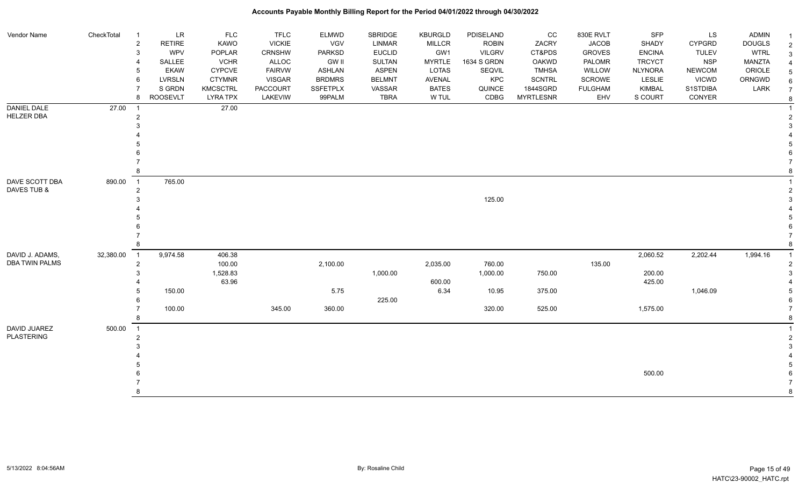| Vendor Name           | CheckTotal | $\overline{\mathbf{1}}$ | LR              | <b>FLC</b>      | <b>TFLC</b>     | <b>ELMWD</b>    | SBRIDGE       | <b>KBURGLD</b> | PDISELAND     | CC               | 830E RVLT      | SFP            | LS            | <b>ADMIN</b>  | $\overline{1}$ |
|-----------------------|------------|-------------------------|-----------------|-----------------|-----------------|-----------------|---------------|----------------|---------------|------------------|----------------|----------------|---------------|---------------|----------------|
|                       |            | $\overline{2}$          | <b>RETIRE</b>   | KAWO            | <b>VICKIE</b>   | <b>VGV</b>      | <b>LINMAR</b> | <b>MILLCR</b>  | <b>ROBIN</b>  | ZACRY            | <b>JACOB</b>   | <b>SHADY</b>   | <b>CYPGRD</b> | <b>DOUGLS</b> | $\overline{2}$ |
|                       |            | 3                       | WPV             | <b>POPLAR</b>   | <b>CRNSHW</b>   | <b>PARKSD</b>   | <b>EUCLID</b> | GW1            | <b>VILGRV</b> | CT&PDS           | <b>GROVES</b>  | <b>ENCINA</b>  | <b>TULEV</b>  | <b>WTRL</b>   | 3              |
|                       |            |                         | SALLEE          | <b>VCHR</b>     | ALLOC           | <b>GW II</b>    | <b>SULTAN</b> | <b>MYRTLE</b>  | 1634 S GRDN   | OAKWD            | PALOMR         | <b>TRCYCT</b>  | <b>NSP</b>    | MANZTA        | $\overline{4}$ |
|                       |            | 5                       | <b>EKAW</b>     | <b>CYPCVE</b>   | <b>FAIRVW</b>   | <b>ASHLAN</b>   | <b>ASPEN</b>  | LOTAS          | SEQVIL        | <b>TMHSA</b>     | <b>WILLOW</b>  | <b>NLYNORA</b> | <b>NEWCOM</b> | ORIOLE        | 5              |
|                       |            | 6                       | <b>LVRSLN</b>   | <b>CTYMNR</b>   | <b>VISGAR</b>   | <b>BRDMRS</b>   | <b>BELMNT</b> | <b>AVENAL</b>  | KPC           | <b>SCNTRL</b>    | <b>SCROWE</b>  | LESLIE         | <b>VICWD</b>  | ORNGWD        | 6              |
|                       |            |                         | S GRDN          | <b>KMCSCTRL</b> | <b>PACCOURT</b> | <b>SSFETPLX</b> | VASSAR        | <b>BATES</b>   | QUINCE        | 1844SGRD         | <b>FULGHAM</b> | <b>KIMBAL</b>  | S1STDIBA      | LARK          | $\overline{7}$ |
|                       |            | 8                       | <b>ROOSEVLT</b> | <b>LYRA TPX</b> | LAKEVIW         | 99PALM          | <b>TBRA</b>   | W TUL          | CDBG          | <b>MYRTLESNR</b> | EHV            | S COURT        | CONYER        |               | 8              |
| <b>DANIEL DALE</b>    | 27.00      | $\overline{1}$          |                 | 27.00           |                 |                 |               |                |               |                  |                |                |               |               | $\overline{1}$ |
| <b>HELZER DBA</b>     |            | $\overline{2}$          |                 |                 |                 |                 |               |                |               |                  |                |                |               |               | $\overline{2}$ |
|                       |            | 3                       |                 |                 |                 |                 |               |                |               |                  |                |                |               |               | 3              |
|                       |            |                         |                 |                 |                 |                 |               |                |               |                  |                |                |               |               |                |
|                       |            |                         |                 |                 |                 |                 |               |                |               |                  |                |                |               |               |                |
|                       |            |                         |                 |                 |                 |                 |               |                |               |                  |                |                |               |               | 6              |
|                       |            |                         |                 |                 |                 |                 |               |                |               |                  |                |                |               |               |                |
|                       |            |                         |                 |                 |                 |                 |               |                |               |                  |                |                |               |               | 8              |
| DAVE SCOTT DBA        | 890.00     | $\overline{1}$          | 765.00          |                 |                 |                 |               |                |               |                  |                |                |               |               |                |
| DAVES TUB &           |            | $\boldsymbol{2}$        |                 |                 |                 |                 |               |                |               |                  |                |                |               |               | $\overline{2}$ |
|                       |            |                         |                 |                 |                 |                 |               |                | 125.00        |                  |                |                |               |               | 3              |
|                       |            |                         |                 |                 |                 |                 |               |                |               |                  |                |                |               |               |                |
|                       |            |                         |                 |                 |                 |                 |               |                |               |                  |                |                |               |               |                |
|                       |            |                         |                 |                 |                 |                 |               |                |               |                  |                |                |               |               |                |
|                       |            | 8                       |                 |                 |                 |                 |               |                |               |                  |                |                |               |               | 8              |
| DAVID J. ADAMS,       | 32,380.00  | $\overline{1}$          | 9,974.58        | 406.38          |                 |                 |               |                |               |                  |                | 2,060.52       | 2,202.44      | 1,994.16      |                |
| <b>DBA TWIN PALMS</b> |            | $\overline{2}$          |                 | 100.00          |                 | 2,100.00        |               | 2,035.00       | 760.00        |                  | 135.00         |                |               |               | $\overline{2}$ |
|                       |            | 3                       |                 | 1,528.83        |                 |                 | 1,000.00      |                | 1,000.00      | 750.00           |                | 200.00         |               |               | 3              |
|                       |            |                         |                 | 63.96           |                 |                 |               | 600.00         |               |                  |                | 425.00         |               |               |                |
|                       |            | 5                       | 150.00          |                 |                 | 5.75            |               | 6.34           | 10.95         | 375.00           |                |                | 1,046.09      |               | 5              |
|                       |            |                         |                 |                 |                 |                 | 225.00        |                |               |                  |                |                |               |               | 6              |
|                       |            |                         | 100.00          |                 | 345.00          | 360.00          |               |                | 320.00        | 525.00           |                | 1,575.00       |               |               | $\overline{7}$ |
|                       |            | 8                       |                 |                 |                 |                 |               |                |               |                  |                |                |               |               | 8              |
| DAVID JUAREZ          | 500.00     | $\overline{1}$          |                 |                 |                 |                 |               |                |               |                  |                |                |               |               | $\overline{1}$ |
| <b>PLASTERING</b>     |            | $\overline{2}$          |                 |                 |                 |                 |               |                |               |                  |                |                |               |               | $\overline{2}$ |
|                       |            |                         |                 |                 |                 |                 |               |                |               |                  |                |                |               |               | 3              |
|                       |            |                         |                 |                 |                 |                 |               |                |               |                  |                |                |               |               |                |
|                       |            |                         |                 |                 |                 |                 |               |                |               |                  |                |                |               |               | .5             |
|                       |            |                         |                 |                 |                 |                 |               |                |               |                  |                | 500.00         |               |               | 6              |
|                       |            |                         |                 |                 |                 |                 |               |                |               |                  |                |                |               |               | $\overline{7}$ |
|                       |            |                         |                 |                 |                 |                 |               |                |               |                  |                |                |               |               | 8              |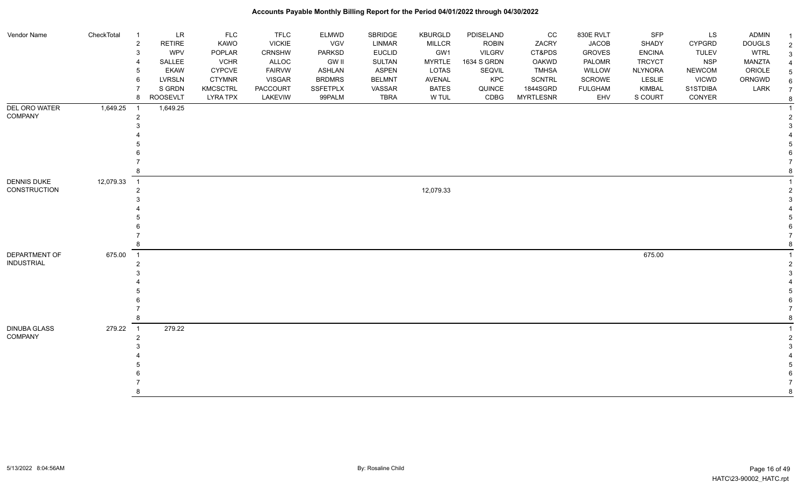| Vendor Name                               | CheckTotal | $\overline{1}$<br>$\sqrt{2}$<br>$\mathsf 3$<br>$\overline{4}$<br>5<br>6 | <b>LR</b><br><b>RETIRE</b><br>WPV<br>SALLEE<br><b>EKAW</b><br>LVRSLN<br>S GRDN | <b>FLC</b><br>KAWO<br>POPLAR<br><b>VCHR</b><br><b>CYPCVE</b><br><b>CTYMNR</b><br><b>KMCSCTRL</b> | <b>TFLC</b><br><b>VICKIE</b><br><b>CRNSHW</b><br>ALLOC<br><b>FAIRVW</b><br><b>VISGAR</b><br>PACCOURT | <b>ELMWD</b><br>VGV<br>PARKSD<br><b>GW II</b><br><b>ASHLAN</b><br><b>BRDMRS</b><br><b>SSFETPLX</b> | SBRIDGE<br>LINMAR<br><b>EUCLID</b><br>SULTAN<br><b>ASPEN</b><br><b>BELMNT</b><br>VASSAR | KBURGLD<br><b>MILLCR</b><br>GW1<br><b>MYRTLE</b><br>LOTAS<br>AVENAL<br><b>BATES</b> | PDISELAND<br><b>ROBIN</b><br><b>VILGRV</b><br>1634 S GRDN<br>SEQVIL<br>KPC<br>QUINCE | cc<br>ZACRY<br>CT&PDS<br><b>OAKWD</b><br><b>TMHSA</b><br><b>SCNTRL</b><br>1844SGRD | 830E RVLT<br><b>JACOB</b><br><b>GROVES</b><br>PALOMR<br>WILLOW<br>SCROWE<br><b>FULGHAM</b> | SFP<br>SHADY<br><b>ENCINA</b><br><b>TRCYCT</b><br><b>NLYNORA</b><br>LESLIE<br><b>KIMBAL</b> | <b>LS</b><br>CYPGRD<br><b>TULEV</b><br><b>NSP</b><br><b>NEWCOM</b><br><b>VICWD</b><br>S1STDIBA | <b>ADMIN</b><br><b>DOUGLS</b><br><b>WTRL</b><br>MANZTA<br>ORIOLE<br>ORNGWD<br>LARK | 2 |
|-------------------------------------------|------------|-------------------------------------------------------------------------|--------------------------------------------------------------------------------|--------------------------------------------------------------------------------------------------|------------------------------------------------------------------------------------------------------|----------------------------------------------------------------------------------------------------|-----------------------------------------------------------------------------------------|-------------------------------------------------------------------------------------|--------------------------------------------------------------------------------------|------------------------------------------------------------------------------------|--------------------------------------------------------------------------------------------|---------------------------------------------------------------------------------------------|------------------------------------------------------------------------------------------------|------------------------------------------------------------------------------------|---|
|                                           |            | 8                                                                       | <b>ROOSEVLT</b>                                                                | <b>LYRA TPX</b>                                                                                  | LAKEVIW                                                                                              | 99PALM                                                                                             | <b>TBRA</b>                                                                             | W TUL                                                                               | CDBG                                                                                 | <b>MYRTLESNR</b>                                                                   | EHV                                                                                        | S COURT                                                                                     | CONYER                                                                                         |                                                                                    |   |
| <b>DEL ORO WATER</b><br>COMPANY           | 1,649.25   | $\overline{1}$<br>$\overline{2}$<br>3                                   | 1,649.25                                                                       |                                                                                                  |                                                                                                      |                                                                                                    |                                                                                         |                                                                                     |                                                                                      |                                                                                    |                                                                                            |                                                                                             |                                                                                                |                                                                                    |   |
|                                           |            | 8                                                                       |                                                                                |                                                                                                  |                                                                                                      |                                                                                                    |                                                                                         |                                                                                     |                                                                                      |                                                                                    |                                                                                            |                                                                                             |                                                                                                |                                                                                    |   |
| <b>DENNIS DUKE</b><br><b>CONSTRUCTION</b> | 12,079.33  | $\overline{1}$<br>$\overline{2}$<br>3                                   |                                                                                |                                                                                                  |                                                                                                      |                                                                                                    |                                                                                         | 12,079.33                                                                           |                                                                                      |                                                                                    |                                                                                            |                                                                                             |                                                                                                |                                                                                    |   |
|                                           |            |                                                                         |                                                                                |                                                                                                  |                                                                                                      |                                                                                                    |                                                                                         |                                                                                     |                                                                                      |                                                                                    |                                                                                            |                                                                                             |                                                                                                |                                                                                    |   |
|                                           |            |                                                                         |                                                                                |                                                                                                  |                                                                                                      |                                                                                                    |                                                                                         |                                                                                     |                                                                                      |                                                                                    |                                                                                            |                                                                                             |                                                                                                |                                                                                    |   |
|                                           |            |                                                                         |                                                                                |                                                                                                  |                                                                                                      |                                                                                                    |                                                                                         |                                                                                     |                                                                                      |                                                                                    |                                                                                            |                                                                                             |                                                                                                |                                                                                    |   |
|                                           |            | 8                                                                       |                                                                                |                                                                                                  |                                                                                                      |                                                                                                    |                                                                                         |                                                                                     |                                                                                      |                                                                                    |                                                                                            |                                                                                             |                                                                                                |                                                                                    |   |
| DEPARTMENT OF                             | 675.00     | $\overline{\phantom{1}}$                                                |                                                                                |                                                                                                  |                                                                                                      |                                                                                                    |                                                                                         |                                                                                     |                                                                                      |                                                                                    |                                                                                            | 675.00                                                                                      |                                                                                                |                                                                                    |   |
| <b>INDUSTRIAL</b>                         |            | $\overline{2}$                                                          |                                                                                |                                                                                                  |                                                                                                      |                                                                                                    |                                                                                         |                                                                                     |                                                                                      |                                                                                    |                                                                                            |                                                                                             |                                                                                                |                                                                                    |   |
|                                           |            | 3                                                                       |                                                                                |                                                                                                  |                                                                                                      |                                                                                                    |                                                                                         |                                                                                     |                                                                                      |                                                                                    |                                                                                            |                                                                                             |                                                                                                |                                                                                    |   |
|                                           |            |                                                                         |                                                                                |                                                                                                  |                                                                                                      |                                                                                                    |                                                                                         |                                                                                     |                                                                                      |                                                                                    |                                                                                            |                                                                                             |                                                                                                |                                                                                    |   |
|                                           |            |                                                                         |                                                                                |                                                                                                  |                                                                                                      |                                                                                                    |                                                                                         |                                                                                     |                                                                                      |                                                                                    |                                                                                            |                                                                                             |                                                                                                |                                                                                    |   |
|                                           |            |                                                                         |                                                                                |                                                                                                  |                                                                                                      |                                                                                                    |                                                                                         |                                                                                     |                                                                                      |                                                                                    |                                                                                            |                                                                                             |                                                                                                |                                                                                    |   |
|                                           |            | 8                                                                       |                                                                                |                                                                                                  |                                                                                                      |                                                                                                    |                                                                                         |                                                                                     |                                                                                      |                                                                                    |                                                                                            |                                                                                             |                                                                                                |                                                                                    |   |
| <b>DINUBA GLASS</b>                       | 279.22     | $\overline{1}$                                                          | 279.22                                                                         |                                                                                                  |                                                                                                      |                                                                                                    |                                                                                         |                                                                                     |                                                                                      |                                                                                    |                                                                                            |                                                                                             |                                                                                                |                                                                                    |   |
| COMPANY                                   |            | $\overline{2}$                                                          |                                                                                |                                                                                                  |                                                                                                      |                                                                                                    |                                                                                         |                                                                                     |                                                                                      |                                                                                    |                                                                                            |                                                                                             |                                                                                                |                                                                                    |   |
|                                           |            | 3                                                                       |                                                                                |                                                                                                  |                                                                                                      |                                                                                                    |                                                                                         |                                                                                     |                                                                                      |                                                                                    |                                                                                            |                                                                                             |                                                                                                |                                                                                    |   |
|                                           |            |                                                                         |                                                                                |                                                                                                  |                                                                                                      |                                                                                                    |                                                                                         |                                                                                     |                                                                                      |                                                                                    |                                                                                            |                                                                                             |                                                                                                |                                                                                    |   |
|                                           |            |                                                                         |                                                                                |                                                                                                  |                                                                                                      |                                                                                                    |                                                                                         |                                                                                     |                                                                                      |                                                                                    |                                                                                            |                                                                                             |                                                                                                |                                                                                    |   |
|                                           |            |                                                                         |                                                                                |                                                                                                  |                                                                                                      |                                                                                                    |                                                                                         |                                                                                     |                                                                                      |                                                                                    |                                                                                            |                                                                                             |                                                                                                |                                                                                    |   |
|                                           |            | 8                                                                       |                                                                                |                                                                                                  |                                                                                                      |                                                                                                    |                                                                                         |                                                                                     |                                                                                      |                                                                                    |                                                                                            |                                                                                             |                                                                                                |                                                                                    |   |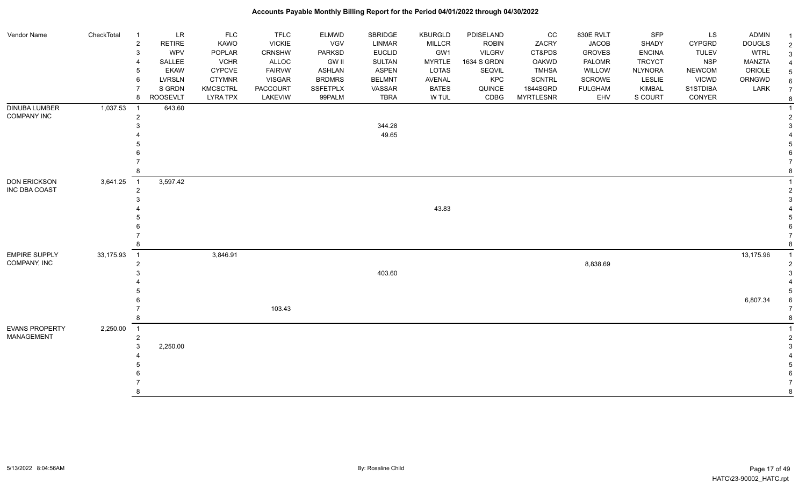| Vendor Name           | CheckTotal | $\overline{1}$           | $\ensuremath{\mathsf{LR}}\xspace$ | <b>FLC</b>      | <b>TFLC</b>     | ELMWD           | SBRIDGE       | <b>KBURGLD</b> | PDISELAND     | $_{\rm CC}$      | 830E RVLT      | SFP            | LS            | <b>ADMIN</b>  |  |
|-----------------------|------------|--------------------------|-----------------------------------|-----------------|-----------------|-----------------|---------------|----------------|---------------|------------------|----------------|----------------|---------------|---------------|--|
|                       |            | $\overline{2}$           | <b>RETIRE</b>                     | KAWO            | <b>VICKIE</b>   | VGV             | <b>LINMAR</b> | <b>MILLCR</b>  | <b>ROBIN</b>  | ZACRY            | <b>JACOB</b>   | SHADY          | <b>CYPGRD</b> | <b>DOUGLS</b> |  |
|                       |            | 3                        | WPV                               | POPLAR          | <b>CRNSHW</b>   | <b>PARKSD</b>   | <b>EUCLID</b> | GW1            | <b>VILGRV</b> | CT&PDS           | <b>GROVES</b>  | <b>ENCINA</b>  | <b>TULEV</b>  | <b>WTRL</b>   |  |
|                       |            | $\overline{\mathcal{A}}$ | SALLEE                            | <b>VCHR</b>     | ALLOC           | <b>GW II</b>    | SULTAN        | <b>MYRTLE</b>  | 1634 S GRDN   | OAKWD            | PALOMR         | <b>TRCYCT</b>  | <b>NSP</b>    | <b>MANZTA</b> |  |
|                       |            | 5                        | <b>EKAW</b>                       | <b>CYPCVE</b>   | <b>FAIRVW</b>   | ASHLAN          | <b>ASPEN</b>  | LOTAS          | SEQVIL        | <b>TMHSA</b>     | WILLOW         | <b>NLYNORA</b> | <b>NEWCOM</b> | ORIOLE        |  |
|                       |            | 6                        | <b>LVRSLN</b>                     | <b>CTYMNR</b>   | <b>VISGAR</b>   | <b>BRDMRS</b>   | <b>BELMNT</b> | AVENAL         | KPC           | <b>SCNTRL</b>    | SCROWE         | <b>LESLIE</b>  | <b>VICWD</b>  | ORNGWD        |  |
|                       |            | $\overline{7}$           | S GRDN                            | <b>KMCSCTRL</b> | <b>PACCOURT</b> | <b>SSFETPLX</b> | VASSAR        | <b>BATES</b>   | QUINCE        | 1844SGRD         | <b>FULGHAM</b> | <b>KIMBAL</b>  | S1STDIBA      | LARK          |  |
|                       |            | 8                        | <b>ROOSEVLT</b>                   | <b>LYRA TPX</b> | LAKEVIW         | 99PALM          | <b>TBRA</b>   | W TUL          | CDBG          | <b>MYRTLESNR</b> | EHV            | S COURT        | CONYER        |               |  |
| DINUBA LUMBER         | 1,037.53   | $\overline{1}$           | 643.60                            |                 |                 |                 |               |                |               |                  |                |                |               |               |  |
| <b>COMPANY INC</b>    |            | $\overline{2}$           |                                   |                 |                 |                 |               |                |               |                  |                |                |               |               |  |
|                       |            | 3                        |                                   |                 |                 |                 | 344.28        |                |               |                  |                |                |               |               |  |
|                       |            |                          |                                   |                 |                 |                 | 49.65         |                |               |                  |                |                |               |               |  |
|                       |            |                          |                                   |                 |                 |                 |               |                |               |                  |                |                |               |               |  |
|                       |            |                          |                                   |                 |                 |                 |               |                |               |                  |                |                |               |               |  |
|                       |            |                          |                                   |                 |                 |                 |               |                |               |                  |                |                |               |               |  |
|                       |            | 8                        |                                   |                 |                 |                 |               |                |               |                  |                |                |               |               |  |
| <b>DON ERICKSON</b>   | 3,641.25   | $\overline{1}$           | 3,597.42                          |                 |                 |                 |               |                |               |                  |                |                |               |               |  |
| INC DBA COAST         |            | $\overline{2}$           |                                   |                 |                 |                 |               |                |               |                  |                |                |               |               |  |
|                       |            | 3                        |                                   |                 |                 |                 |               |                |               |                  |                |                |               |               |  |
|                       |            |                          |                                   |                 |                 |                 |               | 43.83          |               |                  |                |                |               |               |  |
|                       |            |                          |                                   |                 |                 |                 |               |                |               |                  |                |                |               |               |  |
|                       |            |                          |                                   |                 |                 |                 |               |                |               |                  |                |                |               |               |  |
|                       |            |                          |                                   |                 |                 |                 |               |                |               |                  |                |                |               |               |  |
|                       |            | 8                        |                                   |                 |                 |                 |               |                |               |                  |                |                |               |               |  |
| <b>EMPIRE SUPPLY</b>  | 33,175.93  | $\overline{1}$           |                                   | 3,846.91        |                 |                 |               |                |               |                  |                |                |               | 13,175.96     |  |
| COMPANY, INC          |            | $\overline{2}$           |                                   |                 |                 |                 |               |                |               |                  | 8,838.69       |                |               |               |  |
|                       |            | 3                        |                                   |                 |                 |                 | 403.60        |                |               |                  |                |                |               |               |  |
|                       |            |                          |                                   |                 |                 |                 |               |                |               |                  |                |                |               |               |  |
|                       |            |                          |                                   |                 |                 |                 |               |                |               |                  |                |                |               |               |  |
|                       |            |                          |                                   |                 |                 |                 |               |                |               |                  |                |                |               | 6,807.34      |  |
|                       |            |                          |                                   |                 | 103.43          |                 |               |                |               |                  |                |                |               |               |  |
|                       |            | 8                        |                                   |                 |                 |                 |               |                |               |                  |                |                |               |               |  |
| <b>EVANS PROPERTY</b> | 2,250.00   | $\overline{1}$           |                                   |                 |                 |                 |               |                |               |                  |                |                |               |               |  |
| <b>MANAGEMENT</b>     |            | $\overline{2}$           |                                   |                 |                 |                 |               |                |               |                  |                |                |               |               |  |
|                       |            | 3                        | 2,250.00                          |                 |                 |                 |               |                |               |                  |                |                |               |               |  |
|                       |            |                          |                                   |                 |                 |                 |               |                |               |                  |                |                |               |               |  |
|                       |            |                          |                                   |                 |                 |                 |               |                |               |                  |                |                |               |               |  |
|                       |            |                          |                                   |                 |                 |                 |               |                |               |                  |                |                |               |               |  |
|                       |            |                          |                                   |                 |                 |                 |               |                |               |                  |                |                |               |               |  |
|                       |            | 8                        |                                   |                 |                 |                 |               |                |               |                  |                |                |               |               |  |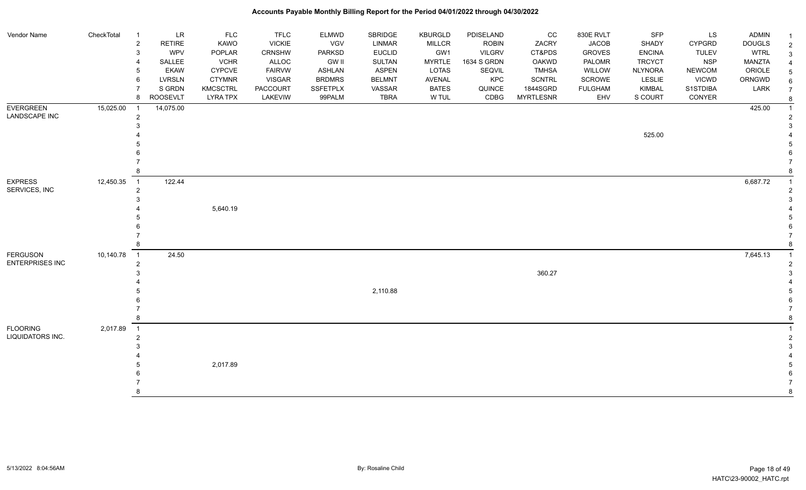|                                     |            |                                  | $\ensuremath{\mathsf{LR}}\xspace$ | <b>FLC</b>      | <b>TFLC</b>     |                            | SBRIDGE       |                                 |                           | CC               |                           | <b>SFP</b>     |                     | <b>ADMIN</b>  |   |
|-------------------------------------|------------|----------------------------------|-----------------------------------|-----------------|-----------------|----------------------------|---------------|---------------------------------|---------------------------|------------------|---------------------------|----------------|---------------------|---------------|---|
| Vendor Name                         | CheckTotal | $\overline{1}$<br>$\overline{2}$ | <b>RETIRE</b>                     | KAWO            | <b>VICKIE</b>   | <b>ELMWD</b><br><b>VGV</b> | LINMAR        | <b>KBURGLD</b><br><b>MILLCR</b> | PDISELAND<br><b>ROBIN</b> | ZACRY            | 830E RVLT<br><b>JACOB</b> | SHADY          | LS<br><b>CYPGRD</b> | <b>DOUGLS</b> |   |
|                                     |            | 3                                | <b>WPV</b>                        | POPLAR          | CRNSHW          | PARKSD                     | <b>EUCLID</b> | GW1                             | <b>VILGRV</b>             | CT&PDS           | <b>GROVES</b>             | <b>ENCINA</b>  | <b>TULEV</b>        | <b>WTRL</b>   |   |
|                                     |            | 4                                | SALLEE                            | <b>VCHR</b>     | ALLOC           | <b>GW II</b>               | <b>SULTAN</b> | <b>MYRTLE</b>                   | 1634 S GRDN               | <b>OAKWD</b>     | PALOMR                    | <b>TRCYCT</b>  | <b>NSP</b>          | <b>MANZTA</b> | 3 |
|                                     |            | 5                                | <b>EKAW</b>                       | <b>CYPCVE</b>   | <b>FAIRVW</b>   | <b>ASHLAN</b>              | <b>ASPEN</b>  | LOTAS                           | SEQVIL                    | <b>TMHSA</b>     | WILLOW                    | <b>NLYNORA</b> | <b>NEWCOM</b>       | ORIOLE        |   |
|                                     |            | 6                                | <b>LVRSLN</b>                     | <b>CTYMNR</b>   | <b>VISGAR</b>   | <b>BRDMRS</b>              | <b>BELMNT</b> | <b>AVENAL</b>                   | KPC                       | <b>SCNTRL</b>    | SCROWE                    | LESLIE         | <b>VICWD</b>        | ORNGWD        |   |
|                                     |            |                                  | S GRDN                            | <b>KMCSCTRL</b> | <b>PACCOURT</b> | <b>SSFETPLX</b>            | VASSAR        | <b>BATES</b>                    | QUINCE                    | 1844SGRD         | <b>FULGHAM</b>            | KIMBAL         | S1STDIBA            | LARK          |   |
|                                     |            | 8                                | ROOSEVLT                          | <b>LYRA TPX</b> | LAKEVIW         | 99PALM                     | TBRA          | W TUL                           | CDBG                      | <b>MYRTLESNR</b> | EHV                       | S COURT        | CONYER              |               |   |
| <b>EVERGREEN</b>                    | 15,025.00  | $\overline{\phantom{0}}$         | 14,075.00                         |                 |                 |                            |               |                                 |                           |                  |                           |                |                     | 425.00        |   |
| LANDSCAPE INC                       |            | $\overline{2}$                   |                                   |                 |                 |                            |               |                                 |                           |                  |                           |                |                     |               |   |
|                                     |            | 3                                |                                   |                 |                 |                            |               |                                 |                           |                  |                           |                |                     |               |   |
|                                     |            |                                  |                                   |                 |                 |                            |               |                                 |                           |                  |                           | 525.00         |                     |               |   |
|                                     |            |                                  |                                   |                 |                 |                            |               |                                 |                           |                  |                           |                |                     |               |   |
|                                     |            |                                  |                                   |                 |                 |                            |               |                                 |                           |                  |                           |                |                     |               |   |
|                                     |            |                                  |                                   |                 |                 |                            |               |                                 |                           |                  |                           |                |                     |               |   |
|                                     |            | 8                                |                                   |                 |                 |                            |               |                                 |                           |                  |                           |                |                     |               |   |
| <b>EXPRESS</b>                      | 12,450.35  | $\overline{1}$                   | 122.44                            |                 |                 |                            |               |                                 |                           |                  |                           |                |                     | 6,687.72      |   |
| SERVICES, INC                       |            | $\mathbf{2}$                     |                                   |                 |                 |                            |               |                                 |                           |                  |                           |                |                     |               |   |
|                                     |            | 3                                |                                   |                 |                 |                            |               |                                 |                           |                  |                           |                |                     |               |   |
|                                     |            |                                  |                                   | 5,640.19        |                 |                            |               |                                 |                           |                  |                           |                |                     |               |   |
|                                     |            |                                  |                                   |                 |                 |                            |               |                                 |                           |                  |                           |                |                     |               |   |
|                                     |            |                                  |                                   |                 |                 |                            |               |                                 |                           |                  |                           |                |                     |               |   |
|                                     |            |                                  |                                   |                 |                 |                            |               |                                 |                           |                  |                           |                |                     |               |   |
|                                     |            | 8                                |                                   |                 |                 |                            |               |                                 |                           |                  |                           |                |                     |               |   |
| <b>FERGUSON</b>                     | 10,140.78  | $\overline{\phantom{0}}$ 1       | 24.50                             |                 |                 |                            |               |                                 |                           |                  |                           |                |                     | 7,645.13      |   |
| <b>ENTERPRISES INC</b>              |            | $\overline{2}$                   |                                   |                 |                 |                            |               |                                 |                           |                  |                           |                |                     |               |   |
|                                     |            |                                  |                                   |                 |                 |                            |               |                                 |                           | 360.27           |                           |                |                     |               |   |
|                                     |            |                                  |                                   |                 |                 |                            |               |                                 |                           |                  |                           |                |                     |               |   |
|                                     |            |                                  |                                   |                 |                 |                            | 2,110.88      |                                 |                           |                  |                           |                |                     |               |   |
|                                     |            |                                  |                                   |                 |                 |                            |               |                                 |                           |                  |                           |                |                     |               |   |
|                                     |            | 8                                |                                   |                 |                 |                            |               |                                 |                           |                  |                           |                |                     |               |   |
|                                     |            |                                  |                                   |                 |                 |                            |               |                                 |                           |                  |                           |                |                     |               |   |
| <b>FLOORING</b><br>LIQUIDATORS INC. | 2,017.89   | $\overline{1}$                   |                                   |                 |                 |                            |               |                                 |                           |                  |                           |                |                     |               |   |
|                                     |            | $\overline{c}$<br>3              |                                   |                 |                 |                            |               |                                 |                           |                  |                           |                |                     |               |   |
|                                     |            |                                  |                                   |                 |                 |                            |               |                                 |                           |                  |                           |                |                     |               |   |
|                                     |            |                                  |                                   | 2,017.89        |                 |                            |               |                                 |                           |                  |                           |                |                     |               |   |
|                                     |            |                                  |                                   |                 |                 |                            |               |                                 |                           |                  |                           |                |                     |               |   |
|                                     |            |                                  |                                   |                 |                 |                            |               |                                 |                           |                  |                           |                |                     |               |   |
|                                     |            | 8                                |                                   |                 |                 |                            |               |                                 |                           |                  |                           |                |                     |               |   |
|                                     |            |                                  |                                   |                 |                 |                            |               |                                 |                           |                  |                           |                |                     |               |   |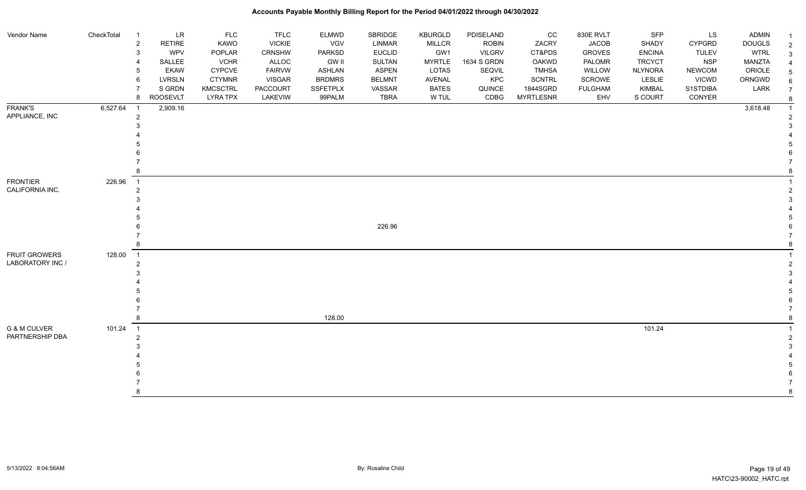| Vendor Name                        | CheckTotal | $\overline{1}$             | <b>LR</b>     | <b>FLC</b>      | <b>TFLC</b>   | <b>ELMWD</b>    | SBRIDGE       | <b>KBURGLD</b> | PDISELAND     | $_{\rm CC}$      | 830E RVLT      | SFP            | LS            | <b>ADMIN</b>  |   |
|------------------------------------|------------|----------------------------|---------------|-----------------|---------------|-----------------|---------------|----------------|---------------|------------------|----------------|----------------|---------------|---------------|---|
|                                    |            | $\overline{2}$             | <b>RETIRE</b> | KAWO            | <b>VICKIE</b> | VGV             | LINMAR        | <b>MILLCR</b>  | <b>ROBIN</b>  | ZACRY            | <b>JACOB</b>   | SHADY          | <b>CYPGRD</b> | <b>DOUGLS</b> |   |
|                                    |            | 3                          | WPV           | POPLAR          | <b>CRNSHW</b> | <b>PARKSD</b>   | <b>EUCLID</b> | GW1            | <b>VILGRV</b> | CT&PDS           | <b>GROVES</b>  | <b>ENCINA</b>  | <b>TULEV</b>  | <b>WTRL</b>   | 3 |
|                                    |            | $\overline{4}$             | SALLEE        | <b>VCHR</b>     | ALLOC         | <b>GW II</b>    | SULTAN        | <b>MYRTLE</b>  | 1634 S GRDN   | OAKWD            | PALOMR         | <b>TRCYCT</b>  | <b>NSP</b>    | MANZTA        |   |
|                                    |            | 5                          | <b>EKAW</b>   | <b>CYPCVE</b>   | <b>FAIRVW</b> | <b>ASHLAN</b>   | <b>ASPEN</b>  | <b>LOTAS</b>   | SEQVIL        | <b>TMHSA</b>     | WILLOW         | <b>NLYNORA</b> | <b>NEWCOM</b> | ORIOLE        |   |
|                                    |            | 6                          | <b>LVRSLN</b> | <b>CTYMNR</b>   | <b>VISGAR</b> | <b>BRDMRS</b>   | <b>BELMNT</b> | <b>AVENAL</b>  | KPC           | <b>SCNTRL</b>    | SCROWE         | LESLIE         | <b>VICWD</b>  | ORNGWD        |   |
|                                    |            | $\overline{7}$             | S GRDN        | <b>KMCSCTRL</b> | PACCOURT      | <b>SSFETPLX</b> | VASSAR        | <b>BATES</b>   | QUINCE        | 1844SGRD         | <b>FULGHAM</b> | <b>KIMBAL</b>  | S1STDIBA      | LARK          |   |
|                                    |            | 8                          | ROOSEVLT      | <b>LYRA TPX</b> | LAKEVIW       | 99PALM          | <b>TBRA</b>   | W TUL          | CDBG          | <b>MYRTLESNR</b> | EHV            | S COURT        | CONYER        |               |   |
| <b>FRANK'S</b>                     | 6,527.64   | $\overline{1}$             | 2,909.16      |                 |               |                 |               |                |               |                  |                |                |               | 3,618.48      |   |
| APPLIANCE, INC                     |            | $\overline{2}$             |               |                 |               |                 |               |                |               |                  |                |                |               |               |   |
|                                    |            | 3                          |               |                 |               |                 |               |                |               |                  |                |                |               |               |   |
|                                    |            |                            |               |                 |               |                 |               |                |               |                  |                |                |               |               |   |
|                                    |            |                            |               |                 |               |                 |               |                |               |                  |                |                |               |               |   |
|                                    |            |                            |               |                 |               |                 |               |                |               |                  |                |                |               |               |   |
|                                    |            |                            |               |                 |               |                 |               |                |               |                  |                |                |               |               |   |
|                                    |            | 8                          |               |                 |               |                 |               |                |               |                  |                |                |               |               |   |
| <b>FRONTIER</b><br>CALIFORNIA INC. | 226.96     | $\overline{1}$             |               |                 |               |                 |               |                |               |                  |                |                |               |               |   |
|                                    |            | $\overline{2}$             |               |                 |               |                 |               |                |               |                  |                |                |               |               |   |
|                                    |            |                            |               |                 |               |                 |               |                |               |                  |                |                |               |               |   |
|                                    |            |                            |               |                 |               |                 |               |                |               |                  |                |                |               |               |   |
|                                    |            |                            |               |                 |               |                 |               |                |               |                  |                |                |               |               |   |
|                                    |            |                            |               |                 |               |                 | 226.96        |                |               |                  |                |                |               |               |   |
|                                    |            | 8                          |               |                 |               |                 |               |                |               |                  |                |                |               |               |   |
|                                    |            |                            |               |                 |               |                 |               |                |               |                  |                |                |               |               |   |
| FRUIT GROWERS<br>LABORATORY INC /  | 128.00     | $\overline{1}$             |               |                 |               |                 |               |                |               |                  |                |                |               |               |   |
|                                    |            | $\overline{2}$<br>3        |               |                 |               |                 |               |                |               |                  |                |                |               |               |   |
|                                    |            |                            |               |                 |               |                 |               |                |               |                  |                |                |               |               |   |
|                                    |            |                            |               |                 |               |                 |               |                |               |                  |                |                |               |               |   |
|                                    |            |                            |               |                 |               |                 |               |                |               |                  |                |                |               |               |   |
|                                    |            |                            |               |                 |               |                 |               |                |               |                  |                |                |               |               |   |
|                                    |            | 8                          |               |                 |               | 128.00          |               |                |               |                  |                |                |               |               |   |
| <b>G &amp; M CULVER</b>            | 101.24     | $\overline{\phantom{0}}$ 1 |               |                 |               |                 |               |                |               |                  |                | 101.24         |               |               |   |
| PARTNERSHIP DBA                    |            | $\overline{2}$             |               |                 |               |                 |               |                |               |                  |                |                |               |               |   |
|                                    |            |                            |               |                 |               |                 |               |                |               |                  |                |                |               |               |   |
|                                    |            |                            |               |                 |               |                 |               |                |               |                  |                |                |               |               |   |
|                                    |            |                            |               |                 |               |                 |               |                |               |                  |                |                |               |               |   |
|                                    |            |                            |               |                 |               |                 |               |                |               |                  |                |                |               |               |   |
|                                    |            |                            |               |                 |               |                 |               |                |               |                  |                |                |               |               |   |
|                                    |            | 8                          |               |                 |               |                 |               |                |               |                  |                |                |               |               |   |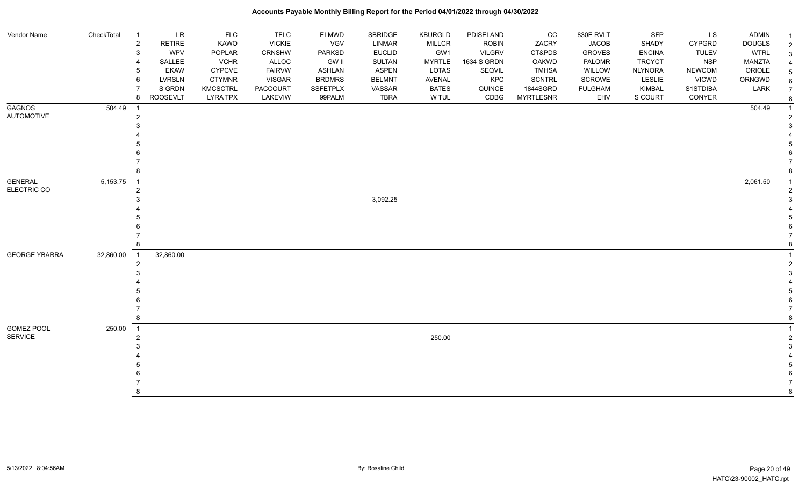| Vendor Name                        | CheckTotal | LR<br>$\overline{1}$                    | <b>FLC</b>                         | <b>TFLC</b>         | <b>ELMWD</b>              | SBRIDGE               | <b>KBURGLD</b>        | PDISELAND      | cc                 | 830E RVLT             | <b>SFP</b>        | LS                       | <b>ADMIN</b>  |  |
|------------------------------------|------------|-----------------------------------------|------------------------------------|---------------------|---------------------------|-----------------------|-----------------------|----------------|--------------------|-----------------------|-------------------|--------------------------|---------------|--|
|                                    |            | $\overline{2}$<br>RETIRE                | KAWO                               | <b>VICKIE</b>       | VGV                       | <b>LINMAR</b>         | <b>MILLCR</b>         | <b>ROBIN</b>   | ZACRY              | <b>JACOB</b>          | SHADY             | <b>CYPGRD</b>            | <b>DOUGLS</b> |  |
|                                    |            | WPV<br>3                                | POPLAR                             | CRNSHW              | PARKSD                    | <b>EUCLID</b>         | GW1                   | <b>VILGRV</b>  | CT&PDS             | <b>GROVES</b>         | <b>ENCINA</b>     | <b>TULEV</b>             | <b>WTRL</b>   |  |
|                                    |            | SALLEE                                  | <b>VCHR</b>                        | ALLOC               | <b>GW II</b>              | SULTAN                | <b>MYRTLE</b>         | 1634 S GRDN    | OAKWD              | PALOMR                | <b>TRCYCT</b>     | <b>NSP</b>               | MANZTA        |  |
|                                    |            | <b>EKAW</b><br>5                        | <b>CYPCVE</b>                      | <b>FAIRVW</b>       | <b>ASHLAN</b>             | <b>ASPEN</b>          | LOTAS                 | SEQVIL         | <b>TMHSA</b>       | WILLOW                | <b>NLYNORA</b>    | <b>NEWCOM</b>            | ORIOLE        |  |
|                                    |            | 6<br><b>LVRSLN</b><br>S GRDN            | <b>CTYMNR</b>                      | <b>VISGAR</b>       | <b>BRDMRS</b>             | <b>BELMNT</b>         | AVENAL                | KPC            | SCNTRL<br>1844SGRD | SCROWE                | LESLIE            | <b>VICWD</b><br>S1STDIBA | ORNGWD        |  |
|                                    |            | <b>ROOSEVLT</b><br>8                    | <b>KMCSCTRL</b><br><b>LYRA TPX</b> | PACCOURT<br>LAKEVIW | <b>SSFETPLX</b><br>99PALM | VASSAR<br><b>TBRA</b> | <b>BATES</b><br>W TUL | QUINCE<br>CDBG | <b>MYRTLESNR</b>   | <b>FULGHAM</b><br>EHV | KIMBAL<br>S COURT | CONYER                   | LARK          |  |
|                                    |            |                                         |                                    |                     |                           |                       |                       |                |                    |                       |                   |                          |               |  |
| <b>GAGNOS</b><br><b>AUTOMOTIVE</b> | 504.49     | $\overline{1}$                          |                                    |                     |                           |                       |                       |                |                    |                       |                   |                          | 504.49        |  |
|                                    |            | $\overline{2}$                          |                                    |                     |                           |                       |                       |                |                    |                       |                   |                          |               |  |
|                                    |            |                                         |                                    |                     |                           |                       |                       |                |                    |                       |                   |                          |               |  |
|                                    |            |                                         |                                    |                     |                           |                       |                       |                |                    |                       |                   |                          |               |  |
|                                    |            |                                         |                                    |                     |                           |                       |                       |                |                    |                       |                   |                          |               |  |
|                                    |            |                                         |                                    |                     |                           |                       |                       |                |                    |                       |                   |                          |               |  |
|                                    |            |                                         |                                    |                     |                           |                       |                       |                |                    |                       |                   |                          |               |  |
|                                    |            |                                         |                                    |                     |                           |                       |                       |                |                    |                       |                   |                          |               |  |
| <b>GENERAL</b><br>ELECTRIC CO      | 5,153.75   | $\overline{\phantom{0}}$ 1              |                                    |                     |                           |                       |                       |                |                    |                       |                   |                          | 2,061.50      |  |
|                                    |            | 2                                       |                                    |                     |                           |                       |                       |                |                    |                       |                   |                          |               |  |
|                                    |            |                                         |                                    |                     |                           | 3,092.25              |                       |                |                    |                       |                   |                          |               |  |
|                                    |            |                                         |                                    |                     |                           |                       |                       |                |                    |                       |                   |                          |               |  |
|                                    |            |                                         |                                    |                     |                           |                       |                       |                |                    |                       |                   |                          |               |  |
|                                    |            |                                         |                                    |                     |                           |                       |                       |                |                    |                       |                   |                          |               |  |
|                                    |            |                                         |                                    |                     |                           |                       |                       |                |                    |                       |                   |                          |               |  |
| <b>GEORGE YBARRA</b>               | 32,860.00  | 32,860.00<br>$\overline{\phantom{0}}$ 1 |                                    |                     |                           |                       |                       |                |                    |                       |                   |                          |               |  |
|                                    |            | $\overline{2}$                          |                                    |                     |                           |                       |                       |                |                    |                       |                   |                          |               |  |
|                                    |            |                                         |                                    |                     |                           |                       |                       |                |                    |                       |                   |                          |               |  |
|                                    |            |                                         |                                    |                     |                           |                       |                       |                |                    |                       |                   |                          |               |  |
|                                    |            |                                         |                                    |                     |                           |                       |                       |                |                    |                       |                   |                          |               |  |
|                                    |            |                                         |                                    |                     |                           |                       |                       |                |                    |                       |                   |                          |               |  |
|                                    |            |                                         |                                    |                     |                           |                       |                       |                |                    |                       |                   |                          |               |  |
|                                    |            | 8                                       |                                    |                     |                           |                       |                       |                |                    |                       |                   |                          |               |  |
| GOMEZ POOL                         | 250.00     | $\overline{\phantom{0}}$ 1              |                                    |                     |                           |                       |                       |                |                    |                       |                   |                          |               |  |
| <b>SERVICE</b>                     |            | 2                                       |                                    |                     |                           |                       | 250.00                |                |                    |                       |                   |                          |               |  |
|                                    |            |                                         |                                    |                     |                           |                       |                       |                |                    |                       |                   |                          |               |  |
|                                    |            |                                         |                                    |                     |                           |                       |                       |                |                    |                       |                   |                          |               |  |
|                                    |            |                                         |                                    |                     |                           |                       |                       |                |                    |                       |                   |                          |               |  |
|                                    |            |                                         |                                    |                     |                           |                       |                       |                |                    |                       |                   |                          |               |  |
|                                    |            |                                         |                                    |                     |                           |                       |                       |                |                    |                       |                   |                          |               |  |
|                                    |            | 8                                       |                                    |                     |                           |                       |                       |                |                    |                       |                   |                          |               |  |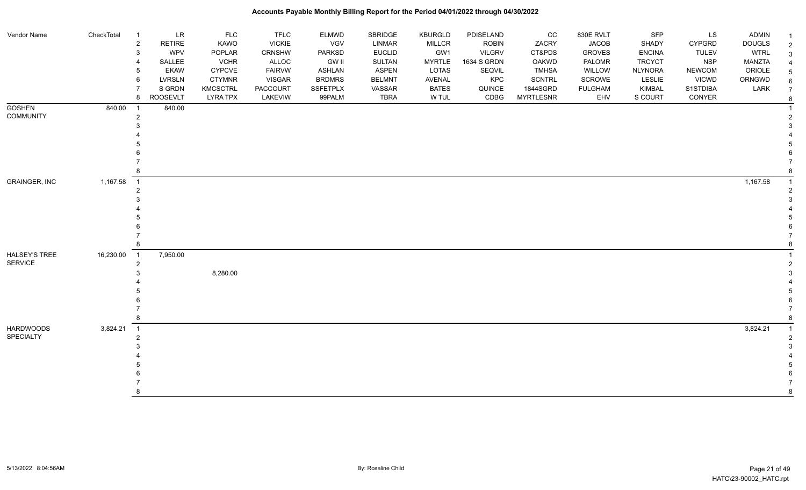| Vendor Name                            | CheckTotal | $\overline{1}$             | <b>LR</b>       | FLC             | <b>TFLC</b>   | <b>ELMWD</b>    | SBRIDGE       | KBURGLD       | PDISELAND     | CC               | 830E RVLT      | <b>SFP</b>     | LS            | <b>ADMIN</b>  |  |
|----------------------------------------|------------|----------------------------|-----------------|-----------------|---------------|-----------------|---------------|---------------|---------------|------------------|----------------|----------------|---------------|---------------|--|
|                                        |            | $\overline{c}$             | <b>RETIRE</b>   | KAWO            | <b>VICKIE</b> | <b>VGV</b>      | LINMAR        | <b>MILLCR</b> | <b>ROBIN</b>  | ZACRY            | <b>JACOB</b>   | SHADY          | <b>CYPGRD</b> | <b>DOUGLS</b> |  |
|                                        |            | 3                          | WPV             | POPLAR          | <b>CRNSHW</b> | <b>PARKSD</b>   | <b>EUCLID</b> | GW1           | <b>VILGRV</b> | CT&PDS           | <b>GROVES</b>  | <b>ENCINA</b>  | <b>TULEV</b>  | <b>WTRL</b>   |  |
|                                        |            | 4                          | SALLEE          | <b>VCHR</b>     | ALLOC         | GW II           | SULTAN        | <b>MYRTLE</b> | 1634 S GRDN   | <b>OAKWD</b>     | PALOMR         | <b>TRCYCT</b>  | <b>NSP</b>    | MANZTA        |  |
|                                        |            | 5                          | <b>EKAW</b>     | <b>CYPCVE</b>   | <b>FAIRVW</b> | <b>ASHLAN</b>   | <b>ASPEN</b>  | <b>LOTAS</b>  | SEQVIL        | <b>TMHSA</b>     | WILLOW         | <b>NLYNORA</b> | <b>NEWCOM</b> | ORIOLE        |  |
|                                        |            | 6                          | <b>LVRSLN</b>   | <b>CTYMNR</b>   | <b>VISGAR</b> | <b>BRDMRS</b>   | <b>BELMNT</b> | AVENAL        | KPC           | <b>SCNTRL</b>    | SCROWE         | <b>LESLIE</b>  | <b>VICWD</b>  | ORNGWD        |  |
|                                        |            | $\overline{7}$             | S GRDN          | <b>KMCSCTRL</b> | PACCOURT      | <b>SSFETPLX</b> | VASSAR        | <b>BATES</b>  | QUINCE        | 1844SGRD         | <b>FULGHAM</b> | KIMBAL         | S1STDIBA      | LARK          |  |
|                                        |            | 8                          | <b>ROOSEVLT</b> | <b>LYRA TPX</b> | LAKEVIW       | 99PALM          | <b>TBRA</b>   | W TUL         | CDBG          | <b>MYRTLESNR</b> | EHV            | S COURT        | CONYER        |               |  |
| <b>GOSHEN</b>                          | 840.00     | $\overline{1}$             | 840.00          |                 |               |                 |               |               |               |                  |                |                |               |               |  |
| <b>COMMUNITY</b>                       |            | $\overline{2}$             |                 |                 |               |                 |               |               |               |                  |                |                |               |               |  |
|                                        |            | 3                          |                 |                 |               |                 |               |               |               |                  |                |                |               |               |  |
|                                        |            |                            |                 |                 |               |                 |               |               |               |                  |                |                |               |               |  |
|                                        |            |                            |                 |                 |               |                 |               |               |               |                  |                |                |               |               |  |
|                                        |            |                            |                 |                 |               |                 |               |               |               |                  |                |                |               |               |  |
|                                        |            |                            |                 |                 |               |                 |               |               |               |                  |                |                |               |               |  |
| <b>GRAINGER, INC</b>                   |            |                            |                 |                 |               |                 |               |               |               |                  |                |                |               |               |  |
|                                        | 1,167.58   | $\overline{1}$             |                 |                 |               |                 |               |               |               |                  |                |                |               | 1,167.58      |  |
|                                        |            | $\overline{2}$             |                 |                 |               |                 |               |               |               |                  |                |                |               |               |  |
|                                        |            |                            |                 |                 |               |                 |               |               |               |                  |                |                |               |               |  |
|                                        |            |                            |                 |                 |               |                 |               |               |               |                  |                |                |               |               |  |
|                                        |            |                            |                 |                 |               |                 |               |               |               |                  |                |                |               |               |  |
|                                        |            |                            |                 |                 |               |                 |               |               |               |                  |                |                |               |               |  |
|                                        |            | 8                          |                 |                 |               |                 |               |               |               |                  |                |                |               |               |  |
|                                        |            |                            |                 |                 |               |                 |               |               |               |                  |                |                |               |               |  |
| <b>HALSEY'S TREE</b><br><b>SERVICE</b> | 16,230.00  | $\overline{\phantom{0}}$ 1 | 7,950.00        |                 |               |                 |               |               |               |                  |                |                |               |               |  |
|                                        |            | $\overline{2}$             |                 |                 |               |                 |               |               |               |                  |                |                |               |               |  |
|                                        |            | 3                          |                 | 8,280.00        |               |                 |               |               |               |                  |                |                |               |               |  |
|                                        |            |                            |                 |                 |               |                 |               |               |               |                  |                |                |               |               |  |
|                                        |            |                            |                 |                 |               |                 |               |               |               |                  |                |                |               |               |  |
|                                        |            |                            |                 |                 |               |                 |               |               |               |                  |                |                |               |               |  |
|                                        |            | 8                          |                 |                 |               |                 |               |               |               |                  |                |                |               |               |  |
| <b>HARDWOODS</b>                       | 3,824.21   | $\overline{\phantom{0}}$ 1 |                 |                 |               |                 |               |               |               |                  |                |                |               | 3,824.21      |  |
| SPECIALTY                              |            | $\overline{2}$             |                 |                 |               |                 |               |               |               |                  |                |                |               |               |  |
|                                        |            |                            |                 |                 |               |                 |               |               |               |                  |                |                |               |               |  |
|                                        |            |                            |                 |                 |               |                 |               |               |               |                  |                |                |               |               |  |
|                                        |            |                            |                 |                 |               |                 |               |               |               |                  |                |                |               |               |  |
|                                        |            |                            |                 |                 |               |                 |               |               |               |                  |                |                |               |               |  |
|                                        |            |                            |                 |                 |               |                 |               |               |               |                  |                |                |               |               |  |
|                                        |            | 8                          |                 |                 |               |                 |               |               |               |                  |                |                |               |               |  |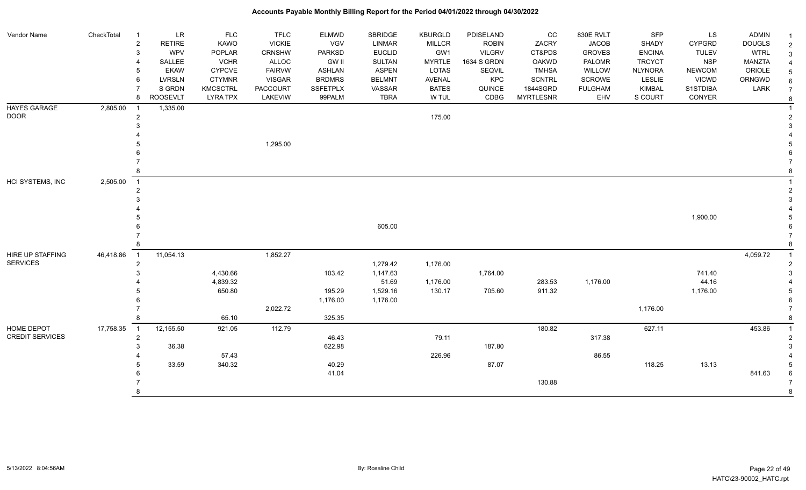| Vendor Name            | CheckTotal | $\overline{1}$ | LR              | FLC             | <b>TFLC</b>     | <b>ELMWD</b>    | SBRIDGE       | <b>KBURGLD</b> | PDISELAND     | cc               | 830E RVLT      | <b>SFP</b>     | LS            | <b>ADMIN</b>  |  |
|------------------------|------------|----------------|-----------------|-----------------|-----------------|-----------------|---------------|----------------|---------------|------------------|----------------|----------------|---------------|---------------|--|
|                        |            | $\overline{2}$ | <b>RETIRE</b>   | KAWO            | <b>VICKIE</b>   | VGV             | LINMAR        | <b>MILLCR</b>  | <b>ROBIN</b>  | ZACRY            | <b>JACOB</b>   | SHADY          | <b>CYPGRD</b> | <b>DOUGLS</b> |  |
|                        |            | 3              | <b>WPV</b>      | POPLAR          | <b>CRNSHW</b>   | <b>PARKSD</b>   | <b>EUCLID</b> | GW1            | <b>VILGRV</b> | CT&PDS           | <b>GROVES</b>  | <b>ENCINA</b>  | <b>TULEV</b>  | <b>WTRL</b>   |  |
|                        |            | 4              | SALLEE          | <b>VCHR</b>     | ALLOC           | GW II           | <b>SULTAN</b> | <b>MYRTLE</b>  | 1634 S GRDN   | <b>OAKWD</b>     | PALOMR         | <b>TRCYCT</b>  | <b>NSP</b>    | <b>MANZTA</b> |  |
|                        |            | 5              | <b>EKAW</b>     | <b>CYPCVE</b>   | <b>FAIRVW</b>   | <b>ASHLAN</b>   | <b>ASPEN</b>  | LOTAS          | SEQVIL        | <b>TMHSA</b>     | WILLOW         | <b>NLYNORA</b> | <b>NEWCOM</b> | ORIOLE        |  |
|                        |            | 6              | <b>LVRSLN</b>   | <b>CTYMNR</b>   | <b>VISGAR</b>   | <b>BRDMRS</b>   | <b>BELMNT</b> | AVENAL         | KPC           | <b>SCNTRL</b>    | SCROWE         | LESLIE         | <b>VICWD</b>  | ORNGWD        |  |
|                        |            |                | S GRDN          | <b>KMCSCTRL</b> | <b>PACCOURT</b> | <b>SSFETPLX</b> | VASSAR        | <b>BATES</b>   | QUINCE        | 1844SGRD         | <b>FULGHAM</b> | <b>KIMBAL</b>  | S1STDIBA      | LARK          |  |
|                        |            | 8              | <b>ROOSEVLT</b> | <b>LYRA TPX</b> | LAKEVIW         | 99PALM          | <b>TBRA</b>   | W TUL          | CDBG          | <b>MYRTLESNR</b> | EHV            | S COURT        | CONYER        |               |  |
| HAYES GARAGE           | 2,805.00   | $\overline{1}$ | 1,335.00        |                 |                 |                 |               |                |               |                  |                |                |               |               |  |
| <b>DOOR</b>            |            | $\overline{c}$ |                 |                 |                 |                 |               | 175.00         |               |                  |                |                |               |               |  |
|                        |            | 3              |                 |                 |                 |                 |               |                |               |                  |                |                |               |               |  |
|                        |            |                |                 |                 |                 |                 |               |                |               |                  |                |                |               |               |  |
|                        |            |                |                 |                 | 1,295.00        |                 |               |                |               |                  |                |                |               |               |  |
|                        |            |                |                 |                 |                 |                 |               |                |               |                  |                |                |               |               |  |
|                        |            |                |                 |                 |                 |                 |               |                |               |                  |                |                |               |               |  |
|                        |            | 8              |                 |                 |                 |                 |               |                |               |                  |                |                |               |               |  |
| HCI SYSTEMS, INC       | 2,505.00   | $\overline{1}$ |                 |                 |                 |                 |               |                |               |                  |                |                |               |               |  |
|                        |            | $\overline{2}$ |                 |                 |                 |                 |               |                |               |                  |                |                |               |               |  |
|                        |            |                |                 |                 |                 |                 |               |                |               |                  |                |                |               |               |  |
|                        |            |                |                 |                 |                 |                 |               |                |               |                  |                |                |               |               |  |
|                        |            |                |                 |                 |                 |                 |               |                |               |                  |                |                | 1,900.00      |               |  |
|                        |            |                |                 |                 |                 |                 | 605.00        |                |               |                  |                |                |               |               |  |
|                        |            |                |                 |                 |                 |                 |               |                |               |                  |                |                |               |               |  |
|                        |            | 8              |                 |                 |                 |                 |               |                |               |                  |                |                |               |               |  |
| HIRE UP STAFFING       | 46,418.86  | $\overline{1}$ | 11,054.13       |                 | 1,852.27        |                 |               |                |               |                  |                |                |               | 4,059.72      |  |
| <b>SERVICES</b>        |            | $\overline{2}$ |                 |                 |                 |                 | 1,279.42      | 1,176.00       |               |                  |                |                |               |               |  |
|                        |            | 3              |                 | 4,430.66        |                 | 103.42          | 1,147.63      |                | 1,764.00      |                  |                |                | 741.40        |               |  |
|                        |            |                |                 | 4,839.32        |                 |                 | 51.69         | 1,176.00       |               | 283.53           | 1,176.00       |                | 44.16         |               |  |
|                        |            |                |                 | 650.80          |                 | 195.29          | 1,529.16      | 130.17         | 705.60        | 911.32           |                |                | 1,176.00      |               |  |
|                        |            |                |                 |                 |                 | 1,176.00        | 1,176.00      |                |               |                  |                |                |               |               |  |
|                        |            |                |                 |                 | 2,022.72        |                 |               |                |               |                  |                | 1,176.00       |               |               |  |
|                        |            | 8              |                 | 65.10           |                 | 325.35          |               |                |               |                  |                |                |               |               |  |
| HOME DEPOT             | 17,758.35  | $\overline{1}$ | 12,155.50       | 921.05          | 112.79          |                 |               |                |               | 180.82           |                | 627.11         |               | 453.86        |  |
| <b>CREDIT SERVICES</b> |            | $\overline{2}$ |                 |                 |                 | 46.43           |               | 79.11          |               |                  | 317.38         |                |               |               |  |
|                        |            | 3              | 36.38           |                 |                 | 622.98          |               |                | 187.80        |                  |                |                |               |               |  |
|                        |            |                |                 | 57.43           |                 |                 |               | 226.96         |               |                  | 86.55          |                |               |               |  |
|                        |            |                | 33.59           | 340.32          |                 | 40.29           |               |                | 87.07         |                  |                | 118.25         | 13.13         |               |  |
|                        |            |                |                 |                 |                 | 41.04           |               |                |               |                  |                |                |               | 841.63        |  |
|                        |            |                |                 |                 |                 |                 |               |                |               | 130.88           |                |                |               |               |  |
|                        |            | 8              |                 |                 |                 |                 |               |                |               |                  |                |                |               |               |  |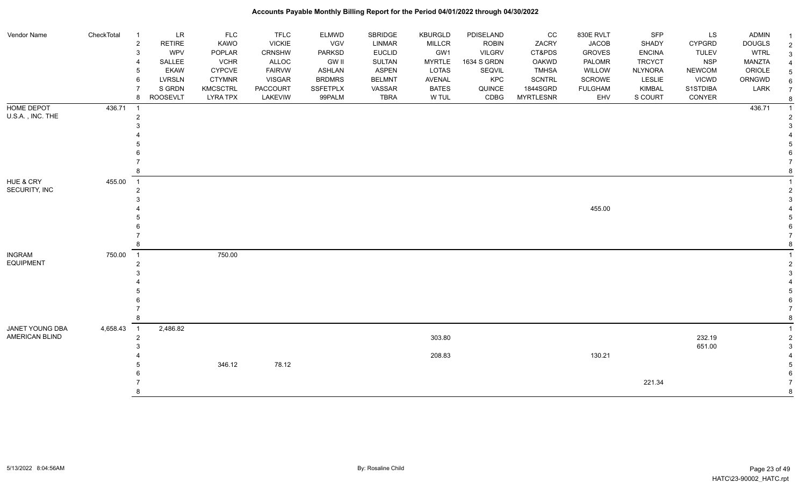| Vendor Name      | CheckTotal | $\overline{1}$ | <b>LR</b>       | <b>FLC</b>      | <b>TFLC</b>   | <b>ELMWD</b>    | SBRIDGE       | <b>KBURGLD</b> | PDISELAND     | CC               | 830E RVLT      | <b>SFP</b>     | LS            | ADMIN         |                |
|------------------|------------|----------------|-----------------|-----------------|---------------|-----------------|---------------|----------------|---------------|------------------|----------------|----------------|---------------|---------------|----------------|
|                  |            | $\overline{2}$ | RETIRE          | KAWO            | <b>VICKIE</b> | VGV             | <b>LINMAR</b> | MILLCR         | <b>ROBIN</b>  | ZACRY            | <b>JACOB</b>   | SHADY          | <b>CYPGRD</b> | <b>DOUGLS</b> | $\overline{2}$ |
|                  |            | 3              | WPV             | POPLAR          | CRNSHW        | <b>PARKSD</b>   | <b>EUCLID</b> | GW1            | <b>VILGRV</b> | CT&PDS           | <b>GROVES</b>  | <b>ENCINA</b>  | <b>TULEV</b>  | <b>WTRL</b>   | 3              |
|                  |            |                | SALLEE          | <b>VCHR</b>     | ALLOC         | <b>GW II</b>    | SULTAN        | <b>MYRTLE</b>  | 1634 S GRDN   | OAKWD            | PALOMR         | <b>TRCYCT</b>  | <b>NSP</b>    | MANZTA        |                |
|                  |            |                | <b>EKAW</b>     | <b>CYPCVE</b>   | <b>FAIRVW</b> | <b>ASHLAN</b>   | <b>ASPEN</b>  | LOTAS          | SEQVIL        | <b>TMHSA</b>     | WILLOW         | <b>NLYNORA</b> | <b>NEWCOM</b> | ORIOLE        | 5              |
|                  |            |                | <b>LVRSLN</b>   | <b>CTYMNR</b>   | <b>VISGAR</b> | <b>BRDMRS</b>   | <b>BELMNT</b> | <b>AVENAL</b>  | KPC           | <b>SCNTRL</b>    | SCROWE         | LESLIE         | <b>VICWD</b>  | ORNGWD        | 6              |
|                  |            |                | S GRDN          | <b>KMCSCTRL</b> | PACCOURT      | <b>SSFETPLX</b> | VASSAR        | <b>BATES</b>   | QUINCE        | 1844SGRD         | <b>FULGHAM</b> | <b>KIMBAL</b>  | S1STDIBA      | LARK          | $\overline{7}$ |
|                  |            | 8              | <b>ROOSEVLT</b> | <b>LYRA TPX</b> | LAKEVIW       | 99PALM          | <b>TBRA</b>   | W TUL          | CDBG          | <b>MYRTLESNR</b> | EHV            | S COURT        | CONYER        |               |                |
| HOME DEPOT       | 436.71     | $\overline{1}$ |                 |                 |               |                 |               |                |               |                  |                |                |               | 436.71        |                |
| U.S.A., INC. THE |            |                |                 |                 |               |                 |               |                |               |                  |                |                |               |               |                |
|                  |            |                |                 |                 |               |                 |               |                |               |                  |                |                |               |               |                |
|                  |            |                |                 |                 |               |                 |               |                |               |                  |                |                |               |               |                |
|                  |            |                |                 |                 |               |                 |               |                |               |                  |                |                |               |               |                |
|                  |            |                |                 |                 |               |                 |               |                |               |                  |                |                |               |               |                |
|                  |            |                |                 |                 |               |                 |               |                |               |                  |                |                |               |               |                |
|                  |            |                |                 |                 |               |                 |               |                |               |                  |                |                |               |               |                |
| HUE & CRY        | 455.00     | $\overline{1}$ |                 |                 |               |                 |               |                |               |                  |                |                |               |               |                |
| SECURITY, INC    |            | 2              |                 |                 |               |                 |               |                |               |                  |                |                |               |               |                |
|                  |            |                |                 |                 |               |                 |               |                |               |                  |                |                |               |               |                |
|                  |            |                |                 |                 |               |                 |               |                |               |                  | 455.00         |                |               |               |                |
|                  |            |                |                 |                 |               |                 |               |                |               |                  |                |                |               |               |                |
|                  |            |                |                 |                 |               |                 |               |                |               |                  |                |                |               |               |                |
|                  |            |                |                 |                 |               |                 |               |                |               |                  |                |                |               |               |                |
|                  |            |                |                 |                 |               |                 |               |                |               |                  |                |                |               |               |                |
| <b>INGRAM</b>    | 750.00     | $\overline{1}$ |                 | 750.00          |               |                 |               |                |               |                  |                |                |               |               |                |
| <b>EQUIPMENT</b> |            |                |                 |                 |               |                 |               |                |               |                  |                |                |               |               |                |
|                  |            |                |                 |                 |               |                 |               |                |               |                  |                |                |               |               |                |
|                  |            |                |                 |                 |               |                 |               |                |               |                  |                |                |               |               |                |
|                  |            |                |                 |                 |               |                 |               |                |               |                  |                |                |               |               |                |
|                  |            |                |                 |                 |               |                 |               |                |               |                  |                |                |               |               |                |
|                  |            |                |                 |                 |               |                 |               |                |               |                  |                |                |               |               |                |
|                  |            |                |                 |                 |               |                 |               |                |               |                  |                |                |               |               |                |
| JANET YOUNG DBA  | 4,658.43   | $\overline{1}$ | 2,486.82        |                 |               |                 |               |                |               |                  |                |                |               |               |                |
| AMERICAN BLIND   |            | 2              |                 |                 |               |                 |               | 303.80         |               |                  |                |                | 232.19        |               |                |
|                  |            |                |                 |                 |               |                 |               |                |               |                  |                |                | 651.00        |               |                |
|                  |            |                |                 |                 |               |                 |               | 208.83         |               |                  | 130.21         |                |               |               |                |
|                  |            |                |                 | 346.12          | 78.12         |                 |               |                |               |                  |                |                |               |               |                |
|                  |            |                |                 |                 |               |                 |               |                |               |                  |                |                |               |               |                |
|                  |            |                |                 |                 |               |                 |               |                |               |                  |                | 221.34         |               |               | -7             |
|                  |            |                |                 |                 |               |                 |               |                |               |                  |                |                |               |               | 8              |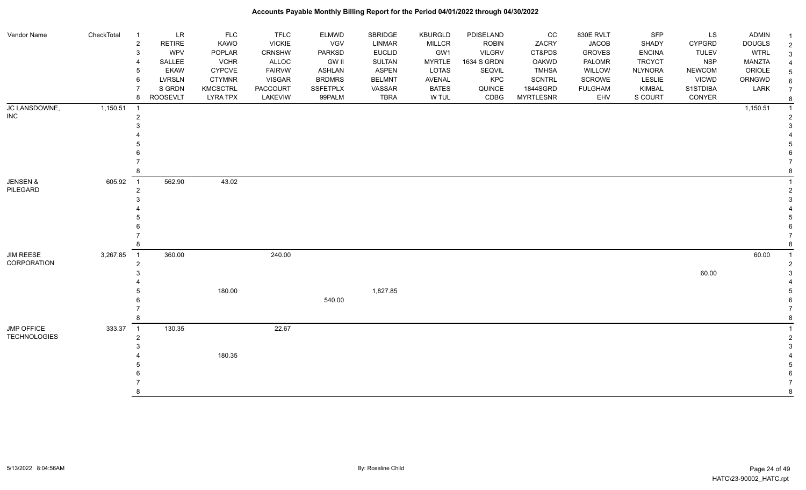| Vendor Name         | CheckTotal | $\overline{1}$ | LR              | <b>FLC</b>      | <b>TFLC</b>     | ELMWD           | SBRIDGE       | KBURGLD       | PDISELAND     | cc               | 830E RVLT      | <b>SFP</b>     | LS            | <b>ADMIN</b>  |  |
|---------------------|------------|----------------|-----------------|-----------------|-----------------|-----------------|---------------|---------------|---------------|------------------|----------------|----------------|---------------|---------------|--|
|                     |            | $\overline{c}$ | <b>RETIRE</b>   | KAWO            | <b>VICKIE</b>   | VGV             | <b>LINMAR</b> | <b>MILLCR</b> | <b>ROBIN</b>  | ZACRY            | <b>JACOB</b>   | SHADY          | <b>CYPGRD</b> | <b>DOUGLS</b> |  |
|                     |            | 3              | <b>WPV</b>      | POPLAR          | <b>CRNSHW</b>   | PARKSD          | <b>EUCLID</b> | GW1           | <b>VILGRV</b> | CT&PDS           | <b>GROVES</b>  | <b>ENCINA</b>  | <b>TULEV</b>  | <b>WTRL</b>   |  |
|                     |            | 4              | SALLEE          | <b>VCHR</b>     | ALLOC           | <b>GW II</b>    | <b>SULTAN</b> | <b>MYRTLE</b> | 1634 S GRDN   | <b>OAKWD</b>     | PALOMR         | <b>TRCYCT</b>  | <b>NSP</b>    | MANZTA        |  |
|                     |            | 5              | <b>EKAW</b>     | <b>CYPCVE</b>   | <b>FAIRVW</b>   | ASHLAN          | <b>ASPEN</b>  | LOTAS         | SEQVIL        | <b>TMHSA</b>     | WILLOW         | <b>NLYNORA</b> | <b>NEWCOM</b> | ORIOLE        |  |
|                     |            | 6              | <b>LVRSLN</b>   | <b>CTYMNR</b>   | <b>VISGAR</b>   | <b>BRDMRS</b>   | <b>BELMNT</b> | AVENAL        | KPC           | <b>SCNTRL</b>    | SCROWE         | LESLIE         | <b>VICWD</b>  | ORNGWD        |  |
|                     |            |                | S GRDN          | <b>KMCSCTRL</b> | <b>PACCOURT</b> | <b>SSFETPLX</b> | VASSAR        | <b>BATES</b>  | QUINCE        | 1844SGRD         | <b>FULGHAM</b> | <b>KIMBAL</b>  | S1STDIBA      | LARK          |  |
|                     |            | 8              | <b>ROOSEVLT</b> | <b>LYRA TPX</b> | LAKEVIW         | 99PALM          | <b>TBRA</b>   | W TUL         | CDBG          | <b>MYRTLESNR</b> | EHV            | S COURT        | CONYER        |               |  |
| JC LANSDOWNE,       | 1,150.51   | - 1            |                 |                 |                 |                 |               |               |               |                  |                |                |               | 1,150.51      |  |
| INC.                |            | $\overline{2}$ |                 |                 |                 |                 |               |               |               |                  |                |                |               |               |  |
|                     |            |                |                 |                 |                 |                 |               |               |               |                  |                |                |               |               |  |
|                     |            |                |                 |                 |                 |                 |               |               |               |                  |                |                |               |               |  |
|                     |            |                |                 |                 |                 |                 |               |               |               |                  |                |                |               |               |  |
|                     |            |                |                 |                 |                 |                 |               |               |               |                  |                |                |               |               |  |
|                     |            |                |                 |                 |                 |                 |               |               |               |                  |                |                |               |               |  |
|                     |            |                |                 |                 |                 |                 |               |               |               |                  |                |                |               |               |  |
| <b>JENSEN &amp;</b> | 605.92     | $\overline{1}$ | 562.90          | 43.02           |                 |                 |               |               |               |                  |                |                |               |               |  |
| PILEGARD            |            | $\overline{2}$ |                 |                 |                 |                 |               |               |               |                  |                |                |               |               |  |
|                     |            |                |                 |                 |                 |                 |               |               |               |                  |                |                |               |               |  |
|                     |            |                |                 |                 |                 |                 |               |               |               |                  |                |                |               |               |  |
|                     |            |                |                 |                 |                 |                 |               |               |               |                  |                |                |               |               |  |
|                     |            |                |                 |                 |                 |                 |               |               |               |                  |                |                |               |               |  |
|                     |            |                |                 |                 |                 |                 |               |               |               |                  |                |                |               |               |  |
|                     |            | 8              |                 |                 |                 |                 |               |               |               |                  |                |                |               |               |  |
| <b>JIM REESE</b>    | 3,267.85   | $\overline{1}$ | 360.00          |                 | 240.00          |                 |               |               |               |                  |                |                |               | 60.00         |  |
| CORPORATION         |            | $\overline{2}$ |                 |                 |                 |                 |               |               |               |                  |                |                |               |               |  |
|                     |            |                |                 |                 |                 |                 |               |               |               |                  |                |                | 60.00         |               |  |
|                     |            |                |                 |                 |                 |                 |               |               |               |                  |                |                |               |               |  |
|                     |            |                |                 | 180.00          |                 |                 | 1,827.85      |               |               |                  |                |                |               |               |  |
|                     |            |                |                 |                 |                 | 540.00          |               |               |               |                  |                |                |               |               |  |
|                     |            |                |                 |                 |                 |                 |               |               |               |                  |                |                |               |               |  |
|                     |            | 8              |                 |                 |                 |                 |               |               |               |                  |                |                |               |               |  |
| JMP OFFICE          | 333.37     | $\overline{1}$ | 130.35          |                 | 22.67           |                 |               |               |               |                  |                |                |               |               |  |
| <b>TECHNOLOGIES</b> |            | $\overline{2}$ |                 |                 |                 |                 |               |               |               |                  |                |                |               |               |  |
|                     |            |                |                 |                 |                 |                 |               |               |               |                  |                |                |               |               |  |
|                     |            |                |                 | 180.35          |                 |                 |               |               |               |                  |                |                |               |               |  |
|                     |            |                |                 |                 |                 |                 |               |               |               |                  |                |                |               |               |  |
|                     |            |                |                 |                 |                 |                 |               |               |               |                  |                |                |               |               |  |
|                     |            |                |                 |                 |                 |                 |               |               |               |                  |                |                |               |               |  |
|                     |            | 8              |                 |                 |                 |                 |               |               |               |                  |                |                |               |               |  |
|                     |            |                |                 |                 |                 |                 |               |               |               |                  |                |                |               |               |  |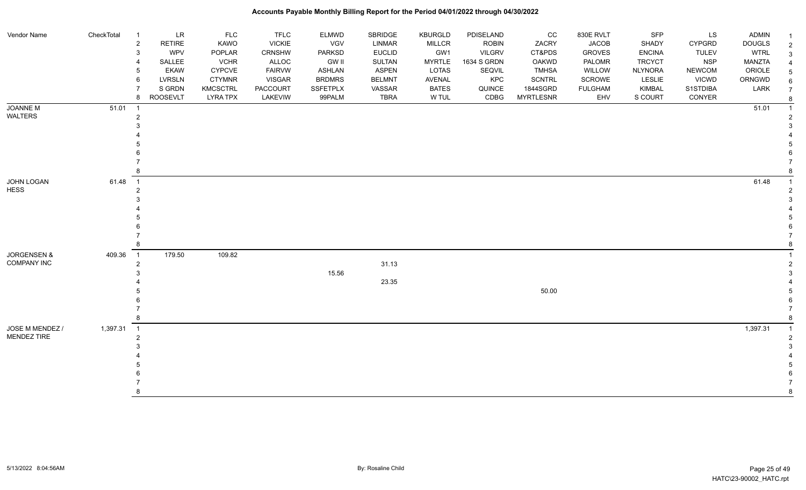| Vendor Name            | CheckTotal | <b>LR</b><br>$\overline{1}$          | <b>FLC</b>      | <b>TFLC</b>   | <b>ELMWD</b>    | SBRIDGE       | KBURGLD       | PDISELAND     | CC               | 830E RVLT      | SFP            | LS            | <b>ADMIN</b>  |   |
|------------------------|------------|--------------------------------------|-----------------|---------------|-----------------|---------------|---------------|---------------|------------------|----------------|----------------|---------------|---------------|---|
|                        |            | $\overline{c}$<br><b>RETIRE</b>      | KAWO            | <b>VICKIE</b> | VGV             | LINMAR        | <b>MILLCR</b> | <b>ROBIN</b>  | ZACRY            | <b>JACOB</b>   | SHADY          | <b>CYPGRD</b> | <b>DOUGLS</b> | 2 |
|                        |            | <b>WPV</b><br>3                      | POPLAR          | <b>CRNSHW</b> | <b>PARKSD</b>   | <b>EUCLID</b> | GW1           | <b>VILGRV</b> | CT&PDS           | <b>GROVES</b>  | <b>ENCINA</b>  | <b>TULEV</b>  | <b>WTRL</b>   |   |
|                        |            | SALLEE                               | <b>VCHR</b>     | ALLOC         | <b>GW II</b>    | <b>SULTAN</b> | <b>MYRTLE</b> | 1634 S GRDN   | OAKWD            | PALOMR         | <b>TRCYCT</b>  | <b>NSP</b>    | <b>MANZTA</b> |   |
|                        |            | <b>EKAW</b><br>5                     | <b>CYPCVE</b>   | <b>FAIRVW</b> | <b>ASHLAN</b>   | <b>ASPEN</b>  | LOTAS         | SEQVIL        | <b>TMHSA</b>     | WILLOW         | <b>NLYNORA</b> | <b>NEWCOM</b> | ORIOLE        |   |
|                        |            | <b>LVRSLN</b><br>6                   | <b>CTYMNR</b>   | <b>VISGAR</b> | <b>BRDMRS</b>   | <b>BELMNT</b> | AVENAL        | KPC           | SCNTRL           | SCROWE         | <b>LESLIE</b>  | <b>VICWD</b>  | ORNGWD        |   |
|                        |            | S GRDN<br>7                          | <b>KMCSCTRL</b> | PACCOURT      | <b>SSFETPLX</b> | VASSAR        | <b>BATES</b>  | QUINCE        | 1844SGRD         | <b>FULGHAM</b> | KIMBAL         | S1STDIBA      | LARK          |   |
|                        |            | ROOSEVLT<br>8                        | <b>LYRA TPX</b> | LAKEVIW       | 99PALM          | <b>TBRA</b>   | W TUL         | CDBG          | <b>MYRTLESNR</b> | EHV            | S COURT        | CONYER        |               |   |
| <b>JOANNE M</b>        | $51.01$ 1  |                                      |                 |               |                 |               |               |               |                  |                |                |               | 51.01         |   |
| WALTERS                |            | $\overline{2}$                       |                 |               |                 |               |               |               |                  |                |                |               |               |   |
|                        |            |                                      |                 |               |                 |               |               |               |                  |                |                |               |               |   |
|                        |            |                                      |                 |               |                 |               |               |               |                  |                |                |               |               |   |
|                        |            |                                      |                 |               |                 |               |               |               |                  |                |                |               |               |   |
|                        |            |                                      |                 |               |                 |               |               |               |                  |                |                |               |               |   |
|                        |            |                                      |                 |               |                 |               |               |               |                  |                |                |               |               |   |
|                        |            |                                      |                 |               |                 |               |               |               |                  |                |                |               |               |   |
| JOHN LOGAN             | 61.48      | $\overline{1}$                       |                 |               |                 |               |               |               |                  |                |                |               | 61.48         |   |
| <b>HESS</b>            |            |                                      |                 |               |                 |               |               |               |                  |                |                |               |               |   |
|                        |            |                                      |                 |               |                 |               |               |               |                  |                |                |               |               |   |
|                        |            |                                      |                 |               |                 |               |               |               |                  |                |                |               |               |   |
|                        |            |                                      |                 |               |                 |               |               |               |                  |                |                |               |               |   |
|                        |            |                                      |                 |               |                 |               |               |               |                  |                |                |               |               |   |
|                        |            |                                      |                 |               |                 |               |               |               |                  |                |                |               |               |   |
|                        |            |                                      |                 |               |                 |               |               |               |                  |                |                |               |               |   |
| <b>JORGENSEN &amp;</b> | 409.36     | 179.50<br>$\overline{\phantom{0}}$ 1 | 109.82          |               |                 |               |               |               |                  |                |                |               |               |   |
| <b>COMPANY INC</b>     |            | 2                                    |                 |               |                 | 31.13         |               |               |                  |                |                |               |               |   |
|                        |            |                                      |                 |               | 15.56           |               |               |               |                  |                |                |               |               |   |
|                        |            |                                      |                 |               |                 | 23.35         |               |               |                  |                |                |               |               |   |
|                        |            |                                      |                 |               |                 |               |               |               | 50.00            |                |                |               |               |   |
|                        |            |                                      |                 |               |                 |               |               |               |                  |                |                |               |               |   |
|                        |            |                                      |                 |               |                 |               |               |               |                  |                |                |               |               |   |
|                        |            |                                      |                 |               |                 |               |               |               |                  |                |                |               |               |   |
| JOSE M MENDEZ /        | 1,397.31 1 |                                      |                 |               |                 |               |               |               |                  |                |                |               | 1,397.31      |   |
| MENDEZ TIRE            |            | 2                                    |                 |               |                 |               |               |               |                  |                |                |               |               |   |
|                        |            |                                      |                 |               |                 |               |               |               |                  |                |                |               |               |   |
|                        |            |                                      |                 |               |                 |               |               |               |                  |                |                |               |               |   |
|                        |            |                                      |                 |               |                 |               |               |               |                  |                |                |               |               |   |
|                        |            |                                      |                 |               |                 |               |               |               |                  |                |                |               |               |   |
|                        |            |                                      |                 |               |                 |               |               |               |                  |                |                |               |               |   |
|                        |            |                                      |                 |               |                 |               |               |               |                  |                |                |               |               |   |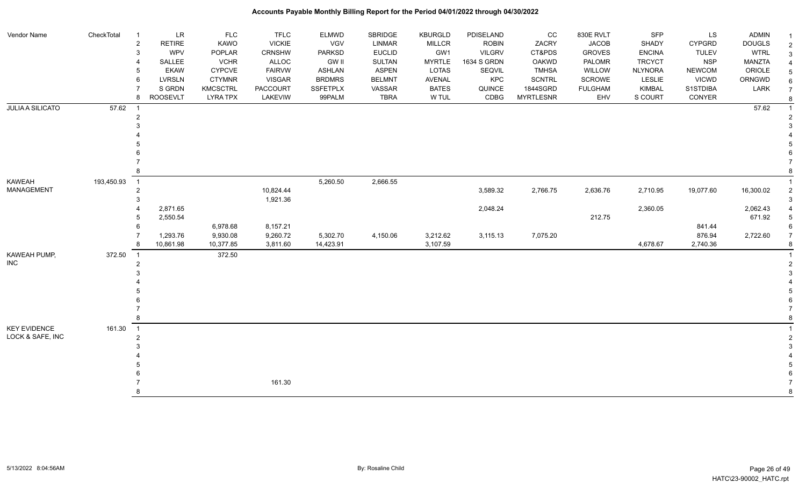| Vendor Name             | CheckTotal | $\overline{1}$                  | $\ensuremath{\mathsf{LR}}\xspace$<br><b>FLC</b> | <b>TFLC</b>     | <b>ELMWD</b>    | SBRIDGE       | <b>KBURGLD</b> | PDISELAND     | CC               | 830E RVLT      | SFP            | LS            | <b>ADMIN</b>  |                |
|-------------------------|------------|---------------------------------|-------------------------------------------------|-----------------|-----------------|---------------|----------------|---------------|------------------|----------------|----------------|---------------|---------------|----------------|
|                         |            | <b>RETIRE</b><br>$\overline{2}$ | KAWO                                            | <b>VICKIE</b>   | <b>VGV</b>      | LINMAR        | <b>MILLCR</b>  | <b>ROBIN</b>  | ZACRY            | <b>JACOB</b>   | SHADY          | <b>CYPGRD</b> | <b>DOUGLS</b> | $\overline{2}$ |
|                         |            | <b>WPV</b><br>3                 | POPLAR                                          | CRNSHW          | <b>PARKSD</b>   | <b>EUCLID</b> | GW1            | <b>VILGRV</b> | CT&PDS           | <b>GROVES</b>  | <b>ENCINA</b>  | <b>TULEV</b>  | <b>WTRL</b>   |                |
|                         |            | SALLEE                          | <b>VCHR</b>                                     | ALLOC           | <b>GW II</b>    | <b>SULTAN</b> | <b>MYRTLE</b>  | 1634 S GRDN   | <b>OAKWD</b>     | PALOMR         | <b>TRCYCT</b>  | <b>NSP</b>    | <b>MANZTA</b> |                |
|                         |            | <b>EKAW</b>                     | <b>CYPCVE</b>                                   | <b>FAIRVW</b>   | <b>ASHLAN</b>   | <b>ASPEN</b>  | <b>LOTAS</b>   | SEQVIL        | <b>TMHSA</b>     | WILLOW         | <b>NLYNORA</b> | <b>NEWCOM</b> | ORIOLE        |                |
|                         |            | LVRSLN<br>6                     | <b>CTYMNR</b>                                   | <b>VISGAR</b>   | <b>BRDMRS</b>   | <b>BELMNT</b> | AVENAL         | KPC           | <b>SCNTRL</b>    | SCROWE         | LESLIE         | <b>VICWD</b>  | ORNGWD        |                |
|                         |            | S GRDN                          | KMCSCTRL                                        | <b>PACCOURT</b> | <b>SSFETPLX</b> | VASSAR        | <b>BATES</b>   | QUINCE        | 1844SGRD         | <b>FULGHAM</b> | <b>KIMBAL</b>  | S1STDIBA      | LARK          | $\overline{7}$ |
|                         |            | <b>ROOSEVLT</b><br>8            | <b>LYRA TPX</b>                                 | LAKEVIW         | 99PALM          | <b>TBRA</b>   | W TUL          | CDBG          | <b>MYRTLESNR</b> | EHV            | S COURT        | CONYER        |               |                |
| <b>JULIA A SILICATO</b> | 57.62      |                                 |                                                 |                 |                 |               |                |               |                  |                |                |               | 57.62         |                |
|                         |            |                                 |                                                 |                 |                 |               |                |               |                  |                |                |               |               |                |
|                         |            |                                 |                                                 |                 |                 |               |                |               |                  |                |                |               |               |                |
|                         |            |                                 |                                                 |                 |                 |               |                |               |                  |                |                |               |               |                |
|                         |            |                                 |                                                 |                 |                 |               |                |               |                  |                |                |               |               |                |
|                         |            |                                 |                                                 |                 |                 |               |                |               |                  |                |                |               |               |                |
|                         |            |                                 |                                                 |                 |                 |               |                |               |                  |                |                |               |               |                |
|                         |            |                                 |                                                 |                 |                 |               |                |               |                  |                |                |               |               |                |
| KAWEAH                  | 193,450.93 | $\overline{1}$                  |                                                 |                 | 5,260.50        | 2,666.55      |                |               |                  |                |                |               |               |                |
| MANAGEMENT              |            | 2                               |                                                 | 10,824.44       |                 |               |                | 3,589.32      | 2,766.75         | 2,636.76       | 2,710.95       | 19,077.60     | 16,300.02     |                |
|                         |            |                                 |                                                 | 1,921.36        |                 |               |                |               |                  |                |                |               |               |                |
|                         |            | 2,871.65                        |                                                 |                 |                 |               |                | 2,048.24      |                  |                | 2,360.05       |               | 2,062.43      |                |
|                         |            | 2,550.54                        |                                                 |                 |                 |               |                |               |                  | 212.75         |                |               | 671.92        |                |
|                         |            | 6                               | 6,978.68                                        | 8,157.21        |                 |               |                |               |                  |                |                | 841.44        |               |                |
|                         |            | 1,293.76                        | 9,930.08                                        | 9,260.72        | 5,302.70        | 4,150.06      | 3,212.62       | 3,115.13      | 7,075.20         |                |                | 876.94        | 2,722.60      |                |
|                         |            | 10,861.98                       | 10,377.85                                       | 3,811.60        | 14,423.91       |               | 3,107.59       |               |                  |                | 4,678.67       | 2,740.36      |               |                |
| KAWEAH PUMP,            | 372.50     | $\overline{1}$                  | 372.50                                          |                 |                 |               |                |               |                  |                |                |               |               |                |
| INC                     |            |                                 |                                                 |                 |                 |               |                |               |                  |                |                |               |               |                |
|                         |            |                                 |                                                 |                 |                 |               |                |               |                  |                |                |               |               |                |
|                         |            |                                 |                                                 |                 |                 |               |                |               |                  |                |                |               |               |                |
|                         |            |                                 |                                                 |                 |                 |               |                |               |                  |                |                |               |               |                |
|                         |            |                                 |                                                 |                 |                 |               |                |               |                  |                |                |               |               |                |
|                         |            |                                 |                                                 |                 |                 |               |                |               |                  |                |                |               |               |                |
|                         |            |                                 |                                                 |                 |                 |               |                |               |                  |                |                |               |               |                |
| <b>KEY EVIDENCE</b>     | 161.30     | $\overline{1}$                  |                                                 |                 |                 |               |                |               |                  |                |                |               |               |                |
| LOCK & SAFE, INC        |            |                                 |                                                 |                 |                 |               |                |               |                  |                |                |               |               |                |
|                         |            |                                 |                                                 |                 |                 |               |                |               |                  |                |                |               |               |                |
|                         |            |                                 |                                                 |                 |                 |               |                |               |                  |                |                |               |               |                |
|                         |            |                                 |                                                 |                 |                 |               |                |               |                  |                |                |               |               |                |
|                         |            |                                 |                                                 |                 |                 |               |                |               |                  |                |                |               |               |                |
|                         |            |                                 |                                                 | 161.30          |                 |               |                |               |                  |                |                |               |               |                |
|                         |            |                                 |                                                 |                 |                 |               |                |               |                  |                |                |               |               |                |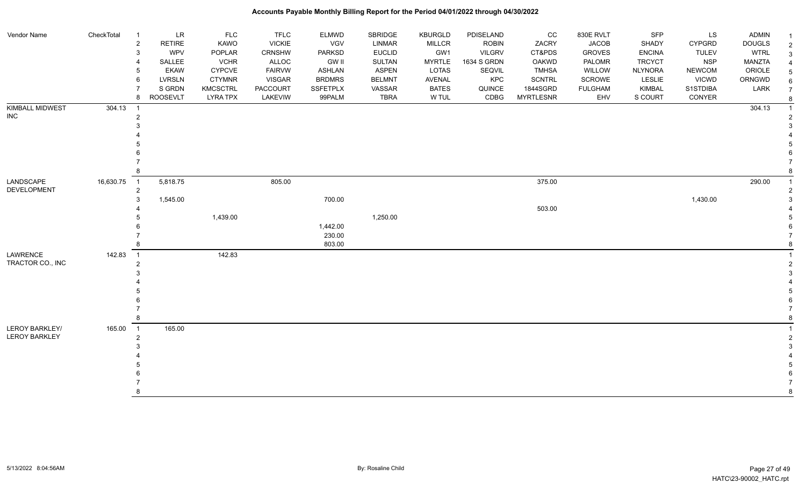| Vendor Name                     | CheckTotal | ${\sf LR}$<br>-1<br>$\overline{c}$<br><b>RETIRE</b> | FLC<br>KAWO     | <b>TFLC</b><br><b>VICKIE</b> | <b>ELMWD</b><br>VGV | SBRIDGE<br><b>LINMAR</b> | <b>KBURGLD</b><br><b>MILLCR</b> | PDISELAND<br><b>ROBIN</b> | CC<br>ZACRY      | 830E RVLT<br><b>JACOB</b> | SFP<br>SHADY   | LS<br><b>CYPGRD</b> | ADMIN<br><b>DOUGLS</b> | $\overline{2}$ |
|---------------------------------|------------|-----------------------------------------------------|-----------------|------------------------------|---------------------|--------------------------|---------------------------------|---------------------------|------------------|---------------------------|----------------|---------------------|------------------------|----------------|
|                                 |            | WPV<br>3                                            | POPLAR          | CRNSHW                       | PARKSD              | <b>EUCLID</b>            | GW1                             | <b>VILGRV</b>             | CT&PDS           | <b>GROVES</b>             | <b>ENCINA</b>  | <b>TULEV</b>        | <b>WTRL</b>            | 3              |
|                                 |            | SALLEE                                              | <b>VCHR</b>     | <b>ALLOC</b>                 | <b>GW II</b>        | <b>SULTAN</b>            | <b>MYRTLE</b>                   | 1634 S GRDN               | OAKWD            | PALOMR                    | <b>TRCYCT</b>  | <b>NSP</b>          | MANZTA                 |                |
|                                 |            | <b>EKAW</b>                                         | <b>CYPCVE</b>   | <b>FAIRVW</b>                | <b>ASHLAN</b>       | <b>ASPEN</b>             | <b>LOTAS</b>                    | SEQVIL                    | <b>TMHSA</b>     | WILLOW                    | <b>NLYNORA</b> | <b>NEWCOM</b>       | ORIOLE                 | .5             |
|                                 |            | <b>LVRSLN</b><br>6                                  | <b>CTYMNR</b>   | <b>VISGAR</b>                | <b>BRDMRS</b>       | <b>BELMNT</b>            | <b>AVENAL</b>                   | KPC                       | <b>SCNTRL</b>    | SCROWE                    | <b>LESLIE</b>  | <b>VICWD</b>        | ORNGWD                 | 6              |
|                                 |            | S GRDN                                              | <b>KMCSCTRL</b> | PACCOURT                     | <b>SSFETPLX</b>     | VASSAR                   | <b>BATES</b>                    | QUINCE                    | 1844SGRD         | <b>FULGHAM</b>            | <b>KIMBAL</b>  | S1STDIBA            | LARK                   | $\overline{7}$ |
|                                 |            | <b>ROOSEVLT</b><br>8                                | <b>LYRA TPX</b> | LAKEVIW                      | 99PALM              | <b>TBRA</b>              | W TUL                           | CDBG                      | <b>MYRTLESNR</b> | EHV                       | S COURT        | CONYER              |                        |                |
| KIMBALL MIDWEST                 | 304.13     |                                                     |                 |                              |                     |                          |                                 |                           |                  |                           |                |                     | 304.13                 |                |
| <b>INC</b>                      |            | $\overline{2}$                                      |                 |                              |                     |                          |                                 |                           |                  |                           |                |                     |                        |                |
|                                 |            |                                                     |                 |                              |                     |                          |                                 |                           |                  |                           |                |                     |                        |                |
|                                 |            |                                                     |                 |                              |                     |                          |                                 |                           |                  |                           |                |                     |                        |                |
|                                 |            |                                                     |                 |                              |                     |                          |                                 |                           |                  |                           |                |                     |                        |                |
|                                 |            |                                                     |                 |                              |                     |                          |                                 |                           |                  |                           |                |                     |                        |                |
|                                 |            |                                                     |                 |                              |                     |                          |                                 |                           |                  |                           |                |                     |                        |                |
|                                 |            |                                                     |                 |                              |                     |                          |                                 |                           |                  |                           |                |                     |                        |                |
| LANDSCAPE<br><b>DEVELOPMENT</b> | 16,630.75  | 5,818.75<br>$\overline{1}$<br>2                     |                 | 805.00                       |                     |                          |                                 |                           | 375.00           |                           |                |                     | 290.00                 |                |
|                                 |            | 1,545.00<br>3                                       |                 |                              | 700.00              |                          |                                 |                           |                  |                           |                | 1,430.00            |                        |                |
|                                 |            |                                                     |                 |                              |                     |                          |                                 |                           | 503.00           |                           |                |                     |                        |                |
|                                 |            |                                                     | 1,439.00        |                              |                     | 1,250.00                 |                                 |                           |                  |                           |                |                     |                        |                |
|                                 |            |                                                     |                 |                              | 1,442.00            |                          |                                 |                           |                  |                           |                |                     |                        |                |
|                                 |            |                                                     |                 |                              | 230.00              |                          |                                 |                           |                  |                           |                |                     |                        |                |
|                                 |            |                                                     |                 |                              | 803.00              |                          |                                 |                           |                  |                           |                |                     |                        |                |
| LAWRENCE                        | 142.83     | $\overline{1}$                                      | 142.83          |                              |                     |                          |                                 |                           |                  |                           |                |                     |                        |                |
| TRACTOR CO., INC                |            | $\overline{2}$                                      |                 |                              |                     |                          |                                 |                           |                  |                           |                |                     |                        |                |
|                                 |            |                                                     |                 |                              |                     |                          |                                 |                           |                  |                           |                |                     |                        |                |
|                                 |            |                                                     |                 |                              |                     |                          |                                 |                           |                  |                           |                |                     |                        |                |
|                                 |            |                                                     |                 |                              |                     |                          |                                 |                           |                  |                           |                |                     |                        |                |
|                                 |            |                                                     |                 |                              |                     |                          |                                 |                           |                  |                           |                |                     |                        |                |
|                                 |            |                                                     |                 |                              |                     |                          |                                 |                           |                  |                           |                |                     |                        |                |
|                                 |            |                                                     |                 |                              |                     |                          |                                 |                           |                  |                           |                |                     |                        |                |
| LEROY BARKLEY/                  | 165.00     | 165.00<br>$\overline{1}$                            |                 |                              |                     |                          |                                 |                           |                  |                           |                |                     |                        |                |
| <b>LEROY BARKLEY</b>            |            | 2                                                   |                 |                              |                     |                          |                                 |                           |                  |                           |                |                     |                        |                |
|                                 |            |                                                     |                 |                              |                     |                          |                                 |                           |                  |                           |                |                     |                        |                |
|                                 |            |                                                     |                 |                              |                     |                          |                                 |                           |                  |                           |                |                     |                        |                |
|                                 |            |                                                     |                 |                              |                     |                          |                                 |                           |                  |                           |                |                     |                        |                |
|                                 |            |                                                     |                 |                              |                     |                          |                                 |                           |                  |                           |                |                     |                        |                |
|                                 |            |                                                     |                 |                              |                     |                          |                                 |                           |                  |                           |                |                     |                        |                |
|                                 |            | 8                                                   |                 |                              |                     |                          |                                 |                           |                  |                           |                |                     |                        | 8              |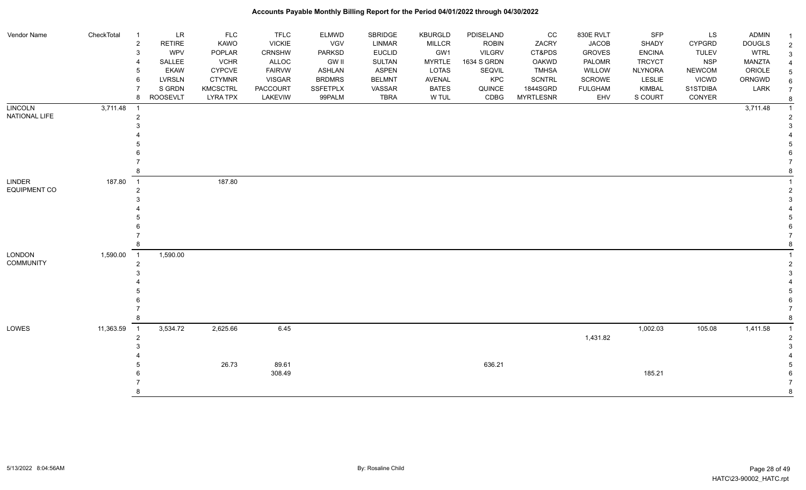| 3<br><b>VCHR</b><br>ALLOC<br><b>GW II</b><br><b>MYRTLE</b><br>1634 S GRDN<br><b>PALOMR</b><br><b>TRCYCT</b><br><b>NSP</b><br>MANZTA<br>SALLEE<br>SULTAN<br>OAKWD<br><b>ASPEN</b><br><b>NLYNORA</b><br>ORIOLE<br><b>EKAW</b><br>CYPCVE<br><b>FAIRVW</b><br>ASHLAN<br>LOTAS<br>SEQVIL<br><b>TMHSA</b><br>WILLOW<br><b>NEWCOM</b><br>5<br><b>LVRSLN</b><br><b>BRDMRS</b><br>KPC<br><b>SCNTRL</b><br>SCROWE<br>LESLIE<br><b>VICWD</b><br>ORNGWD<br><b>CTYMNR</b><br><b>VISGAR</b><br><b>BELMNT</b><br>AVENAL<br>6<br>6<br>S GRDN<br><b>KMCSCTRL</b><br><b>PACCOURT</b><br><b>SSFETPLX</b><br><b>BATES</b><br>QUINCE<br>1844SGRD<br><b>FULGHAM</b><br><b>KIMBAL</b><br>S1STDIBA<br>LARK<br>VASSAR<br>$\overline{7}$<br><b>ROOSEVLT</b><br><b>TBRA</b><br>CDBG<br><b>MYRTLESNR</b><br><b>LYRA TPX</b><br>LAKEVIW<br>99PALM<br>W TUL<br>EHV<br>S COURT<br>CONYER<br>8<br>-8<br><b>LINCOLN</b><br>3,711.48<br>3,711.48<br>$\overline{1}$<br>$\overline{1}$<br>NATIONAL LIFE<br>$\overline{2}$<br>187.80<br>LINDER<br>187.80<br>$\overline{1}$<br>$\overline{2}$<br>1,590.00<br>1,590.00<br>$\overline{1}$<br>$\overline{2}$<br>11,363.59<br>3,534.72<br>2,625.66<br>6.45<br>1,002.03<br>105.08<br>1,411.58<br>$\overline{1}$<br>1,431.82<br>$\overline{2}$<br>26.73<br>89.61<br>636.21<br>308.49<br>185.21 | Vendor Name         | CheckTotal | -1<br>$\overline{c}$ | LR<br><b>RETIRE</b> | <b>FLC</b><br>KAWO | <b>TFLC</b><br><b>VICKIE</b> | <b>ELMWD</b><br>VGV | SBRIDGE<br><b>LINMAR</b> | <b>KBURGLD</b><br><b>MILLCR</b> | PDISELAND<br><b>ROBIN</b> | cc<br>ZACRY | 830E RVLT<br><b>JACOB</b> | <b>SFP</b><br>SHADY | LS<br>CYPGRD | <b>ADMIN</b><br><b>DOUGLS</b> | $\overline{2}$ |
|----------------------------------------------------------------------------------------------------------------------------------------------------------------------------------------------------------------------------------------------------------------------------------------------------------------------------------------------------------------------------------------------------------------------------------------------------------------------------------------------------------------------------------------------------------------------------------------------------------------------------------------------------------------------------------------------------------------------------------------------------------------------------------------------------------------------------------------------------------------------------------------------------------------------------------------------------------------------------------------------------------------------------------------------------------------------------------------------------------------------------------------------------------------------------------------------------------------------------------------------------------------------------------------------------|---------------------|------------|----------------------|---------------------|--------------------|------------------------------|---------------------|--------------------------|---------------------------------|---------------------------|-------------|---------------------------|---------------------|--------------|-------------------------------|----------------|
|                                                                                                                                                                                                                                                                                                                                                                                                                                                                                                                                                                                                                                                                                                                                                                                                                                                                                                                                                                                                                                                                                                                                                                                                                                                                                                    |                     |            | 3                    | <b>WPV</b>          | POPLAR             | CRNSHW                       | <b>PARKSD</b>       | <b>EUCLID</b>            | GW1                             | <b>VILGRV</b>             | CT&PDS      | <b>GROVES</b>             | <b>ENCINA</b>       | <b>TULEV</b> | <b>WTRL</b>                   |                |
|                                                                                                                                                                                                                                                                                                                                                                                                                                                                                                                                                                                                                                                                                                                                                                                                                                                                                                                                                                                                                                                                                                                                                                                                                                                                                                    |                     |            |                      |                     |                    |                              |                     |                          |                                 |                           |             |                           |                     |              |                               |                |
|                                                                                                                                                                                                                                                                                                                                                                                                                                                                                                                                                                                                                                                                                                                                                                                                                                                                                                                                                                                                                                                                                                                                                                                                                                                                                                    |                     |            |                      |                     |                    |                              |                     |                          |                                 |                           |             |                           |                     |              |                               |                |
|                                                                                                                                                                                                                                                                                                                                                                                                                                                                                                                                                                                                                                                                                                                                                                                                                                                                                                                                                                                                                                                                                                                                                                                                                                                                                                    |                     |            |                      |                     |                    |                              |                     |                          |                                 |                           |             |                           |                     |              |                               |                |
|                                                                                                                                                                                                                                                                                                                                                                                                                                                                                                                                                                                                                                                                                                                                                                                                                                                                                                                                                                                                                                                                                                                                                                                                                                                                                                    |                     |            |                      |                     |                    |                              |                     |                          |                                 |                           |             |                           |                     |              |                               |                |
|                                                                                                                                                                                                                                                                                                                                                                                                                                                                                                                                                                                                                                                                                                                                                                                                                                                                                                                                                                                                                                                                                                                                                                                                                                                                                                    |                     |            |                      |                     |                    |                              |                     |                          |                                 |                           |             |                           |                     |              |                               |                |
|                                                                                                                                                                                                                                                                                                                                                                                                                                                                                                                                                                                                                                                                                                                                                                                                                                                                                                                                                                                                                                                                                                                                                                                                                                                                                                    |                     |            |                      |                     |                    |                              |                     |                          |                                 |                           |             |                           |                     |              |                               |                |
|                                                                                                                                                                                                                                                                                                                                                                                                                                                                                                                                                                                                                                                                                                                                                                                                                                                                                                                                                                                                                                                                                                                                                                                                                                                                                                    |                     |            |                      |                     |                    |                              |                     |                          |                                 |                           |             |                           |                     |              |                               |                |
|                                                                                                                                                                                                                                                                                                                                                                                                                                                                                                                                                                                                                                                                                                                                                                                                                                                                                                                                                                                                                                                                                                                                                                                                                                                                                                    |                     |            |                      |                     |                    |                              |                     |                          |                                 |                           |             |                           |                     |              |                               |                |
|                                                                                                                                                                                                                                                                                                                                                                                                                                                                                                                                                                                                                                                                                                                                                                                                                                                                                                                                                                                                                                                                                                                                                                                                                                                                                                    |                     |            |                      |                     |                    |                              |                     |                          |                                 |                           |             |                           |                     |              |                               |                |
|                                                                                                                                                                                                                                                                                                                                                                                                                                                                                                                                                                                                                                                                                                                                                                                                                                                                                                                                                                                                                                                                                                                                                                                                                                                                                                    |                     |            |                      |                     |                    |                              |                     |                          |                                 |                           |             |                           |                     |              |                               |                |
|                                                                                                                                                                                                                                                                                                                                                                                                                                                                                                                                                                                                                                                                                                                                                                                                                                                                                                                                                                                                                                                                                                                                                                                                                                                                                                    |                     |            |                      |                     |                    |                              |                     |                          |                                 |                           |             |                           |                     |              |                               |                |
|                                                                                                                                                                                                                                                                                                                                                                                                                                                                                                                                                                                                                                                                                                                                                                                                                                                                                                                                                                                                                                                                                                                                                                                                                                                                                                    |                     |            |                      |                     |                    |                              |                     |                          |                                 |                           |             |                           |                     |              |                               |                |
|                                                                                                                                                                                                                                                                                                                                                                                                                                                                                                                                                                                                                                                                                                                                                                                                                                                                                                                                                                                                                                                                                                                                                                                                                                                                                                    |                     |            |                      |                     |                    |                              |                     |                          |                                 |                           |             |                           |                     |              |                               |                |
|                                                                                                                                                                                                                                                                                                                                                                                                                                                                                                                                                                                                                                                                                                                                                                                                                                                                                                                                                                                                                                                                                                                                                                                                                                                                                                    | <b>EQUIPMENT CO</b> |            |                      |                     |                    |                              |                     |                          |                                 |                           |             |                           |                     |              |                               |                |
|                                                                                                                                                                                                                                                                                                                                                                                                                                                                                                                                                                                                                                                                                                                                                                                                                                                                                                                                                                                                                                                                                                                                                                                                                                                                                                    |                     |            |                      |                     |                    |                              |                     |                          |                                 |                           |             |                           |                     |              |                               |                |
|                                                                                                                                                                                                                                                                                                                                                                                                                                                                                                                                                                                                                                                                                                                                                                                                                                                                                                                                                                                                                                                                                                                                                                                                                                                                                                    |                     |            |                      |                     |                    |                              |                     |                          |                                 |                           |             |                           |                     |              |                               |                |
|                                                                                                                                                                                                                                                                                                                                                                                                                                                                                                                                                                                                                                                                                                                                                                                                                                                                                                                                                                                                                                                                                                                                                                                                                                                                                                    |                     |            |                      |                     |                    |                              |                     |                          |                                 |                           |             |                           |                     |              |                               |                |
|                                                                                                                                                                                                                                                                                                                                                                                                                                                                                                                                                                                                                                                                                                                                                                                                                                                                                                                                                                                                                                                                                                                                                                                                                                                                                                    |                     |            |                      |                     |                    |                              |                     |                          |                                 |                           |             |                           |                     |              |                               |                |
|                                                                                                                                                                                                                                                                                                                                                                                                                                                                                                                                                                                                                                                                                                                                                                                                                                                                                                                                                                                                                                                                                                                                                                                                                                                                                                    |                     |            |                      |                     |                    |                              |                     |                          |                                 |                           |             |                           |                     |              |                               |                |
|                                                                                                                                                                                                                                                                                                                                                                                                                                                                                                                                                                                                                                                                                                                                                                                                                                                                                                                                                                                                                                                                                                                                                                                                                                                                                                    |                     |            |                      |                     |                    |                              |                     |                          |                                 |                           |             |                           |                     |              |                               |                |
|                                                                                                                                                                                                                                                                                                                                                                                                                                                                                                                                                                                                                                                                                                                                                                                                                                                                                                                                                                                                                                                                                                                                                                                                                                                                                                    | <b>LONDON</b>       |            |                      |                     |                    |                              |                     |                          |                                 |                           |             |                           |                     |              |                               |                |
|                                                                                                                                                                                                                                                                                                                                                                                                                                                                                                                                                                                                                                                                                                                                                                                                                                                                                                                                                                                                                                                                                                                                                                                                                                                                                                    | <b>COMMUNITY</b>    |            |                      |                     |                    |                              |                     |                          |                                 |                           |             |                           |                     |              |                               |                |
|                                                                                                                                                                                                                                                                                                                                                                                                                                                                                                                                                                                                                                                                                                                                                                                                                                                                                                                                                                                                                                                                                                                                                                                                                                                                                                    |                     |            |                      |                     |                    |                              |                     |                          |                                 |                           |             |                           |                     |              |                               |                |
|                                                                                                                                                                                                                                                                                                                                                                                                                                                                                                                                                                                                                                                                                                                                                                                                                                                                                                                                                                                                                                                                                                                                                                                                                                                                                                    |                     |            |                      |                     |                    |                              |                     |                          |                                 |                           |             |                           |                     |              |                               |                |
|                                                                                                                                                                                                                                                                                                                                                                                                                                                                                                                                                                                                                                                                                                                                                                                                                                                                                                                                                                                                                                                                                                                                                                                                                                                                                                    |                     |            |                      |                     |                    |                              |                     |                          |                                 |                           |             |                           |                     |              |                               |                |
|                                                                                                                                                                                                                                                                                                                                                                                                                                                                                                                                                                                                                                                                                                                                                                                                                                                                                                                                                                                                                                                                                                                                                                                                                                                                                                    |                     |            |                      |                     |                    |                              |                     |                          |                                 |                           |             |                           |                     |              |                               |                |
|                                                                                                                                                                                                                                                                                                                                                                                                                                                                                                                                                                                                                                                                                                                                                                                                                                                                                                                                                                                                                                                                                                                                                                                                                                                                                                    |                     |            |                      |                     |                    |                              |                     |                          |                                 |                           |             |                           |                     |              |                               |                |
|                                                                                                                                                                                                                                                                                                                                                                                                                                                                                                                                                                                                                                                                                                                                                                                                                                                                                                                                                                                                                                                                                                                                                                                                                                                                                                    |                     |            |                      |                     |                    |                              |                     |                          |                                 |                           |             |                           |                     |              |                               |                |
|                                                                                                                                                                                                                                                                                                                                                                                                                                                                                                                                                                                                                                                                                                                                                                                                                                                                                                                                                                                                                                                                                                                                                                                                                                                                                                    | LOWES               |            |                      |                     |                    |                              |                     |                          |                                 |                           |             |                           |                     |              |                               |                |
|                                                                                                                                                                                                                                                                                                                                                                                                                                                                                                                                                                                                                                                                                                                                                                                                                                                                                                                                                                                                                                                                                                                                                                                                                                                                                                    |                     |            |                      |                     |                    |                              |                     |                          |                                 |                           |             |                           |                     |              |                               |                |
|                                                                                                                                                                                                                                                                                                                                                                                                                                                                                                                                                                                                                                                                                                                                                                                                                                                                                                                                                                                                                                                                                                                                                                                                                                                                                                    |                     |            |                      |                     |                    |                              |                     |                          |                                 |                           |             |                           |                     |              |                               |                |
|                                                                                                                                                                                                                                                                                                                                                                                                                                                                                                                                                                                                                                                                                                                                                                                                                                                                                                                                                                                                                                                                                                                                                                                                                                                                                                    |                     |            |                      |                     |                    |                              |                     |                          |                                 |                           |             |                           |                     |              |                               |                |
|                                                                                                                                                                                                                                                                                                                                                                                                                                                                                                                                                                                                                                                                                                                                                                                                                                                                                                                                                                                                                                                                                                                                                                                                                                                                                                    |                     |            |                      |                     |                    |                              |                     |                          |                                 |                           |             |                           |                     |              |                               |                |
|                                                                                                                                                                                                                                                                                                                                                                                                                                                                                                                                                                                                                                                                                                                                                                                                                                                                                                                                                                                                                                                                                                                                                                                                                                                                                                    |                     |            |                      |                     |                    |                              |                     |                          |                                 |                           |             |                           |                     |              |                               |                |
|                                                                                                                                                                                                                                                                                                                                                                                                                                                                                                                                                                                                                                                                                                                                                                                                                                                                                                                                                                                                                                                                                                                                                                                                                                                                                                    |                     |            |                      |                     |                    |                              |                     |                          |                                 |                           |             |                           |                     |              |                               | $\mathsf{R}$   |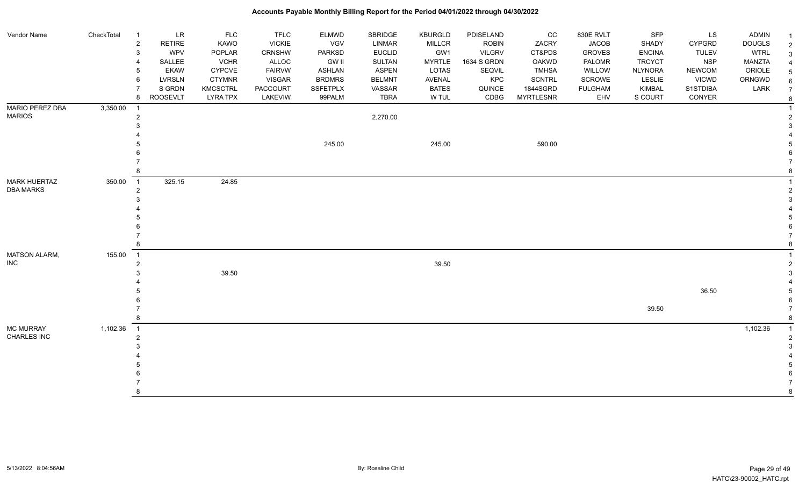| Vendor Name          | CheckTotal | LR<br>$\overline{1}$            | <b>FLC</b>      | <b>TFLC</b>     | ELMWD         | SBRIDGE       | KBURGLD       | PDISELAND     | CC               | 830E RVLT      | SFP           | LS            | ADMIN         |                |
|----------------------|------------|---------------------------------|-----------------|-----------------|---------------|---------------|---------------|---------------|------------------|----------------|---------------|---------------|---------------|----------------|
|                      |            | <b>RETIRE</b><br>$\overline{c}$ | KAWO            | <b>VICKIE</b>   | <b>VGV</b>    | <b>LINMAR</b> | <b>MILLCR</b> | <b>ROBIN</b>  | ZACRY            | <b>JACOB</b>   | SHADY         | <b>CYPGRD</b> | <b>DOUGLS</b> | $\overline{2}$ |
|                      |            | 3<br><b>WPV</b>                 | POPLAR          | CRNSHW          | <b>PARKSD</b> | <b>EUCLID</b> | GW1           | <b>VILGRV</b> | CT&PDS           | <b>GROVES</b>  | <b>ENCINA</b> | <b>TULEV</b>  | <b>WTRL</b>   | 3              |
|                      |            | SALLEE                          | <b>VCHR</b>     | ALLOC           | <b>GW II</b>  | SULTAN        | <b>MYRTLE</b> | 1634 S GRDN   | <b>OAKWD</b>     | PALOMR         | <b>TRCYCT</b> | <b>NSP</b>    | <b>MANZTA</b> |                |
|                      |            | <b>EKAW</b>                     | CYPCVE          | <b>FAIRVW</b>   | <b>ASHLAN</b> | <b>ASPEN</b>  | LOTAS         | SEQVIL        | <b>TMHSA</b>     | WILLOW         | NLYNORA       | <b>NEWCOM</b> | ORIOLE        | 5              |
|                      |            | <b>LVRSLN</b><br>6              | <b>CTYMNR</b>   | <b>VISGAR</b>   | <b>BRDMRS</b> | <b>BELMNT</b> | AVENAL        | KPC           | <b>SCNTRL</b>    | SCROWE         | LESLIE        | <b>VICWD</b>  | ORNGWD        | 6              |
|                      |            | S GRDN                          | KMCSCTRL        | <b>PACCOURT</b> | SSFETPLX      | VASSAR        | <b>BATES</b>  | QUINCE        | 1844SGRD         | <b>FULGHAM</b> | KIMBAL        | S1STDIBA      | LARK          | $\overline{7}$ |
|                      |            | <b>ROOSEVLT</b><br>8            | <b>LYRA TPX</b> | LAKEVIW         | 99PALM        | <b>TBRA</b>   | W TUL         | CDBG          | <b>MYRTLESNR</b> | EHV            | S COURT       | CONYER        |               | -8             |
| MARIO PEREZ DBA      | 3,350.00   | $\overline{1}$                  |                 |                 |               |               |               |               |                  |                |               |               |               |                |
| <b>MARIOS</b>        |            | $\overline{2}$                  |                 |                 |               | 2,270.00      |               |               |                  |                |               |               |               |                |
|                      |            |                                 |                 |                 |               |               |               |               |                  |                |               |               |               |                |
|                      |            |                                 |                 |                 |               |               |               |               |                  |                |               |               |               |                |
|                      |            |                                 |                 |                 | 245.00        |               | 245.00        |               | 590.00           |                |               |               |               |                |
|                      |            |                                 |                 |                 |               |               |               |               |                  |                |               |               |               |                |
|                      |            |                                 |                 |                 |               |               |               |               |                  |                |               |               |               |                |
|                      |            |                                 |                 |                 |               |               |               |               |                  |                |               |               |               |                |
| <b>MARK HUERTAZ</b>  | 350.00     | 325.15<br>$\overline{1}$        | 24.85           |                 |               |               |               |               |                  |                |               |               |               |                |
| <b>DBA MARKS</b>     |            | $\overline{2}$                  |                 |                 |               |               |               |               |                  |                |               |               |               |                |
|                      |            |                                 |                 |                 |               |               |               |               |                  |                |               |               |               |                |
|                      |            |                                 |                 |                 |               |               |               |               |                  |                |               |               |               |                |
|                      |            |                                 |                 |                 |               |               |               |               |                  |                |               |               |               |                |
|                      |            |                                 |                 |                 |               |               |               |               |                  |                |               |               |               |                |
|                      |            |                                 |                 |                 |               |               |               |               |                  |                |               |               |               |                |
|                      |            |                                 |                 |                 |               |               |               |               |                  |                |               |               |               |                |
| <b>MATSON ALARM,</b> | 155.00     | $\overline{1}$                  |                 |                 |               |               |               |               |                  |                |               |               |               |                |
| <b>INC</b>           |            | $\overline{2}$                  |                 |                 |               |               | 39.50         |               |                  |                |               |               |               |                |
|                      |            |                                 | 39.50           |                 |               |               |               |               |                  |                |               |               |               |                |
|                      |            |                                 |                 |                 |               |               |               |               |                  |                |               |               |               |                |
|                      |            |                                 |                 |                 |               |               |               |               |                  |                |               | 36.50         |               |                |
|                      |            |                                 |                 |                 |               |               |               |               |                  |                |               |               |               |                |
|                      |            |                                 |                 |                 |               |               |               |               |                  |                | 39.50         |               |               |                |
|                      |            |                                 |                 |                 |               |               |               |               |                  |                |               |               |               |                |
| <b>MC MURRAY</b>     | 1,102.36   | $\overline{1}$                  |                 |                 |               |               |               |               |                  |                |               |               | 1,102.36      |                |
| CHARLES INC          |            | 2                               |                 |                 |               |               |               |               |                  |                |               |               |               |                |
|                      |            |                                 |                 |                 |               |               |               |               |                  |                |               |               |               |                |
|                      |            |                                 |                 |                 |               |               |               |               |                  |                |               |               |               |                |
|                      |            |                                 |                 |                 |               |               |               |               |                  |                |               |               |               |                |
|                      |            |                                 |                 |                 |               |               |               |               |                  |                |               |               |               |                |
|                      |            |                                 |                 |                 |               |               |               |               |                  |                |               |               |               |                |
|                      |            |                                 |                 |                 |               |               |               |               |                  |                |               |               |               | 8              |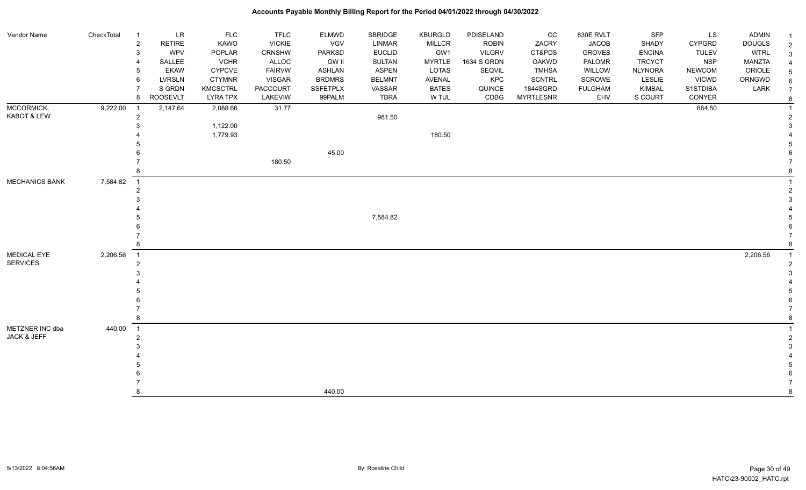| Vendor Name           | CheckTotal | $\overline{1}$             | <b>LR</b>       | <b>FLC</b>      | <b>TFLC</b>     | <b>ELMWD</b>    | SBRIDGE       | KBURGLD       | PDISELAND     | cc               | 830E RVLT      | <b>SFP</b>     | LS            | <b>ADMIN</b>  |  |
|-----------------------|------------|----------------------------|-----------------|-----------------|-----------------|-----------------|---------------|---------------|---------------|------------------|----------------|----------------|---------------|---------------|--|
|                       |            | $\sqrt{2}$                 | <b>RETIRE</b>   | KAWO            | <b>VICKIE</b>   | VGV             | LINMAR        | <b>MILLCR</b> | <b>ROBIN</b>  | ZACRY            | <b>JACOB</b>   | SHADY          | <b>CYPGRD</b> | <b>DOUGLS</b> |  |
|                       |            | 3                          | <b>WPV</b>      | POPLAR          | <b>CRNSHW</b>   | PARKSD          | <b>EUCLID</b> | GW1           | <b>VILGRV</b> | CT&PDS           | <b>GROVES</b>  | <b>ENCINA</b>  | <b>TULEV</b>  | <b>WTRL</b>   |  |
|                       |            | $\overline{4}$             | SALLEE          | <b>VCHR</b>     | ALLOC           | <b>GW II</b>    | SULTAN        | <b>MYRTLE</b> | 1634 S GRDN   | <b>OAKWD</b>     | PALOMR         | <b>TRCYCT</b>  | <b>NSP</b>    | MANZTA        |  |
|                       |            | 5                          | <b>EKAW</b>     | <b>CYPCVE</b>   | <b>FAIRVW</b>   | <b>ASHLAN</b>   | <b>ASPEN</b>  | LOTAS         | SEQVIL        | <b>TMHSA</b>     | WILLOW         | <b>NLYNORA</b> | <b>NEWCOM</b> | ORIOLE        |  |
|                       |            | 6                          | <b>LVRSLN</b>   | <b>CTYMNR</b>   | <b>VISGAR</b>   | <b>BRDMRS</b>   | <b>BELMNT</b> | AVENAL        | KPC           | <b>SCNTRL</b>    | SCROWE         | LESLIE         | <b>VICWD</b>  | ORNGWD        |  |
|                       |            | 7                          | S GRDN          | <b>KMCSCTRL</b> | <b>PACCOURT</b> | <b>SSFETPLX</b> | VASSAR        | <b>BATES</b>  | QUINCE        | 1844SGRD         | <b>FULGHAM</b> | <b>KIMBAL</b>  | S1STDIBA      | LARK          |  |
|                       |            | 8                          | <b>ROOSEVLT</b> | <b>LYRA TPX</b> | LAKEVIW         | 99PALM          | <b>TBRA</b>   | W TUL         | CDBG          | <b>MYRTLESNR</b> | EHV            | S COURT        | CONYER        |               |  |
| MCCORMICK,            | 9,222.00   | -1                         | 2,147.64        | 2,088.66        | 31.77           |                 |               |               |               |                  |                |                | 664.50        |               |  |
| KABOT & LEW           |            | $\overline{2}$             |                 |                 |                 |                 | 981.50        |               |               |                  |                |                |               |               |  |
|                       |            | 3                          |                 | 1,122.00        |                 |                 |               |               |               |                  |                |                |               |               |  |
|                       |            |                            |                 | 1,779.93        |                 |                 |               | 180.50        |               |                  |                |                |               |               |  |
|                       |            |                            |                 |                 |                 |                 |               |               |               |                  |                |                |               |               |  |
|                       |            |                            |                 |                 |                 | 45.00           |               |               |               |                  |                |                |               |               |  |
|                       |            |                            |                 |                 | 180.50          |                 |               |               |               |                  |                |                |               |               |  |
|                       |            | 8                          |                 |                 |                 |                 |               |               |               |                  |                |                |               |               |  |
| <b>MECHANICS BANK</b> | 7,584.82   | $\overline{1}$             |                 |                 |                 |                 |               |               |               |                  |                |                |               |               |  |
|                       |            | $\overline{2}$             |                 |                 |                 |                 |               |               |               |                  |                |                |               |               |  |
|                       |            | 3                          |                 |                 |                 |                 |               |               |               |                  |                |                |               |               |  |
|                       |            |                            |                 |                 |                 |                 |               |               |               |                  |                |                |               |               |  |
|                       |            |                            |                 |                 |                 |                 | 7,584.82      |               |               |                  |                |                |               |               |  |
|                       |            |                            |                 |                 |                 |                 |               |               |               |                  |                |                |               |               |  |
|                       |            |                            |                 |                 |                 |                 |               |               |               |                  |                |                |               |               |  |
|                       |            | 8                          |                 |                 |                 |                 |               |               |               |                  |                |                |               |               |  |
| <b>MEDICAL EYE</b>    | 2,206.56   | $\overline{1}$             |                 |                 |                 |                 |               |               |               |                  |                |                |               | 2,206.56      |  |
| <b>SERVICES</b>       |            | $\overline{2}$             |                 |                 |                 |                 |               |               |               |                  |                |                |               |               |  |
|                       |            | 3                          |                 |                 |                 |                 |               |               |               |                  |                |                |               |               |  |
|                       |            |                            |                 |                 |                 |                 |               |               |               |                  |                |                |               |               |  |
|                       |            |                            |                 |                 |                 |                 |               |               |               |                  |                |                |               |               |  |
|                       |            |                            |                 |                 |                 |                 |               |               |               |                  |                |                |               |               |  |
|                       |            |                            |                 |                 |                 |                 |               |               |               |                  |                |                |               |               |  |
|                       |            | 8                          |                 |                 |                 |                 |               |               |               |                  |                |                |               |               |  |
| METZNER INC dba       | 440.00     | $\overline{\phantom{0}}$ 1 |                 |                 |                 |                 |               |               |               |                  |                |                |               |               |  |
| JACK & JEFF           |            | $\overline{2}$             |                 |                 |                 |                 |               |               |               |                  |                |                |               |               |  |
|                       |            | 3                          |                 |                 |                 |                 |               |               |               |                  |                |                |               |               |  |
|                       |            |                            |                 |                 |                 |                 |               |               |               |                  |                |                |               |               |  |
|                       |            |                            |                 |                 |                 |                 |               |               |               |                  |                |                |               |               |  |
|                       |            |                            |                 |                 |                 |                 |               |               |               |                  |                |                |               |               |  |
|                       |            |                            |                 |                 |                 |                 |               |               |               |                  |                |                |               |               |  |
|                       |            | 8                          |                 |                 |                 | 440.00          |               |               |               |                  |                |                |               |               |  |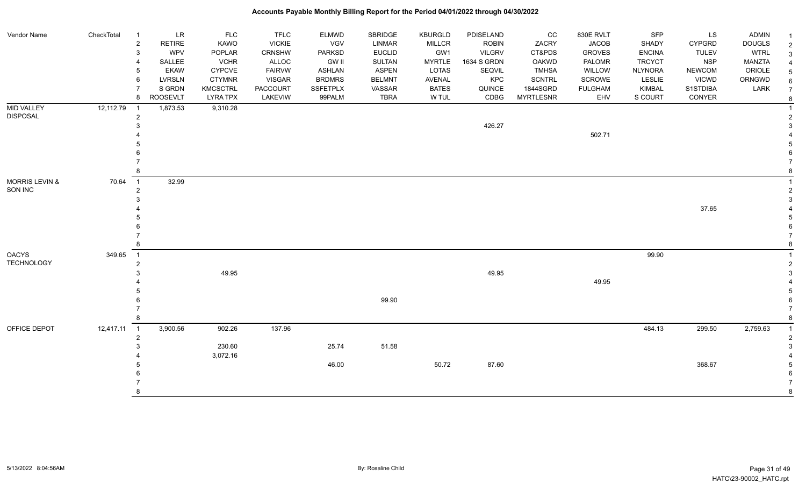| Vendor Name               | CheckTotal | $\overline{1}$ | <b>LR</b>                 | <b>FLC</b>                         | <b>TFLC</b>         | ELMWD              | SBRIDGE               | <b>KBURGLD</b>        | PDISELAND      | cc                           | 830E RVLT             | <b>SFP</b>               | LS                 | ADMIN         | -1               |
|---------------------------|------------|----------------|---------------------------|------------------------------------|---------------------|--------------------|-----------------------|-----------------------|----------------|------------------------------|-----------------------|--------------------------|--------------------|---------------|------------------|
|                           |            | $\sqrt{2}$     | <b>RETIRE</b>             | KAWO                               | <b>VICKIE</b>       | VGV                | <b>LINMAR</b>         | <b>MILLCR</b>         | <b>ROBIN</b>   | ZACRY                        | <b>JACOB</b>          | <b>SHADY</b>             | <b>CYPGRD</b>      | <b>DOUGLS</b> | $\overline{2}$   |
|                           |            | 3              | WPV                       | POPLAR                             | CRNSHW              | <b>PARKSD</b>      | <b>EUCLID</b>         | GW1                   | <b>VILGRV</b>  | CT&PDS                       | <b>GROVES</b>         | <b>ENCINA</b>            | <b>TULEV</b>       | <b>WTRL</b>   | $\mathbf{3}$     |
|                           |            |                | SALLEE                    | <b>VCHR</b>                        | ALLOC               | <b>GW II</b>       | <b>SULTAN</b>         | <b>MYRTLE</b>         | 1634 S GRDN    | <b>OAKWD</b>                 | PALOMR                | <b>TRCYCT</b>            | <b>NSP</b>         | <b>MANZTA</b> | 4                |
|                           |            | 5              | <b>EKAW</b>               | <b>CYPCVE</b>                      | <b>FAIRVW</b>       | ASHLAN             | <b>ASPEN</b>          | <b>LOTAS</b>          | SEQVIL         | <b>TMHSA</b>                 | WILLOW                | <b>NLYNORA</b>           | <b>NEWCOM</b>      | ORIOLE        | $\sqrt{5}$       |
|                           |            |                | LVRSLN                    | <b>CTYMNR</b>                      | <b>VISGAR</b>       | <b>BRDMRS</b>      | <b>BELMNT</b>         | AVENAL                | KPC            | <b>SCNTRL</b>                | SCROWE                | LESLIE                   | <b>VICWD</b>       | ORNGWD        | $\,6$            |
|                           |            | 8              | S GRDN<br><b>ROOSEVLT</b> | <b>KMCSCTRL</b><br><b>LYRA TPX</b> | PACCOURT<br>LAKEVIW | SSFETPLX<br>99PALM | VASSAR<br><b>TBRA</b> | <b>BATES</b><br>W TUL | QUINCE<br>CDBG | 1844SGRD<br><b>MYRTLESNR</b> | <b>FULGHAM</b><br>EHV | <b>KIMBAL</b><br>S COURT | S1STDIBA<br>CONYER | LARK          | $\overline{7}$   |
| <b>MID VALLEY</b>         | 12,112.79  | $\overline{1}$ | 1,873.53                  | 9,310.28                           |                     |                    |                       |                       |                |                              |                       |                          |                    |               | 8                |
| <b>DISPOSAL</b>           |            | $\overline{2}$ |                           |                                    |                     |                    |                       |                       |                |                              |                       |                          |                    |               | $\boldsymbol{2}$ |
|                           |            |                |                           |                                    |                     |                    |                       |                       | 426.27         |                              |                       |                          |                    |               | 3                |
|                           |            |                |                           |                                    |                     |                    |                       |                       |                |                              | 502.71                |                          |                    |               |                  |
|                           |            |                |                           |                                    |                     |                    |                       |                       |                |                              |                       |                          |                    |               | 5                |
|                           |            |                |                           |                                    |                     |                    |                       |                       |                |                              |                       |                          |                    |               | 6                |
|                           |            |                |                           |                                    |                     |                    |                       |                       |                |                              |                       |                          |                    |               | $\overline{7}$   |
|                           |            |                |                           |                                    |                     |                    |                       |                       |                |                              |                       |                          |                    |               | 8                |
| <b>MORRIS LEVIN &amp;</b> | 70.64      | $\overline{1}$ | 32.99                     |                                    |                     |                    |                       |                       |                |                              |                       |                          |                    |               |                  |
| SON INC                   |            | $\overline{2}$ |                           |                                    |                     |                    |                       |                       |                |                              |                       |                          |                    |               | $\overline{2}$   |
|                           |            |                |                           |                                    |                     |                    |                       |                       |                |                              |                       |                          |                    |               | 3                |
|                           |            |                |                           |                                    |                     |                    |                       |                       |                |                              |                       |                          | 37.65              |               |                  |
|                           |            |                |                           |                                    |                     |                    |                       |                       |                |                              |                       |                          |                    |               | 5                |
|                           |            |                |                           |                                    |                     |                    |                       |                       |                |                              |                       |                          |                    |               | 6                |
|                           |            |                |                           |                                    |                     |                    |                       |                       |                |                              |                       |                          |                    |               | $\overline{7}$   |
|                           |            |                |                           |                                    |                     |                    |                       |                       |                |                              |                       |                          |                    |               | 8                |
| <b>OACYS</b>              | 349.65     | $\overline{1}$ |                           |                                    |                     |                    |                       |                       |                |                              |                       | 99.90                    |                    |               |                  |
| <b>TECHNOLOGY</b>         |            | $\overline{2}$ |                           |                                    |                     |                    |                       |                       |                |                              |                       |                          |                    |               | $\boldsymbol{2}$ |
|                           |            |                |                           | 49.95                              |                     |                    |                       |                       | 49.95          |                              |                       |                          |                    |               | 3                |
|                           |            |                |                           |                                    |                     |                    |                       |                       |                |                              | 49.95                 |                          |                    |               |                  |
|                           |            |                |                           |                                    |                     |                    | 99.90                 |                       |                |                              |                       |                          |                    |               | 5<br>6           |
|                           |            |                |                           |                                    |                     |                    |                       |                       |                |                              |                       |                          |                    |               | $\overline{7}$   |
|                           |            |                |                           |                                    |                     |                    |                       |                       |                |                              |                       |                          |                    |               | 8                |
| OFFICE DEPOT              | 12,417.11  | $\overline{1}$ | 3,900.56                  | 902.26                             | 137.96              |                    |                       |                       |                |                              |                       | 484.13                   | 299.50             | 2,759.63      | $\overline{1}$   |
|                           |            | $\overline{2}$ |                           |                                    |                     |                    |                       |                       |                |                              |                       |                          |                    |               | $\boldsymbol{2}$ |
|                           |            |                |                           | 230.60                             |                     | 25.74              | 51.58                 |                       |                |                              |                       |                          |                    |               | 3                |
|                           |            |                |                           | 3,072.16                           |                     |                    |                       |                       |                |                              |                       |                          |                    |               |                  |
|                           |            |                |                           |                                    |                     | 46.00              |                       | 50.72                 | 87.60          |                              |                       |                          | 368.67             |               | 5                |
|                           |            |                |                           |                                    |                     |                    |                       |                       |                |                              |                       |                          |                    |               | 6                |
|                           |            |                |                           |                                    |                     |                    |                       |                       |                |                              |                       |                          |                    |               | $\overline{7}$   |
|                           |            |                |                           |                                    |                     |                    |                       |                       |                |                              |                       |                          |                    |               | 8                |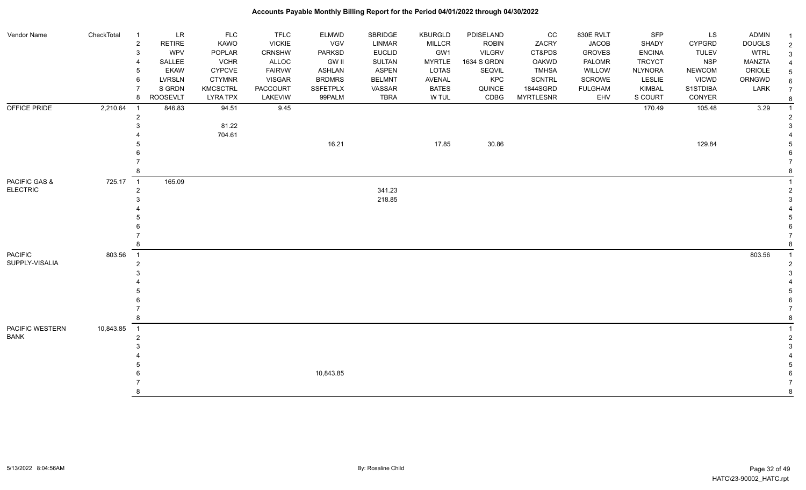| Vendor Name     | CheckTotal | $\overline{1}$ | LR              | <b>FLC</b>      | <b>TFLC</b>     | ELMWD           | <b>SBRIDGE</b> | KBURGLD       | PDISELAND     | CC               | 830E RVLT      | <b>SFP</b>     | <b>LS</b>     | <b>ADMIN</b>  | $\overline{1}$ |
|-----------------|------------|----------------|-----------------|-----------------|-----------------|-----------------|----------------|---------------|---------------|------------------|----------------|----------------|---------------|---------------|----------------|
|                 |            | $\sqrt{2}$     | <b>RETIRE</b>   | KAWO            | <b>VICKIE</b>   | VGV             | <b>LINMAR</b>  | <b>MILLCR</b> | <b>ROBIN</b>  | ZACRY            | <b>JACOB</b>   | SHADY          | <b>CYPGRD</b> | <b>DOUGLS</b> | $\overline{2}$ |
|                 |            | 3              | <b>WPV</b>      | POPLAR          | CRNSHW          | <b>PARKSD</b>   | <b>EUCLID</b>  | GW1           | <b>VILGRV</b> | CT&PDS           | <b>GROVES</b>  | <b>ENCINA</b>  | <b>TULEV</b>  | <b>WTRL</b>   |                |
|                 |            |                | SALLEE          | <b>VCHR</b>     | ALLOC           | <b>GW II</b>    | SULTAN         | <b>MYRTLE</b> | 1634 S GRDN   | <b>OAKWD</b>     | PALOMR         | <b>TRCYCT</b>  | <b>NSP</b>    | MANZTA        |                |
|                 |            |                | <b>EKAW</b>     | <b>CYPCVE</b>   | <b>FAIRVW</b>   | <b>ASHLAN</b>   | <b>ASPEN</b>   | <b>LOTAS</b>  | SEQVIL        | <b>TMHSA</b>     | WILLOW         | <b>NLYNORA</b> | <b>NEWCOM</b> | ORIOLE        |                |
|                 |            | 6              | <b>LVRSLN</b>   | <b>CTYMNR</b>   | <b>VISGAR</b>   | <b>BRDMRS</b>   | <b>BELMNT</b>  | <b>AVENAL</b> | KPC           | <b>SCNTRL</b>    | SCROWE         | LESLIE         | <b>VICWD</b>  | ORNGWD        |                |
|                 |            |                | S GRDN          | <b>KMCSCTRL</b> | <b>PACCOURT</b> | <b>SSFETPLX</b> | VASSAR         | <b>BATES</b>  | QUINCE        | 1844SGRD         | <b>FULGHAM</b> | <b>KIMBAL</b>  | S1STDIBA      | LARK          |                |
|                 |            | 8              | <b>ROOSEVLT</b> | <b>LYRA TPX</b> | LAKEVIW         | 99PALM          | <b>TBRA</b>    | W TUL         | CDBG          | <b>MYRTLESNR</b> | EHV            | S COURT        | CONYER        |               |                |
| OFFICE PRIDE    | 2,210.64   | $\overline{1}$ | 846.83          | 94.51           | 9.45            |                 |                |               |               |                  |                | 170.49         | 105.48        | 3.29          |                |
|                 |            | $\overline{2}$ |                 |                 |                 |                 |                |               |               |                  |                |                |               |               |                |
|                 |            |                |                 | 81.22           |                 |                 |                |               |               |                  |                |                |               |               |                |
|                 |            |                |                 | 704.61          |                 |                 |                |               |               |                  |                |                |               |               |                |
|                 |            |                |                 |                 |                 | 16.21           |                | 17.85         | 30.86         |                  |                |                | 129.84        |               |                |
|                 |            |                |                 |                 |                 |                 |                |               |               |                  |                |                |               |               |                |
|                 |            |                |                 |                 |                 |                 |                |               |               |                  |                |                |               |               |                |
|                 |            |                |                 |                 |                 |                 |                |               |               |                  |                |                |               |               |                |
| PACIFIC GAS &   | 725.17     | $\overline{1}$ | 165.09          |                 |                 |                 |                |               |               |                  |                |                |               |               |                |
| <b>ELECTRIC</b> |            | $\overline{2}$ |                 |                 |                 |                 | 341.23         |               |               |                  |                |                |               |               |                |
|                 |            |                |                 |                 |                 |                 | 218.85         |               |               |                  |                |                |               |               |                |
|                 |            |                |                 |                 |                 |                 |                |               |               |                  |                |                |               |               |                |
|                 |            |                |                 |                 |                 |                 |                |               |               |                  |                |                |               |               |                |
|                 |            |                |                 |                 |                 |                 |                |               |               |                  |                |                |               |               |                |
|                 |            |                |                 |                 |                 |                 |                |               |               |                  |                |                |               |               |                |
|                 |            | 8              |                 |                 |                 |                 |                |               |               |                  |                |                |               |               |                |
| <b>PACIFIC</b>  | 803.56     | $\overline{1}$ |                 |                 |                 |                 |                |               |               |                  |                |                |               | 803.56        |                |
| SUPPLY-VISALIA  |            | $\overline{2}$ |                 |                 |                 |                 |                |               |               |                  |                |                |               |               |                |
|                 |            |                |                 |                 |                 |                 |                |               |               |                  |                |                |               |               |                |
|                 |            |                |                 |                 |                 |                 |                |               |               |                  |                |                |               |               |                |
|                 |            |                |                 |                 |                 |                 |                |               |               |                  |                |                |               |               |                |
|                 |            |                |                 |                 |                 |                 |                |               |               |                  |                |                |               |               |                |
|                 |            |                |                 |                 |                 |                 |                |               |               |                  |                |                |               |               |                |
|                 |            | 8              |                 |                 |                 |                 |                |               |               |                  |                |                |               |               |                |
| PACIFIC WESTERN | 10,843.85  | $\overline{1}$ |                 |                 |                 |                 |                |               |               |                  |                |                |               |               |                |
| <b>BANK</b>     |            | $\overline{2}$ |                 |                 |                 |                 |                |               |               |                  |                |                |               |               |                |
|                 |            |                |                 |                 |                 |                 |                |               |               |                  |                |                |               |               |                |
|                 |            |                |                 |                 |                 |                 |                |               |               |                  |                |                |               |               |                |
|                 |            |                |                 |                 |                 |                 |                |               |               |                  |                |                |               |               |                |
|                 |            |                |                 |                 |                 | 10,843.85       |                |               |               |                  |                |                |               |               |                |
|                 |            |                |                 |                 |                 |                 |                |               |               |                  |                |                |               |               |                |
|                 |            | я              |                 |                 |                 |                 |                |               |               |                  |                |                |               |               |                |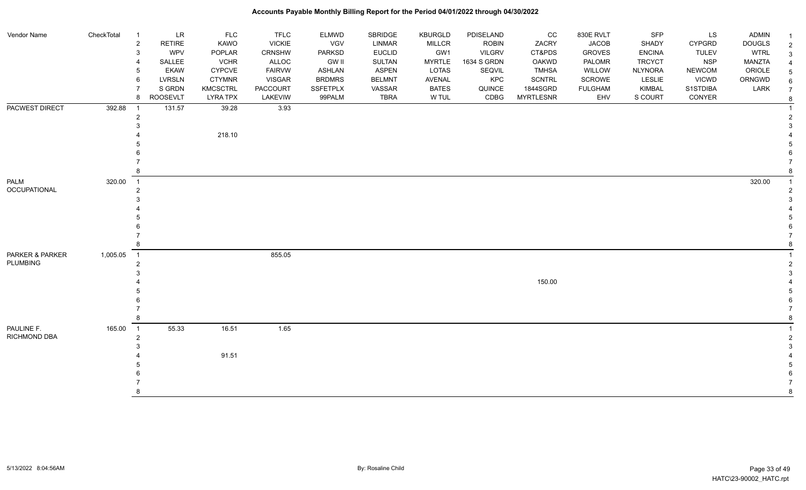| Vendor Name         | CheckTotal | $\overline{1}$ | <b>LR</b>       | <b>FLC</b>      | <b>TFLC</b>   | <b>ELMWD</b>    | SBRIDGE       | <b>KBURGLD</b> | PDISELAND     | CC               | 830E RVLT      | SFP            | LS            | <b>ADMIN</b>  | $\overline{1}$          |
|---------------------|------------|----------------|-----------------|-----------------|---------------|-----------------|---------------|----------------|---------------|------------------|----------------|----------------|---------------|---------------|-------------------------|
|                     |            | $\sqrt{2}$     | <b>RETIRE</b>   | <b>KAWO</b>     | <b>VICKIE</b> | <b>VGV</b>      | LINMAR        | <b>MILLCR</b>  | <b>ROBIN</b>  | ZACRY            | <b>JACOB</b>   | <b>SHADY</b>   | <b>CYPGRD</b> | <b>DOUGLS</b> | $\sqrt{2}$              |
|                     |            | 3              | WPV             | POPLAR          | CRNSHW        | <b>PARKSD</b>   | <b>EUCLID</b> | GW1            | <b>VILGRV</b> | CT&PDS           | <b>GROVES</b>  | <b>ENCINA</b>  | <b>TULEV</b>  | <b>WTRL</b>   | $\mathbf{3}$            |
|                     |            | 4              | SALLEE          | <b>VCHR</b>     | <b>ALLOC</b>  | <b>GW II</b>    | <b>SULTAN</b> | <b>MYRTLE</b>  | 1634 S GRDN   | <b>OAKWD</b>     | PALOMR         | <b>TRCYCT</b>  | NSP           | <b>MANZTA</b> | $\overline{4}$          |
|                     |            | 5              | <b>EKAW</b>     | <b>CYPCVE</b>   | <b>FAIRVW</b> | <b>ASHLAN</b>   | <b>ASPEN</b>  | <b>LOTAS</b>   | SEQVIL        | <b>TMHSA</b>     | WILLOW         | <b>NLYNORA</b> | <b>NEWCOM</b> | ORIOLE        | 5                       |
|                     |            | 6              | LVRSLN          | <b>CTYMNR</b>   | <b>VISGAR</b> | <b>BRDMRS</b>   | <b>BELMNT</b> | AVENAL         | KPC           | <b>SCNTRL</b>    | <b>SCROWE</b>  | <b>LESLIE</b>  | <b>VICWD</b>  | ORNGWD        | $\,6\,$                 |
|                     |            |                | S GRDN          | <b>KMCSCTRL</b> | PACCOURT      | <b>SSFETPLX</b> | VASSAR        | <b>BATES</b>   | QUINCE        | 1844SGRD         | <b>FULGHAM</b> | KIMBAL         | S1STDIBA      | LARK          | $\overline{7}$          |
|                     |            | 8              | <b>ROOSEVLT</b> | <b>LYRA TPX</b> | LAKEVIW       | 99PALM          | <b>TBRA</b>   | W TUL          | CDBG          | <b>MYRTLESNR</b> | EHV            | S COURT        | CONYER        |               | 8                       |
| PACWEST DIRECT      | 392.88     | -1             | 131.57          | 39.28           | 3.93          |                 |               |                |               |                  |                |                |               |               | $\overline{\mathbf{1}}$ |
|                     |            | $\overline{2}$ |                 |                 |               |                 |               |                |               |                  |                |                |               |               | $\overline{2}$          |
|                     |            |                |                 |                 |               |                 |               |                |               |                  |                |                |               |               | 3                       |
|                     |            |                |                 | 218.10          |               |                 |               |                |               |                  |                |                |               |               |                         |
|                     |            |                |                 |                 |               |                 |               |                |               |                  |                |                |               |               | 5                       |
|                     |            |                |                 |                 |               |                 |               |                |               |                  |                |                |               |               | 6                       |
|                     |            |                |                 |                 |               |                 |               |                |               |                  |                |                |               |               |                         |
|                     |            | 8              |                 |                 |               |                 |               |                |               |                  |                |                |               |               | 8                       |
| <b>PALM</b>         | 320.00     | $\overline{1}$ |                 |                 |               |                 |               |                |               |                  |                |                |               | 320.00        | $\mathbf{1}$            |
| OCCUPATIONAL        |            | $\overline{2}$ |                 |                 |               |                 |               |                |               |                  |                |                |               |               | $\overline{2}$          |
|                     |            |                |                 |                 |               |                 |               |                |               |                  |                |                |               |               | 3                       |
|                     |            |                |                 |                 |               |                 |               |                |               |                  |                |                |               |               |                         |
|                     |            |                |                 |                 |               |                 |               |                |               |                  |                |                |               |               | 5                       |
|                     |            |                |                 |                 |               |                 |               |                |               |                  |                |                |               |               | 6                       |
|                     |            |                |                 |                 |               |                 |               |                |               |                  |                |                |               |               | $\overline{7}$          |
|                     |            | 8              |                 |                 |               |                 |               |                |               |                  |                |                |               |               | 8                       |
| PARKER & PARKER     | 1,005.05   | $\overline{1}$ |                 |                 | 855.05        |                 |               |                |               |                  |                |                |               |               | $\overline{1}$          |
| <b>PLUMBING</b>     |            | 2              |                 |                 |               |                 |               |                |               |                  |                |                |               |               | $\sqrt{2}$              |
|                     |            |                |                 |                 |               |                 |               |                |               |                  |                |                |               |               | 3                       |
|                     |            |                |                 |                 |               |                 |               |                |               | 150.00           |                |                |               |               |                         |
|                     |            |                |                 |                 |               |                 |               |                |               |                  |                |                |               |               | 5                       |
|                     |            |                |                 |                 |               |                 |               |                |               |                  |                |                |               |               | 6                       |
|                     |            |                |                 |                 |               |                 |               |                |               |                  |                |                |               |               |                         |
|                     |            | 8              |                 |                 |               |                 |               |                |               |                  |                |                |               |               | 8                       |
| PAULINE F.          | 165.00     | $\overline{1}$ | 55.33           | 16.51           | 1.65          |                 |               |                |               |                  |                |                |               |               | $\overline{\mathbf{1}}$ |
| <b>RICHMOND DBA</b> |            | $\overline{2}$ |                 |                 |               |                 |               |                |               |                  |                |                |               |               | $\overline{2}$          |
|                     |            |                |                 |                 |               |                 |               |                |               |                  |                |                |               |               | 3                       |
|                     |            |                |                 | 91.51           |               |                 |               |                |               |                  |                |                |               |               |                         |
|                     |            |                |                 |                 |               |                 |               |                |               |                  |                |                |               |               | 5                       |
|                     |            |                |                 |                 |               |                 |               |                |               |                  |                |                |               |               | 6                       |
|                     |            |                |                 |                 |               |                 |               |                |               |                  |                |                |               |               | $\overline{7}$          |
|                     |            | 8              |                 |                 |               |                 |               |                |               |                  |                |                |               |               | 8                       |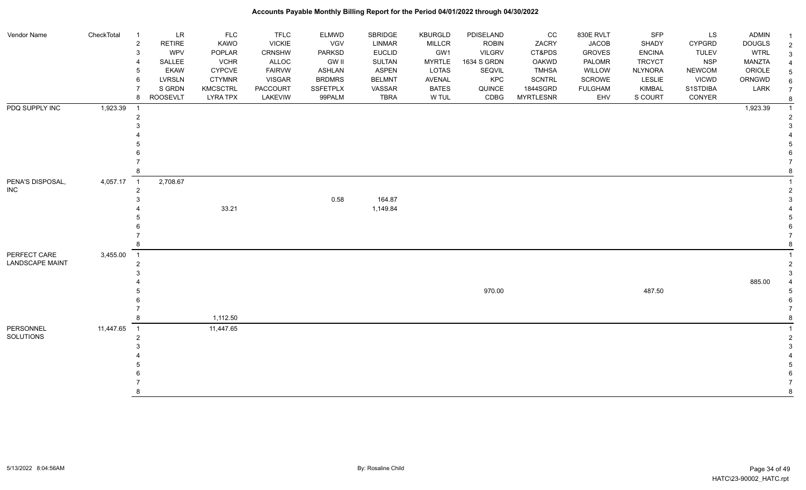| Vendor Name            | CheckTotal | $\overline{1}$          | <b>LR</b>     | <b>FLC</b>      | <b>TFLC</b>     | <b>ELMWD</b>    | SBRIDGE       | KBURGLD       | PDISELAND     | cc               | 830E RVLT      | <b>SFP</b>     | LS            | <b>ADMIN</b>  |  |
|------------------------|------------|-------------------------|---------------|-----------------|-----------------|-----------------|---------------|---------------|---------------|------------------|----------------|----------------|---------------|---------------|--|
|                        |            | $\overline{\mathbf{c}}$ | RETIRE        | KAWO            | <b>VICKIE</b>   | VGV             | LINMAR        | <b>MILLCR</b> | <b>ROBIN</b>  | ZACRY            | <b>JACOB</b>   | SHADY          | <b>CYPGRD</b> | <b>DOUGLS</b> |  |
|                        |            | 3                       | <b>WPV</b>    | POPLAR          | CRNSHW          | PARKSD          | <b>EUCLID</b> | GW1           | <b>VILGRV</b> | CT&PDS           | <b>GROVES</b>  | <b>ENCINA</b>  | <b>TULEV</b>  | <b>WTRL</b>   |  |
|                        |            |                         | SALLEE        | <b>VCHR</b>     | ALLOC           | <b>GW II</b>    | <b>SULTAN</b> | <b>MYRTLE</b> | 1634 S GRDN   | OAKWD            | PALOMR         | <b>TRCYCT</b>  | <b>NSP</b>    | MANZTA        |  |
|                        |            |                         | <b>EKAW</b>   | <b>CYPCVE</b>   | <b>FAIRVW</b>   | <b>ASHLAN</b>   | <b>ASPEN</b>  | LOTAS         | SEQVIL        | <b>TMHSA</b>     | WILLOW         | <b>NLYNORA</b> | <b>NEWCOM</b> | ORIOLE        |  |
|                        |            | 6                       | <b>LVRSLN</b> | <b>CTYMNR</b>   | <b>VISGAR</b>   | <b>BRDMRS</b>   | <b>BELMNT</b> | AVENAL        | KPC           | <b>SCNTRL</b>    | SCROWE         | LESLIE         | <b>VICWD</b>  | ORNGWD        |  |
|                        |            |                         | S GRDN        | <b>KMCSCTRL</b> | <b>PACCOURT</b> | <b>SSFETPLX</b> | VASSAR        | <b>BATES</b>  | QUINCE        | 1844SGRD         | <b>FULGHAM</b> | <b>KIMBAL</b>  | S1STDIBA      | LARK          |  |
|                        |            | 8                       | ROOSEVLT      | <b>LYRA TPX</b> | LAKEVIW         | 99PALM          | TBRA          | W TUL         | CDBG          | <b>MYRTLESNR</b> | EHV            | S COURT        | CONYER        |               |  |
| PDQ SUPPLY INC         | 1,923.39   | -1                      |               |                 |                 |                 |               |               |               |                  |                |                |               | 1,923.39      |  |
|                        |            | $\overline{2}$          |               |                 |                 |                 |               |               |               |                  |                |                |               |               |  |
|                        |            |                         |               |                 |                 |                 |               |               |               |                  |                |                |               |               |  |
|                        |            |                         |               |                 |                 |                 |               |               |               |                  |                |                |               |               |  |
|                        |            |                         |               |                 |                 |                 |               |               |               |                  |                |                |               |               |  |
|                        |            |                         |               |                 |                 |                 |               |               |               |                  |                |                |               |               |  |
|                        |            |                         |               |                 |                 |                 |               |               |               |                  |                |                |               |               |  |
|                        |            |                         |               |                 |                 |                 |               |               |               |                  |                |                |               |               |  |
| PENA'S DISPOSAL,       | 4,057.17   | $\overline{1}$          | 2,708.67      |                 |                 |                 |               |               |               |                  |                |                |               |               |  |
| <b>INC</b>             |            | $\overline{2}$          |               |                 |                 |                 |               |               |               |                  |                |                |               |               |  |
|                        |            |                         |               |                 |                 | 0.58            | 164.87        |               |               |                  |                |                |               |               |  |
|                        |            |                         |               | 33.21           |                 |                 | 1,149.84      |               |               |                  |                |                |               |               |  |
|                        |            |                         |               |                 |                 |                 |               |               |               |                  |                |                |               |               |  |
|                        |            |                         |               |                 |                 |                 |               |               |               |                  |                |                |               |               |  |
|                        |            |                         |               |                 |                 |                 |               |               |               |                  |                |                |               |               |  |
|                        |            |                         |               |                 |                 |                 |               |               |               |                  |                |                |               |               |  |
| PERFECT CARE           | 3,455.00   | $\overline{1}$          |               |                 |                 |                 |               |               |               |                  |                |                |               |               |  |
| <b>LANDSCAPE MAINT</b> |            | 2                       |               |                 |                 |                 |               |               |               |                  |                |                |               |               |  |
|                        |            |                         |               |                 |                 |                 |               |               |               |                  |                |                |               |               |  |
|                        |            |                         |               |                 |                 |                 |               |               |               |                  |                |                |               | 885.00        |  |
|                        |            |                         |               |                 |                 |                 |               |               | 970.00        |                  |                | 487.50         |               |               |  |
|                        |            |                         |               |                 |                 |                 |               |               |               |                  |                |                |               |               |  |
|                        |            |                         |               |                 |                 |                 |               |               |               |                  |                |                |               |               |  |
|                        |            | 8                       |               | 1,112.50        |                 |                 |               |               |               |                  |                |                |               |               |  |
| PERSONNEL              | 11,447.65  | $\overline{1}$          |               | 11,447.65       |                 |                 |               |               |               |                  |                |                |               |               |  |
| SOLUTIONS              |            | $\overline{2}$          |               |                 |                 |                 |               |               |               |                  |                |                |               |               |  |
|                        |            |                         |               |                 |                 |                 |               |               |               |                  |                |                |               |               |  |
|                        |            |                         |               |                 |                 |                 |               |               |               |                  |                |                |               |               |  |
|                        |            |                         |               |                 |                 |                 |               |               |               |                  |                |                |               |               |  |
|                        |            |                         |               |                 |                 |                 |               |               |               |                  |                |                |               |               |  |
|                        |            |                         |               |                 |                 |                 |               |               |               |                  |                |                |               |               |  |
|                        |            |                         |               |                 |                 |                 |               |               |               |                  |                |                |               |               |  |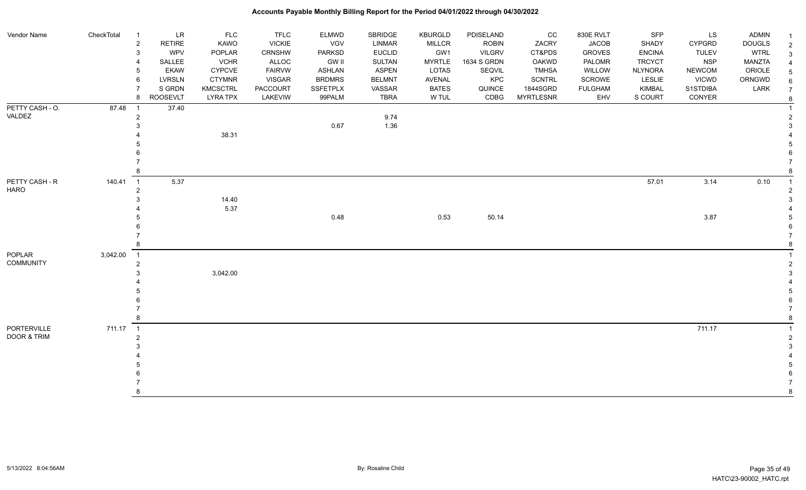| Vendor Name      | CheckTotal | $\overline{1}$ | LR            | <b>FLC</b>      | <b>TFLC</b>     | <b>ELMWD</b>    | SBRIDGE       | <b>KBURGLD</b> | PDISELAND     | CC               | 830E RVLT      | SFP            | LS            | <b>ADMIN</b>  |               |
|------------------|------------|----------------|---------------|-----------------|-----------------|-----------------|---------------|----------------|---------------|------------------|----------------|----------------|---------------|---------------|---------------|
|                  |            | $\sqrt{2}$     | <b>RETIRE</b> | <b>KAWO</b>     | <b>VICKIE</b>   | VGV             | LINMAR        | <b>MILLCR</b>  | <b>ROBIN</b>  | ZACRY            | <b>JACOB</b>   | SHADY          | <b>CYPGRD</b> | <b>DOUGLS</b> |               |
|                  |            | 3              | WPV           | POPLAR          | <b>CRNSHW</b>   | <b>PARKSD</b>   | <b>EUCLID</b> | GW1            | <b>VILGRV</b> | CT&PDS           | <b>GROVES</b>  | <b>ENCINA</b>  | <b>TULEV</b>  | <b>WTRL</b>   | $\mathcal{S}$ |
|                  |            |                | SALLEE        | <b>VCHR</b>     | ALLOC           | <b>GW II</b>    | SULTAN        | <b>MYRTLE</b>  | 1634 S GRDN   | OAKWD            | PALOMR         | <b>TRCYCT</b>  | <b>NSP</b>    | <b>MANZTA</b> |               |
|                  |            | 5              | <b>EKAW</b>   | <b>CYPCVE</b>   | <b>FAIRVW</b>   | ASHLAN          | ASPEN         | LOTAS          | SEQVIL        | <b>TMHSA</b>     | WILLOW         | <b>NLYNORA</b> | <b>NEWCOM</b> | ORIOLE        |               |
|                  |            | 6              | <b>LVRSLN</b> | <b>CTYMNR</b>   | <b>VISGAR</b>   | <b>BRDMRS</b>   | <b>BELMNT</b> | AVENAL         | KPC           | <b>SCNTRL</b>    | <b>SCROWE</b>  | LESLIE         | <b>VICWD</b>  | ORNGWD        |               |
|                  |            |                | S GRDN        | <b>KMCSCTRL</b> | <b>PACCOURT</b> | <b>SSFETPLX</b> | VASSAR        | <b>BATES</b>   | QUINCE        | 1844SGRD         | <b>FULGHAM</b> | <b>KIMBAL</b>  | S1STDIBA      | LARK          |               |
|                  |            | 8              | ROOSEVLT      | <b>LYRA TPX</b> | LAKEVIW         | 99PALM          | <b>TBRA</b>   | W TUL          | CDBG          | <b>MYRTLESNR</b> | EHV            | S COURT        | CONYER        |               |               |
| PETTY CASH - O.  | 87.48      | $\overline{1}$ | 37.40         |                 |                 |                 |               |                |               |                  |                |                |               |               |               |
| VALDEZ           |            | $\overline{2}$ |               |                 |                 |                 | 9.74          |                |               |                  |                |                |               |               |               |
|                  |            |                |               |                 |                 | 0.67            | 1.36          |                |               |                  |                |                |               |               |               |
|                  |            |                |               | 38.31           |                 |                 |               |                |               |                  |                |                |               |               |               |
|                  |            |                |               |                 |                 |                 |               |                |               |                  |                |                |               |               |               |
|                  |            |                |               |                 |                 |                 |               |                |               |                  |                |                |               |               |               |
|                  |            |                |               |                 |                 |                 |               |                |               |                  |                |                |               |               |               |
|                  |            |                |               |                 |                 |                 |               |                |               |                  |                |                |               |               |               |
| PETTY CASH - R   | 140.41     | $\overline{1}$ | 5.37          |                 |                 |                 |               |                |               |                  |                | 57.01          | 3.14          | 0.10          |               |
| <b>HARO</b>      |            | 2              |               |                 |                 |                 |               |                |               |                  |                |                |               |               |               |
|                  |            |                |               | 14.40           |                 |                 |               |                |               |                  |                |                |               |               |               |
|                  |            |                |               | 5.37            |                 |                 |               |                |               |                  |                |                |               |               |               |
|                  |            |                |               |                 |                 | 0.48            |               | 0.53           | 50.14         |                  |                |                | 3.87          |               |               |
|                  |            |                |               |                 |                 |                 |               |                |               |                  |                |                |               |               |               |
|                  |            |                |               |                 |                 |                 |               |                |               |                  |                |                |               |               |               |
|                  |            | 8              |               |                 |                 |                 |               |                |               |                  |                |                |               |               |               |
| POPLAR           | 3,042.00   | $\overline{1}$ |               |                 |                 |                 |               |                |               |                  |                |                |               |               |               |
| <b>COMMUNITY</b> |            | $\overline{2}$ |               |                 |                 |                 |               |                |               |                  |                |                |               |               |               |
|                  |            |                |               | 3,042.00        |                 |                 |               |                |               |                  |                |                |               |               |               |
|                  |            |                |               |                 |                 |                 |               |                |               |                  |                |                |               |               |               |
|                  |            |                |               |                 |                 |                 |               |                |               |                  |                |                |               |               |               |
|                  |            |                |               |                 |                 |                 |               |                |               |                  |                |                |               |               |               |
|                  |            |                |               |                 |                 |                 |               |                |               |                  |                |                |               |               |               |
|                  |            | 8              |               |                 |                 |                 |               |                |               |                  |                |                |               |               |               |
| PORTERVILLE      | 711.17 1   |                |               |                 |                 |                 |               |                |               |                  |                |                | 711.17        |               |               |
| DOOR & TRIM      |            | $\overline{2}$ |               |                 |                 |                 |               |                |               |                  |                |                |               |               |               |
|                  |            |                |               |                 |                 |                 |               |                |               |                  |                |                |               |               |               |
|                  |            |                |               |                 |                 |                 |               |                |               |                  |                |                |               |               |               |
|                  |            |                |               |                 |                 |                 |               |                |               |                  |                |                |               |               |               |
|                  |            |                |               |                 |                 |                 |               |                |               |                  |                |                |               |               |               |
|                  |            |                |               |                 |                 |                 |               |                |               |                  |                |                |               |               |               |
|                  |            | 8              |               |                 |                 |                 |               |                |               |                  |                |                |               |               |               |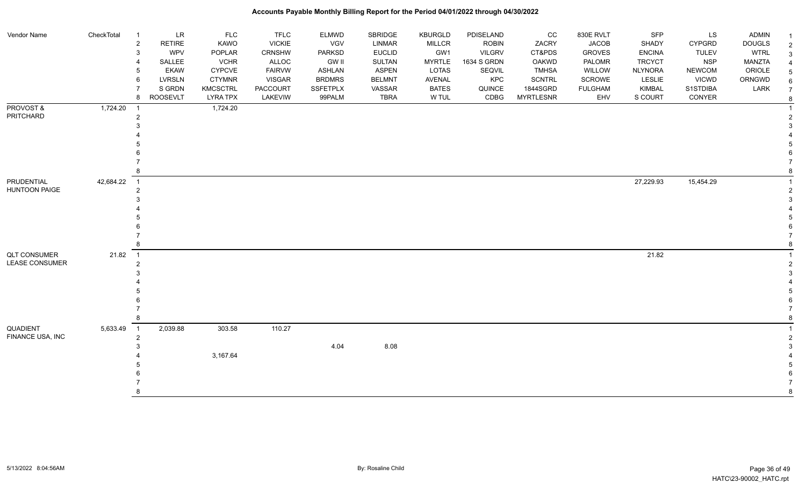| Vendor Name                  | CheckTotal | $\overline{1}$      | LR                   | <b>FLC</b>            | <b>TFLC</b>                    | <b>ELMWD</b>                | SBRIDGE                 | <b>KBURGLD</b>       | PDISELAND                     | CC               | 830E RVLT                     | SFP                           | LS                            | <b>ADMIN</b>                 | $\overline{1}$           |
|------------------------------|------------|---------------------|----------------------|-----------------------|--------------------------------|-----------------------------|-------------------------|----------------------|-------------------------------|------------------|-------------------------------|-------------------------------|-------------------------------|------------------------------|--------------------------|
|                              |            | $\overline{c}$<br>3 | <b>RETIRE</b><br>WPV | <b>KAWO</b><br>POPLAR | <b>VICKIE</b><br><b>CRNSHW</b> | <b>VGV</b><br><b>PARKSD</b> | LINMAR<br><b>EUCLID</b> | <b>MILLCR</b><br>GW1 | <b>ROBIN</b><br><b>VILGRV</b> | ZACRY<br>CT&PDS  | <b>JACOB</b><br><b>GROVES</b> | <b>SHADY</b><br><b>ENCINA</b> | <b>CYPGRD</b><br><b>TULEV</b> | <b>DOUGLS</b><br><b>WTRL</b> | $\overline{2}$           |
|                              |            |                     | SALLEE               | <b>VCHR</b>           | ALLOC                          | <b>GW II</b>                | <b>SULTAN</b>           | <b>MYRTLE</b>        | 1634 S GRDN                   | <b>OAKWD</b>     | PALOMR                        | <b>TRCYCT</b>                 | <b>NSP</b>                    | MANZTA                       | $\mathbf{3}$             |
|                              |            | 5                   | <b>EKAW</b>          | CYPCVE                | <b>FAIRVW</b>                  | <b>ASHLAN</b>               | <b>ASPEN</b>            | LOTAS                | SEQVIL                        | <b>TMHSA</b>     | WILLOW                        | <b>NLYNORA</b>                | <b>NEWCOM</b>                 | ORIOLE                       | 4                        |
|                              |            | 6                   | LVRSLN               | <b>CTYMNR</b>         | <b>VISGAR</b>                  | <b>BRDMRS</b>               | <b>BELMNT</b>           | <b>AVENAL</b>        | KPC                           | <b>SCNTRL</b>    | SCROWE                        | <b>LESLIE</b>                 | <b>VICWD</b>                  | ORNGWD                       | $\sqrt{5}$               |
|                              |            |                     | S GRDN               | <b>KMCSCTRL</b>       | <b>PACCOURT</b>                | <b>SSFETPLX</b>             | VASSAR                  | <b>BATES</b>         | QUINCE                        | 1844SGRD         | <b>FULGHAM</b>                | <b>KIMBAL</b>                 | S1STDIBA                      | LARK                         | $\,6\,$                  |
|                              |            | 8                   | <b>ROOSEVLT</b>      | <b>LYRA TPX</b>       | LAKEVIW                        | 99PALM                      | <b>TBRA</b>             | W TUL                | CDBG                          | <b>MYRTLESNR</b> | EHV                           | S COURT                       | CONYER                        |                              | $\overline{7}$<br>$\bf8$ |
| PROVOST &                    | 1,724.20   | -1                  |                      | 1,724.20              |                                |                             |                         |                      |                               |                  |                               |                               |                               |                              | $\mathbf{1}$             |
| PRITCHARD                    |            | $\overline{2}$      |                      |                       |                                |                             |                         |                      |                               |                  |                               |                               |                               |                              | $\overline{c}$           |
|                              |            |                     |                      |                       |                                |                             |                         |                      |                               |                  |                               |                               |                               |                              | 3                        |
|                              |            |                     |                      |                       |                                |                             |                         |                      |                               |                  |                               |                               |                               |                              |                          |
|                              |            |                     |                      |                       |                                |                             |                         |                      |                               |                  |                               |                               |                               |                              | 5                        |
|                              |            |                     |                      |                       |                                |                             |                         |                      |                               |                  |                               |                               |                               |                              | 6                        |
|                              |            |                     |                      |                       |                                |                             |                         |                      |                               |                  |                               |                               |                               |                              |                          |
|                              |            |                     |                      |                       |                                |                             |                         |                      |                               |                  |                               |                               |                               |                              | 8                        |
| PRUDENTIAL                   | 42,684.22  | $\overline{1}$      |                      |                       |                                |                             |                         |                      |                               |                  |                               | 27,229.93                     | 15,454.29                     |                              | $\mathbf{1}$             |
| <b>HUNTOON PAIGE</b>         |            | $\overline{2}$      |                      |                       |                                |                             |                         |                      |                               |                  |                               |                               |                               |                              | $\overline{2}$           |
|                              |            |                     |                      |                       |                                |                             |                         |                      |                               |                  |                               |                               |                               |                              | 3                        |
|                              |            |                     |                      |                       |                                |                             |                         |                      |                               |                  |                               |                               |                               |                              |                          |
|                              |            |                     |                      |                       |                                |                             |                         |                      |                               |                  |                               |                               |                               |                              | 5                        |
|                              |            |                     |                      |                       |                                |                             |                         |                      |                               |                  |                               |                               |                               |                              | 6                        |
|                              |            |                     |                      |                       |                                |                             |                         |                      |                               |                  |                               |                               |                               |                              |                          |
|                              |            | 8                   |                      |                       |                                |                             |                         |                      |                               |                  |                               |                               |                               |                              | 8                        |
| <b>QLT CONSUMER</b>          | 21.82      | $\overline{1}$      |                      |                       |                                |                             |                         |                      |                               |                  |                               | 21.82                         |                               |                              |                          |
| <b>LEASE CONSUMER</b>        |            | $\overline{2}$      |                      |                       |                                |                             |                         |                      |                               |                  |                               |                               |                               |                              | $\overline{2}$           |
|                              |            |                     |                      |                       |                                |                             |                         |                      |                               |                  |                               |                               |                               |                              | 3                        |
|                              |            |                     |                      |                       |                                |                             |                         |                      |                               |                  |                               |                               |                               |                              |                          |
|                              |            |                     |                      |                       |                                |                             |                         |                      |                               |                  |                               |                               |                               |                              | 5                        |
|                              |            |                     |                      |                       |                                |                             |                         |                      |                               |                  |                               |                               |                               |                              | 6                        |
|                              |            |                     |                      |                       |                                |                             |                         |                      |                               |                  |                               |                               |                               |                              | $\overline{7}$           |
|                              |            |                     |                      |                       |                                |                             |                         |                      |                               |                  |                               |                               |                               |                              | 8                        |
| QUADIENT<br>FINANCE USA, INC | 5,633.49   | $\overline{1}$      | 2,039.88             | 303.58                | 110.27                         |                             |                         |                      |                               |                  |                               |                               |                               |                              | $\mathbf{1}$             |
|                              |            | $\overline{2}$      |                      |                       |                                |                             |                         |                      |                               |                  |                               |                               |                               |                              | $\overline{2}$           |
|                              |            |                     |                      |                       |                                | 4.04                        | 8.08                    |                      |                               |                  |                               |                               |                               |                              | 3                        |
|                              |            |                     |                      | 3,167.64              |                                |                             |                         |                      |                               |                  |                               |                               |                               |                              |                          |
|                              |            |                     |                      |                       |                                |                             |                         |                      |                               |                  |                               |                               |                               |                              | 5                        |
|                              |            |                     |                      |                       |                                |                             |                         |                      |                               |                  |                               |                               |                               |                              | 6                        |
|                              |            |                     |                      |                       |                                |                             |                         |                      |                               |                  |                               |                               |                               |                              | 8                        |
|                              |            |                     |                      |                       |                                |                             |                         |                      |                               |                  |                               |                               |                               |                              |                          |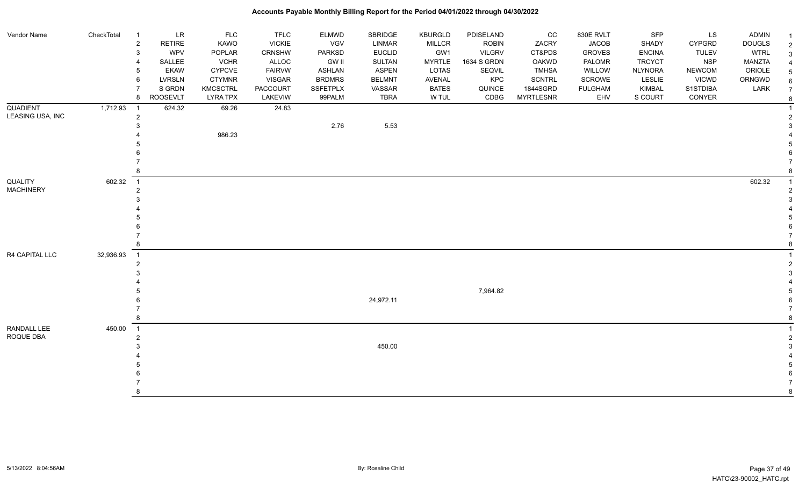| Vendor Name                 | CheckTotal | $\overline{1}$                | $\ensuremath{\mathsf{LR}}\xspace$ | <b>FLC</b>      | <b>TFLC</b>   | <b>ELMWD</b>    | SBRIDGE       | KBURGLD       | PDISELAND     | cc               | 830E RVLT      | SFP            | LS            | ADMIN         | $\overline{1}$ |
|-----------------------------|------------|-------------------------------|-----------------------------------|-----------------|---------------|-----------------|---------------|---------------|---------------|------------------|----------------|----------------|---------------|---------------|----------------|
|                             |            | $\overline{2}$                | <b>RETIRE</b>                     | <b>KAWO</b>     | <b>VICKIE</b> | VGV             | LINMAR        | <b>MILLCR</b> | <b>ROBIN</b>  | ZACRY            | <b>JACOB</b>   | SHADY          | <b>CYPGRD</b> | <b>DOUGLS</b> | $\overline{2}$ |
|                             |            | 3                             | <b>WPV</b>                        | POPLAR          | CRNSHW        | <b>PARKSD</b>   | <b>EUCLID</b> | GW1           | <b>VILGRV</b> | CT&PDS           | <b>GROVES</b>  | <b>ENCINA</b>  | <b>TULEV</b>  | <b>WTRL</b>   | 3              |
|                             |            | 4                             | SALLEE                            | <b>VCHR</b>     | ALLOC         | <b>GW II</b>    | <b>SULTAN</b> | <b>MYRTLE</b> | 1634 S GRDN   | OAKWD            | PALOMR         | <b>TRCYCT</b>  | <b>NSP</b>    | <b>MANZTA</b> |                |
|                             |            | 5                             | <b>EKAW</b>                       | <b>CYPCVE</b>   | <b>FAIRVW</b> | <b>ASHLAN</b>   | <b>ASPEN</b>  | LOTAS         | SEQVIL        | <b>TMHSA</b>     | WILLOW         | <b>NLYNORA</b> | <b>NEWCOM</b> | ORIOLE        |                |
|                             |            | 6                             | <b>LVRSLN</b>                     | <b>CTYMNR</b>   | VISGAR        | <b>BRDMRS</b>   | <b>BELMNT</b> | AVENAL        | KPC           | <b>SCNTRL</b>    | SCROWE         | LESLIE         | <b>VICWD</b>  | ORNGWD        |                |
|                             |            | $\overline{7}$                | S GRDN                            | <b>KMCSCTRL</b> | PACCOURT      | <b>SSFETPLX</b> | VASSAR        | <b>BATES</b>  | QUINCE        | 1844SGRD         | <b>FULGHAM</b> | KIMBAL         | S1STDIBA      | LARK          |                |
|                             |            | 8                             | <b>ROOSEVLT</b>                   | <b>LYRA TPX</b> | LAKEVIW       | 99PALM          | <b>TBRA</b>   | W TUL         | CDBG          | <b>MYRTLESNR</b> | EHV            | S COURT        | CONYER        |               | 8              |
| <b>QUADIENT</b>             | 1,712.93   | - 1                           | 624.32                            | 69.26           | 24.83         |                 |               |               |               |                  |                |                |               |               |                |
| LEASING USA, INC            |            | $\overline{2}$                |                                   |                 |               |                 |               |               |               |                  |                |                |               |               |                |
|                             |            | 3                             |                                   |                 |               | 2.76            | 5.53          |               |               |                  |                |                |               |               |                |
|                             |            |                               |                                   | 986.23          |               |                 |               |               |               |                  |                |                |               |               |                |
|                             |            |                               |                                   |                 |               |                 |               |               |               |                  |                |                |               |               |                |
|                             |            |                               |                                   |                 |               |                 |               |               |               |                  |                |                |               |               |                |
| QUALITY<br><b>MACHINERY</b> |            |                               |                                   |                 |               |                 |               |               |               |                  |                |                |               |               |                |
|                             |            |                               |                                   |                 |               |                 |               |               |               |                  |                |                |               |               |                |
|                             | 602.32     | $\overline{1}$                |                                   |                 |               |                 |               |               |               |                  |                |                |               | 602.32        |                |
|                             |            | $\overline{2}$                |                                   |                 |               |                 |               |               |               |                  |                |                |               |               |                |
|                             |            | 3                             |                                   |                 |               |                 |               |               |               |                  |                |                |               |               |                |
|                             |            |                               |                                   |                 |               |                 |               |               |               |                  |                |                |               |               |                |
|                             |            |                               |                                   |                 |               |                 |               |               |               |                  |                |                |               |               |                |
|                             |            |                               |                                   |                 |               |                 |               |               |               |                  |                |                |               |               |                |
|                             |            | 8                             |                                   |                 |               |                 |               |               |               |                  |                |                |               |               |                |
| R4 CAPITAL LLC              |            |                               |                                   |                 |               |                 |               |               |               |                  |                |                |               |               |                |
|                             | 32,936.93  | $\overline{\phantom{1}}$<br>2 |                                   |                 |               |                 |               |               |               |                  |                |                |               |               |                |
|                             |            | 3                             |                                   |                 |               |                 |               |               |               |                  |                |                |               |               |                |
|                             |            |                               |                                   |                 |               |                 |               |               |               |                  |                |                |               |               |                |
|                             |            |                               |                                   |                 |               |                 |               |               | 7,964.82      |                  |                |                |               |               |                |
|                             |            |                               |                                   |                 |               |                 | 24,972.11     |               |               |                  |                |                |               |               |                |
|                             |            |                               |                                   |                 |               |                 |               |               |               |                  |                |                |               |               |                |
|                             |            | 8                             |                                   |                 |               |                 |               |               |               |                  |                |                |               |               |                |
| RANDALL LEE                 | 450.00     | $\overline{1}$                |                                   |                 |               |                 |               |               |               |                  |                |                |               |               |                |
| ROQUE DBA                   |            | $\overline{2}$                |                                   |                 |               |                 |               |               |               |                  |                |                |               |               |                |
|                             |            | 3                             |                                   |                 |               |                 | 450.00        |               |               |                  |                |                |               |               |                |
|                             |            |                               |                                   |                 |               |                 |               |               |               |                  |                |                |               |               |                |
|                             |            |                               |                                   |                 |               |                 |               |               |               |                  |                |                |               |               |                |
|                             |            |                               |                                   |                 |               |                 |               |               |               |                  |                |                |               |               |                |
|                             |            |                               |                                   |                 |               |                 |               |               |               |                  |                |                |               |               |                |
|                             |            | <b>R</b>                      |                                   |                 |               |                 |               |               |               |                  |                |                |               |               |                |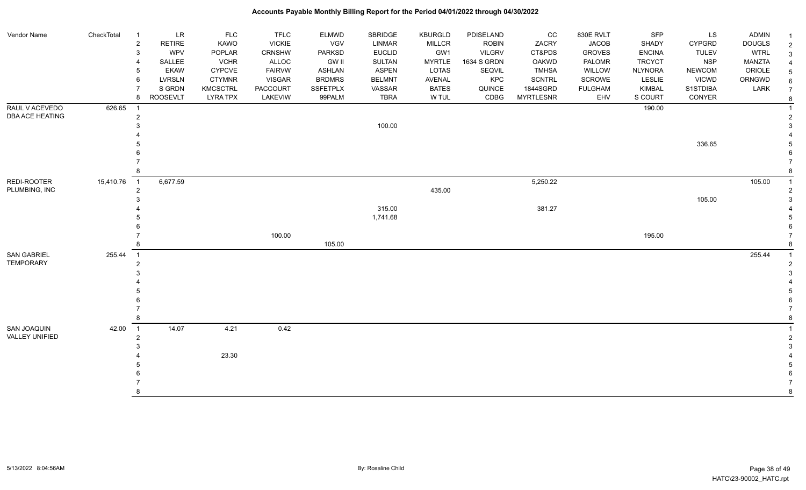| Vendor Name                  | CheckTotal | $\overline{1}$           | LR              | <b>FLC</b>      | <b>TFLC</b>   | <b>ELMWD</b>    | SBRIDGE       | <b>KBURGLD</b> | PDISELAND     | CC               | 830E RVLT      | SFP            | LS            | <b>ADMIN</b>  |                 |
|------------------------------|------------|--------------------------|-----------------|-----------------|---------------|-----------------|---------------|----------------|---------------|------------------|----------------|----------------|---------------|---------------|-----------------|
|                              |            | $\overline{c}$           | <b>RETIRE</b>   | KAWO            | <b>VICKIE</b> | VGV             | <b>LINMAR</b> | <b>MILLCR</b>  | <b>ROBIN</b>  | ZACRY            | <b>JACOB</b>   | SHADY          | <b>CYPGRD</b> | <b>DOUGLS</b> | $\overline{c}$  |
|                              |            | 3                        | <b>WPV</b>      | POPLAR          | CRNSHW        | <b>PARKSD</b>   | <b>EUCLID</b> | GW1            | <b>VILGRV</b> | CT&PDS           | <b>GROVES</b>  | <b>ENCINA</b>  | <b>TULEV</b>  | <b>WTRL</b>   | $\mathbf{3}$    |
|                              |            |                          | SALLEE          | <b>VCHR</b>     | ALLOC         | <b>GW II</b>    | <b>SULTAN</b> | <b>MYRTLE</b>  | 1634 S GRDN   | OAKWD            | PALOMR         | <b>TRCYCT</b>  | <b>NSP</b>    | <b>MANZTA</b> | $\overline{4}$  |
|                              |            | 5                        | <b>EKAW</b>     | <b>CYPCVE</b>   | <b>FAIRVW</b> | <b>ASHLAN</b>   | <b>ASPEN</b>  | <b>LOTAS</b>   | SEQVIL        | <b>TMHSA</b>     | WILLOW         | <b>NLYNORA</b> | <b>NEWCOM</b> | ORIOLE        | $5\phantom{.0}$ |
|                              |            | 6                        | <b>LVRSLN</b>   | <b>CTYMNR</b>   | <b>VISGAR</b> | <b>BRDMRS</b>   | <b>BELMNT</b> | <b>AVENAL</b>  | KPC           | <b>SCNTRL</b>    | SCROWE         | LESLIE         | <b>VICWD</b>  | ORNGWD        | $\,6\,$         |
|                              |            |                          | S GRDN          | <b>KMCSCTRL</b> | PACCOURT      | <b>SSFETPLX</b> | VASSAR        | <b>BATES</b>   | QUINCE        | 1844SGRD         | <b>FULGHAM</b> | <b>KIMBAL</b>  | S1STDIBA      | LARK          | $\overline{7}$  |
|                              |            | 8                        | <b>ROOSEVLT</b> | <b>LYRA TPX</b> | LAKEVIW       | 99PALM          | <b>TBRA</b>   | W TUL          | CDBG          | <b>MYRTLESNR</b> | EHV            | S COURT        | CONYER        |               | 8               |
| RAUL V ACEVEDO               | 626.65     |                          |                 |                 |               |                 |               |                |               |                  |                | 190.00         |               |               |                 |
| DBA ACE HEATING              |            | $\overline{2}$           |                 |                 |               |                 |               |                |               |                  |                |                |               |               | 2               |
|                              |            |                          |                 |                 |               |                 | 100.00        |                |               |                  |                |                |               |               | 3               |
|                              |            |                          |                 |                 |               |                 |               |                |               |                  |                |                |               |               |                 |
|                              |            |                          |                 |                 |               |                 |               |                |               |                  |                |                | 336.65        |               | 5               |
|                              |            |                          |                 |                 |               |                 |               |                |               |                  |                |                |               |               | 6               |
|                              |            |                          |                 |                 |               |                 |               |                |               |                  |                |                |               |               |                 |
|                              |            |                          |                 |                 |               |                 |               |                |               |                  |                |                |               |               | 8               |
| REDI-ROOTER<br>PLUMBING, INC | 15,410.76  | $\overline{1}$           | 6,677.59        |                 |               |                 |               |                |               | 5,250.22         |                |                |               | 105.00        |                 |
|                              |            | $\overline{2}$           |                 |                 |               |                 |               | 435.00         |               |                  |                |                |               |               | 2               |
|                              |            |                          |                 |                 |               |                 |               |                |               |                  |                |                | 105.00        |               | 3               |
|                              |            |                          |                 |                 |               |                 | 315.00        |                |               | 381.27           |                |                |               |               |                 |
|                              |            |                          |                 |                 |               |                 | 1,741.68      |                |               |                  |                |                |               |               | 5               |
|                              |            |                          |                 |                 |               |                 |               |                |               |                  |                |                |               |               |                 |
|                              |            |                          |                 |                 | 100.00        |                 |               |                |               |                  |                | 195.00         |               |               |                 |
|                              |            |                          |                 |                 |               | 105.00          |               |                |               |                  |                |                |               |               | 8               |
| <b>SAN GABRIEL</b>           | 255.44     | $\overline{1}$           |                 |                 |               |                 |               |                |               |                  |                |                |               | 255.44        | $\overline{1}$  |
| <b>TEMPORARY</b>             |            | $\overline{2}$           |                 |                 |               |                 |               |                |               |                  |                |                |               |               | 2               |
|                              |            |                          |                 |                 |               |                 |               |                |               |                  |                |                |               |               | 3               |
|                              |            |                          |                 |                 |               |                 |               |                |               |                  |                |                |               |               |                 |
|                              |            |                          |                 |                 |               |                 |               |                |               |                  |                |                |               |               | 5               |
|                              |            |                          |                 |                 |               |                 |               |                |               |                  |                |                |               |               |                 |
|                              |            |                          |                 |                 |               |                 |               |                |               |                  |                |                |               |               |                 |
|                              |            | 8                        |                 |                 |               |                 |               |                |               |                  |                |                |               |               | 8               |
| SAN JOAQUIN                  | 42.00      | $\overline{\phantom{a}}$ | 14.07           | 4.21            | 0.42          |                 |               |                |               |                  |                |                |               |               |                 |
| VALLEY UNIFIED               |            | $\overline{2}$           |                 |                 |               |                 |               |                |               |                  |                |                |               |               | $\overline{2}$  |
|                              |            |                          |                 |                 |               |                 |               |                |               |                  |                |                |               |               | 3               |
|                              |            |                          |                 | 23.30           |               |                 |               |                |               |                  |                |                |               |               |                 |
|                              |            |                          |                 |                 |               |                 |               |                |               |                  |                |                |               |               | 5               |
|                              |            |                          |                 |                 |               |                 |               |                |               |                  |                |                |               |               | 6               |
|                              |            |                          |                 |                 |               |                 |               |                |               |                  |                |                |               |               |                 |
|                              |            | 8                        |                 |                 |               |                 |               |                |               |                  |                |                |               |               | 8               |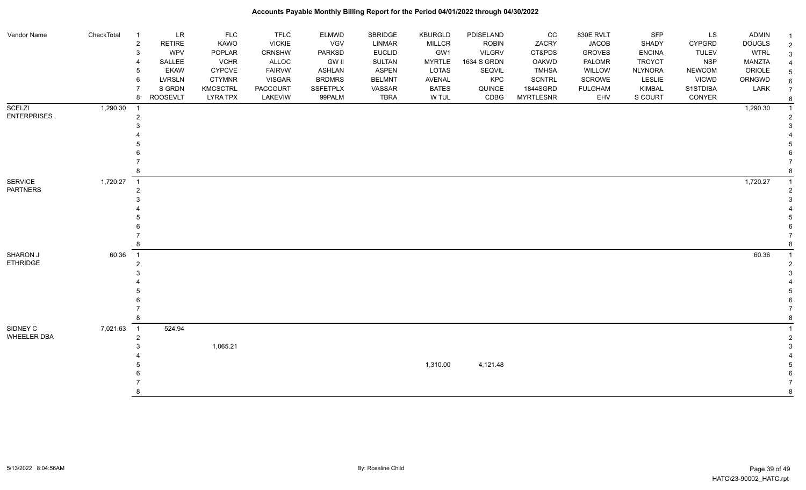| Vendor Name                | CheckTotal | LR<br>$\overline{1}$<br><b>RETIRE</b><br>$\overline{c}$<br><b>WPV</b><br>3 | <b>FLC</b><br>KAWO<br>POPLAR | <b>TFLC</b><br><b>VICKIE</b><br>CRNSHW | <b>ELMWD</b><br>VGV<br>PARKSD | SBRIDGE<br>LINMAR<br><b>EUCLID</b> | <b>KBURGLD</b><br><b>MILLCR</b><br>GW1 | PDISELAND<br><b>ROBIN</b><br><b>VILGRV</b> | cc<br>ZACRY<br>CT&PDS | 830E RVLT<br><b>JACOB</b><br><b>GROVES</b> | <b>SFP</b><br>SHADY<br><b>ENCINA</b> | LS<br><b>CYPGRD</b><br><b>TULEV</b> | <b>ADMIN</b><br><b>DOUGLS</b><br><b>WTRL</b> | $\overline{2}$ |
|----------------------------|------------|----------------------------------------------------------------------------|------------------------------|----------------------------------------|-------------------------------|------------------------------------|----------------------------------------|--------------------------------------------|-----------------------|--------------------------------------------|--------------------------------------|-------------------------------------|----------------------------------------------|----------------|
|                            |            | SALLEE                                                                     | <b>VCHR</b>                  | ALLOC                                  | <b>GW II</b>                  | SULTAN                             | <b>MYRTLE</b>                          | 1634 S GRDN                                | OAKWD                 | PALOMR                                     | <b>TRCYCT</b>                        | <b>NSP</b>                          | <b>MANZTA</b>                                |                |
|                            |            | <b>EKAW</b>                                                                | <b>CYPCVE</b>                | <b>FAIRVW</b>                          | <b>ASHLAN</b>                 | <b>ASPEN</b>                       | <b>LOTAS</b>                           | SEQVIL                                     | <b>TMHSA</b>          | WILLOW                                     | <b>NLYNORA</b>                       | <b>NEWCOM</b>                       | ORIOLE                                       |                |
|                            |            | <b>LVRSLN</b><br>6                                                         | <b>CTYMNR</b>                | <b>VISGAR</b>                          | <b>BRDMRS</b>                 | <b>BELMNT</b>                      | AVENAL                                 | KPC                                        | <b>SCNTRL</b>         | SCROWE                                     | <b>LESLIE</b>                        | <b>VICWD</b>                        | ORNGWD                                       | 6              |
|                            |            | S GRDN                                                                     | <b>KMCSCTRL</b>              | <b>PACCOURT</b>                        | SSFETPLX                      | VASSAR                             | <b>BATES</b>                           | QUINCE                                     | 1844SGRD              | <b>FULGHAM</b>                             | KIMBAL                               | S1STDIBA                            | LARK                                         | $\overline{7}$ |
|                            |            | <b>ROOSEVLT</b><br>8                                                       | <b>LYRA TPX</b>              | LAKEVIW                                | 99PALM                        | <b>TBRA</b>                        | W TUL                                  | CDBG                                       | <b>MYRTLESNR</b>      | EHV                                        | S COURT                              | CONYER                              |                                              |                |
| <b>SCELZI</b>              | 1,290.30   | $\overline{1}$                                                             |                              |                                        |                               |                                    |                                        |                                            |                       |                                            |                                      |                                     | 1,290.30                                     |                |
| ENTERPRISES,               |            | $\overline{2}$                                                             |                              |                                        |                               |                                    |                                        |                                            |                       |                                            |                                      |                                     |                                              |                |
|                            |            |                                                                            |                              |                                        |                               |                                    |                                        |                                            |                       |                                            |                                      |                                     |                                              |                |
|                            |            |                                                                            |                              |                                        |                               |                                    |                                        |                                            |                       |                                            |                                      |                                     |                                              |                |
|                            |            |                                                                            |                              |                                        |                               |                                    |                                        |                                            |                       |                                            |                                      |                                     |                                              |                |
|                            |            |                                                                            |                              |                                        |                               |                                    |                                        |                                            |                       |                                            |                                      |                                     |                                              |                |
|                            |            |                                                                            |                              |                                        |                               |                                    |                                        |                                            |                       |                                            |                                      |                                     |                                              |                |
|                            |            |                                                                            |                              |                                        |                               |                                    |                                        |                                            |                       |                                            |                                      |                                     |                                              |                |
| SERVICE<br><b>PARTNERS</b> | 1,720.27   | $\overline{1}$                                                             |                              |                                        |                               |                                    |                                        |                                            |                       |                                            |                                      |                                     | 1,720.27                                     |                |
|                            |            | 2                                                                          |                              |                                        |                               |                                    |                                        |                                            |                       |                                            |                                      |                                     |                                              |                |
|                            |            |                                                                            |                              |                                        |                               |                                    |                                        |                                            |                       |                                            |                                      |                                     |                                              |                |
|                            |            |                                                                            |                              |                                        |                               |                                    |                                        |                                            |                       |                                            |                                      |                                     |                                              |                |
|                            |            |                                                                            |                              |                                        |                               |                                    |                                        |                                            |                       |                                            |                                      |                                     |                                              |                |
|                            |            |                                                                            |                              |                                        |                               |                                    |                                        |                                            |                       |                                            |                                      |                                     |                                              |                |
|                            |            |                                                                            |                              |                                        |                               |                                    |                                        |                                            |                       |                                            |                                      |                                     |                                              |                |
| <b>SHARON J</b>            | 60.36      | $\overline{1}$                                                             |                              |                                        |                               |                                    |                                        |                                            |                       |                                            |                                      |                                     | 60.36                                        |                |
| <b>ETHRIDGE</b>            |            | 2                                                                          |                              |                                        |                               |                                    |                                        |                                            |                       |                                            |                                      |                                     |                                              |                |
|                            |            |                                                                            |                              |                                        |                               |                                    |                                        |                                            |                       |                                            |                                      |                                     |                                              |                |
|                            |            |                                                                            |                              |                                        |                               |                                    |                                        |                                            |                       |                                            |                                      |                                     |                                              |                |
|                            |            |                                                                            |                              |                                        |                               |                                    |                                        |                                            |                       |                                            |                                      |                                     |                                              |                |
|                            |            |                                                                            |                              |                                        |                               |                                    |                                        |                                            |                       |                                            |                                      |                                     |                                              |                |
|                            |            |                                                                            |                              |                                        |                               |                                    |                                        |                                            |                       |                                            |                                      |                                     |                                              |                |
|                            |            |                                                                            |                              |                                        |                               |                                    |                                        |                                            |                       |                                            |                                      |                                     |                                              |                |
| SIDNEY C                   | 7,021.63   | $\overline{1}$<br>524.94                                                   |                              |                                        |                               |                                    |                                        |                                            |                       |                                            |                                      |                                     |                                              |                |
| WHEELER DBA                |            | $\overline{2}$                                                             |                              |                                        |                               |                                    |                                        |                                            |                       |                                            |                                      |                                     |                                              |                |
|                            |            |                                                                            | 1,065.21                     |                                        |                               |                                    |                                        |                                            |                       |                                            |                                      |                                     |                                              |                |
|                            |            |                                                                            |                              |                                        |                               |                                    |                                        |                                            |                       |                                            |                                      |                                     |                                              |                |
|                            |            |                                                                            |                              |                                        |                               |                                    | 1,310.00                               | 4,121.48                                   |                       |                                            |                                      |                                     |                                              |                |
|                            |            |                                                                            |                              |                                        |                               |                                    |                                        |                                            |                       |                                            |                                      |                                     |                                              |                |
|                            |            |                                                                            |                              |                                        |                               |                                    |                                        |                                            |                       |                                            |                                      |                                     |                                              |                |
|                            |            |                                                                            |                              |                                        |                               |                                    |                                        |                                            |                       |                                            |                                      |                                     |                                              |                |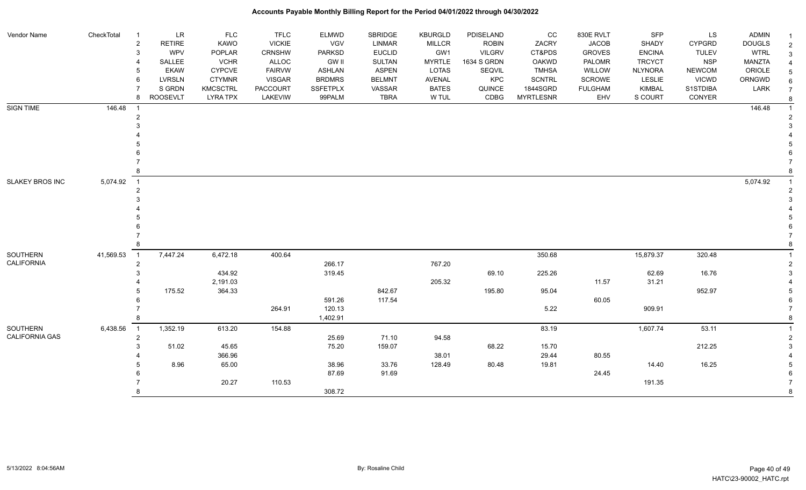| Vendor Name            | CheckTotal | $\ensuremath{\mathsf{LR}}\xspace$ | <b>FLC</b>      | <b>TFLC</b>   | <b>ELMWD</b>    | SBRIDGE       | <b>KBURGLD</b> | PDISELAND     | CC               | 830E RVLT      | <b>SFP</b>     | LS            | ADMIN         |                |
|------------------------|------------|-----------------------------------|-----------------|---------------|-----------------|---------------|----------------|---------------|------------------|----------------|----------------|---------------|---------------|----------------|
|                        |            | RETIRE<br>$\overline{2}$          | KAWO            | <b>VICKIE</b> | <b>VGV</b>      | <b>LINMAR</b> | MILLCR         | <b>ROBIN</b>  | ZACRY            | <b>JACOB</b>   | <b>SHADY</b>   | CYPGRD        | <b>DOUGLS</b> | $\overline{2}$ |
|                        |            | WPV<br>3                          | POPLAR          | CRNSHW        | <b>PARKSD</b>   | <b>EUCLID</b> | GW1            | <b>VILGRV</b> | CT&PDS           | <b>GROVES</b>  | <b>ENCINA</b>  | <b>TULEV</b>  | <b>WTRL</b>   | 3              |
|                        |            | SALLEE                            | <b>VCHR</b>     | <b>ALLOC</b>  | <b>GW II</b>    | <b>SULTAN</b> | <b>MYRTLE</b>  | 1634 S GRDN   | <b>OAKWD</b>     | PALOMR         | <b>TRCYCT</b>  | <b>NSP</b>    | MANZTA        |                |
|                        |            | EKAW                              | <b>CYPCVE</b>   | <b>FAIRVW</b> | <b>ASHLAN</b>   | <b>ASPEN</b>  | LOTAS          | SEQVIL        | <b>TMHSA</b>     | WILLOW         | <b>NLYNORA</b> | <b>NEWCOM</b> | ORIOLE        |                |
|                        |            | LVRSLN                            | <b>CTYMNR</b>   | <b>VISGAR</b> | <b>BRDMRS</b>   | <b>BELMNT</b> | <b>AVENAL</b>  | KPC           | <b>SCNTRL</b>    | SCROWE         | <b>LESLIE</b>  | <b>VICWD</b>  | ORNGWD        |                |
|                        |            | S GRDN                            | <b>KMCSCTRL</b> | PACCOURT      | <b>SSFETPLX</b> | VASSAR        | <b>BATES</b>   | QUINCE        | 1844SGRD         | <b>FULGHAM</b> | <b>KIMBAL</b>  | S1STDIBA      | LARK          |                |
|                        |            | <b>ROOSEVLT</b><br>8              | <b>LYRA TPX</b> | LAKEVIW       | 99PALM          | <b>TBRA</b>   | W TUL          | CDBG          | <b>MYRTLESNR</b> | EHV            | S COURT        | CONYER        |               |                |
| <b>SIGN TIME</b>       | 146.48     |                                   |                 |               |                 |               |                |               |                  |                |                |               | 146.48        |                |
|                        |            |                                   |                 |               |                 |               |                |               |                  |                |                |               |               |                |
|                        |            |                                   |                 |               |                 |               |                |               |                  |                |                |               |               |                |
|                        |            |                                   |                 |               |                 |               |                |               |                  |                |                |               |               |                |
|                        |            |                                   |                 |               |                 |               |                |               |                  |                |                |               |               |                |
|                        |            |                                   |                 |               |                 |               |                |               |                  |                |                |               |               |                |
|                        |            |                                   |                 |               |                 |               |                |               |                  |                |                |               |               |                |
|                        |            |                                   |                 |               |                 |               |                |               |                  |                |                |               |               |                |
| SLAKEY BROS INC        | 5,074.92   | $\overline{1}$                    |                 |               |                 |               |                |               |                  |                |                |               | 5,074.92      |                |
|                        |            |                                   |                 |               |                 |               |                |               |                  |                |                |               |               |                |
|                        |            |                                   |                 |               |                 |               |                |               |                  |                |                |               |               |                |
|                        |            |                                   |                 |               |                 |               |                |               |                  |                |                |               |               |                |
|                        |            |                                   |                 |               |                 |               |                |               |                  |                |                |               |               |                |
|                        |            |                                   |                 |               |                 |               |                |               |                  |                |                |               |               |                |
|                        |            |                                   |                 |               |                 |               |                |               |                  |                |                |               |               |                |
|                        |            |                                   |                 |               |                 |               |                |               |                  |                |                |               |               |                |
| SOUTHERN<br>CALIFORNIA | 41,569.53  | 7,447.24<br>$\overline{1}$        | 6,472.18        | 400.64        |                 |               |                |               | 350.68           |                | 15,879.37      | 320.48        |               |                |
|                        |            | $\overline{2}$                    |                 |               | 266.17          |               | 767.20         |               |                  |                |                |               |               |                |
|                        |            |                                   | 434.92          |               | 319.45          |               |                | 69.10         | 225.26           |                | 62.69          | 16.76         |               |                |
|                        |            |                                   | 2,191.03        |               |                 |               | 205.32         |               |                  | 11.57          | 31.21          |               |               |                |
|                        |            | 175.52                            | 364.33          |               |                 | 842.67        |                | 195.80        | 95.04            |                |                | 952.97        |               |                |
|                        |            |                                   |                 |               | 591.26          | 117.54        |                |               |                  | 60.05          |                |               |               |                |
|                        |            |                                   |                 | 264.91        | 120.13          |               |                |               | 5.22             |                | 909.91         |               |               |                |
|                        |            |                                   |                 |               | 1,402.91        |               |                |               |                  |                |                |               |               |                |
| SOUTHERN               | 6,438.56   | 1,352.19<br>$\overline{1}$        | 613.20          | 154.88        |                 |               |                |               | 83.19            |                | 1,607.74       | 53.11         |               |                |
| <b>CALIFORNIA GAS</b>  |            | $\overline{2}$                    |                 |               | 25.69           | 71.10         | 94.58          |               |                  |                |                |               |               | 2              |
|                        |            | 51.02                             | 45.65           |               | 75.20           | 159.07        |                | 68.22         | 15.70            |                |                | 212.25        |               | 3              |
|                        |            |                                   | 366.96          |               |                 |               | 38.01          |               | 29.44            | 80.55          |                |               |               |                |
|                        |            | 8.96                              | 65.00           |               | 38.96           | 33.76         | 128.49         | 80.48         | 19.81            |                | 14.40          | 16.25         |               | 5              |
|                        |            |                                   |                 |               | 87.69           | 91.69         |                |               |                  | 24.45          |                |               |               |                |
|                        |            |                                   | 20.27           | 110.53        |                 |               |                |               |                  |                | 191.35         |               |               |                |
|                        |            |                                   |                 |               | 308.72          |               |                |               |                  |                |                |               |               | 8              |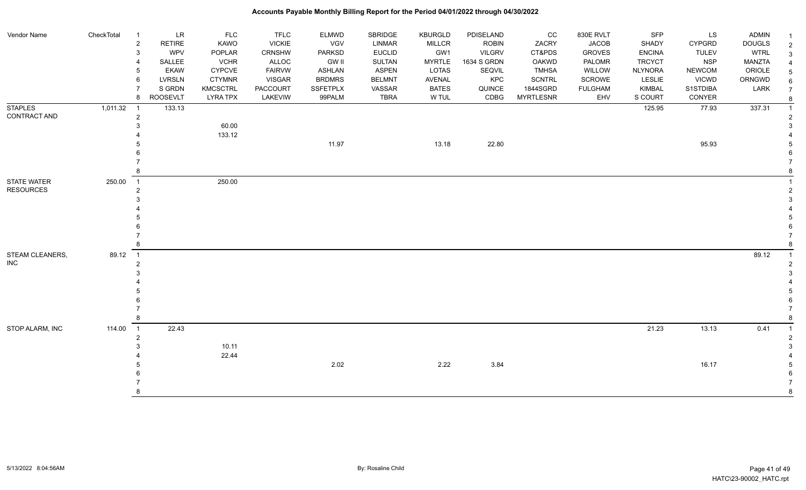| Vendor Name      | CheckTotal | $\overline{\mathbf{1}}$  | <b>LR</b>     | <b>FLC</b>      | <b>TFLC</b>     | <b>ELMWD</b>    | SBRIDGE       | <b>KBURGLD</b> | PDISELAND     | CC               | 830E RVLT      | SFP            | LS            | ADMIN         |
|------------------|------------|--------------------------|---------------|-----------------|-----------------|-----------------|---------------|----------------|---------------|------------------|----------------|----------------|---------------|---------------|
|                  |            | $\overline{2}$           | <b>RETIRE</b> | <b>KAWO</b>     | <b>VICKIE</b>   | VGV             | <b>LINMAR</b> | <b>MILLCR</b>  | <b>ROBIN</b>  | ZACRY            | <b>JACOB</b>   | <b>SHADY</b>   | <b>CYPGRD</b> | <b>DOUGLS</b> |
|                  |            | 3                        | <b>WPV</b>    | POPLAR          | <b>CRNSHW</b>   | <b>PARKSD</b>   | <b>EUCLID</b> | GW1            | <b>VILGRV</b> | CT&PDS           | <b>GROVES</b>  | <b>ENCINA</b>  | <b>TULEV</b>  | <b>WTRL</b>   |
|                  |            | 4                        | SALLEE        | <b>VCHR</b>     | ALLOC           | <b>GW II</b>    | <b>SULTAN</b> | <b>MYRTLE</b>  | 1634 S GRDN   | <b>OAKWD</b>     | <b>PALOMR</b>  | <b>TRCYCT</b>  | <b>NSP</b>    | MANZTA        |
|                  |            | 5                        | <b>EKAW</b>   | <b>CYPCVE</b>   | <b>FAIRVW</b>   | <b>ASHLAN</b>   | <b>ASPEN</b>  | <b>LOTAS</b>   | SEQVIL        | <b>TMHSA</b>     | WILLOW         | <b>NLYNORA</b> | <b>NEWCOM</b> | ORIOLE        |
|                  |            | 6                        | <b>LVRSLN</b> | <b>CTYMNR</b>   | <b>VISGAR</b>   | <b>BRDMRS</b>   | <b>BELMNT</b> | AVENAL         | KPC           | <b>SCNTRL</b>    | SCROWE         | LESLIE         | <b>VICWD</b>  | ORNGWD        |
|                  |            |                          | S GRDN        | <b>KMCSCTRL</b> | <b>PACCOURT</b> | <b>SSFETPLX</b> | VASSAR        | <b>BATES</b>   | QUINCE        | 1844SGRD         | <b>FULGHAM</b> | <b>KIMBAL</b>  | S1STDIBA      | LARK          |
|                  |            | 8                        | ROOSEVLT      | <b>LYRA TPX</b> | LAKEVIW         | 99PALM          | <b>TBRA</b>   | W TUL          | CDBG          | <b>MYRTLESNR</b> | EHV            | S COURT        | CONYER        |               |
| <b>STAPLES</b>   | 1,011.32   | $\overline{\phantom{0}}$ | 133.13        |                 |                 |                 |               |                |               |                  |                | 125.95         | 77.93         | 337.31        |
| CONTRACT AND     |            | $\overline{2}$           |               |                 |                 |                 |               |                |               |                  |                |                |               |               |
|                  |            | 3                        |               | 60.00           |                 |                 |               |                |               |                  |                |                |               |               |
|                  |            |                          |               | 133.12          |                 |                 |               |                |               |                  |                |                |               |               |
|                  |            |                          |               |                 |                 | 11.97           |               | 13.18          | 22.80         |                  |                |                | 95.93         |               |
|                  |            |                          |               |                 |                 |                 |               |                |               |                  |                |                |               |               |
|                  |            |                          |               |                 |                 |                 |               |                |               |                  |                |                |               |               |
|                  |            | 8                        |               |                 |                 |                 |               |                |               |                  |                |                |               |               |
| STATE WATER      | 250.00     | $\overline{1}$           |               | 250.00          |                 |                 |               |                |               |                  |                |                |               |               |
| <b>RESOURCES</b> |            | $\overline{2}$           |               |                 |                 |                 |               |                |               |                  |                |                |               |               |
|                  |            | 3                        |               |                 |                 |                 |               |                |               |                  |                |                |               |               |
|                  |            |                          |               |                 |                 |                 |               |                |               |                  |                |                |               |               |
|                  |            |                          |               |                 |                 |                 |               |                |               |                  |                |                |               |               |
|                  |            |                          |               |                 |                 |                 |               |                |               |                  |                |                |               |               |
|                  |            |                          |               |                 |                 |                 |               |                |               |                  |                |                |               |               |
|                  |            | 8                        |               |                 |                 |                 |               |                |               |                  |                |                |               |               |
| STEAM CLEANERS,  | 89.12      | $\overline{1}$           |               |                 |                 |                 |               |                |               |                  |                |                |               | 89.12         |
| <b>INC</b>       |            | $\overline{2}$           |               |                 |                 |                 |               |                |               |                  |                |                |               |               |
|                  |            |                          |               |                 |                 |                 |               |                |               |                  |                |                |               |               |
|                  |            |                          |               |                 |                 |                 |               |                |               |                  |                |                |               |               |
|                  |            |                          |               |                 |                 |                 |               |                |               |                  |                |                |               |               |
|                  |            |                          |               |                 |                 |                 |               |                |               |                  |                |                |               |               |
|                  |            |                          |               |                 |                 |                 |               |                |               |                  |                |                |               |               |
|                  |            | 8                        |               |                 |                 |                 |               |                |               |                  |                |                |               |               |
|                  |            | $\overline{1}$           |               |                 |                 |                 |               |                |               |                  |                |                |               |               |
| STOP ALARM, INC  | 114.00     |                          | 22.43         |                 |                 |                 |               |                |               |                  |                | 21.23          | 13.13         | 0.41          |
|                  |            | $\overline{2}$           |               |                 |                 |                 |               |                |               |                  |                |                |               |               |
|                  |            | 3                        |               | 10.11           |                 |                 |               |                |               |                  |                |                |               |               |
|                  |            |                          |               | 22.44           |                 |                 |               |                |               |                  |                |                |               |               |
|                  |            |                          |               |                 |                 | 2.02            |               | 2.22           | 3.84          |                  |                |                | 16.17         |               |
|                  |            |                          |               |                 |                 |                 |               |                |               |                  |                |                |               |               |
|                  |            |                          |               |                 |                 |                 |               |                |               |                  |                |                |               |               |
|                  |            | 8                        |               |                 |                 |                 |               |                |               |                  |                |                |               |               |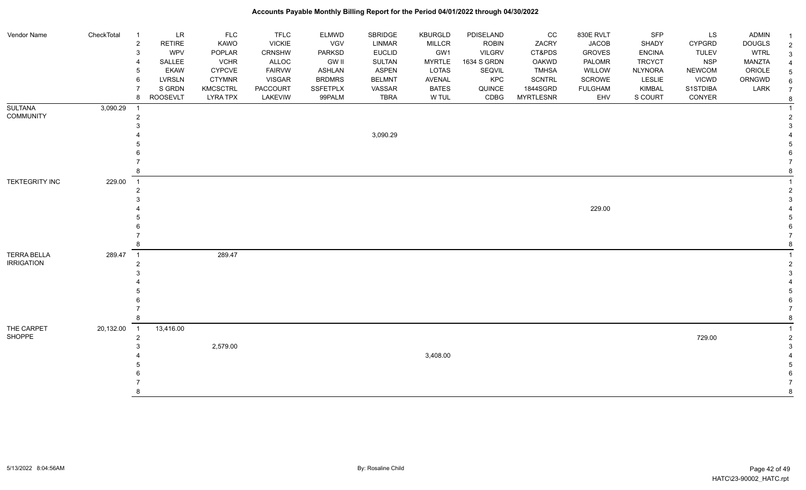#### Vendor Name CheckTotal 1 LR FLC FLC ELMWD SBRIDGE KBURGLD PDISELAND CC 830E RVLT SFP LS ADMIN <sub>1</sub> 2 RETIRE KAWO VICKIE VGV LINMAR MILLCR ROBIN ZACRY JACOB SHADY CYPGRD DOUGLS 2 3 WPV POPLAR CRNSHW PARKSD EUCLID GW1 VILGRV CT&PDS GROVES ENCINA TULEV WTRL 3 4 SALLEE VCHR ALLOC GW II SULTAN MYRTLE 1634 S GRDN OAKWD PALOMR TRCYCT NSP MANZTA 4 5 EKAW CYPCVE FAIRVW ASHLAN ASPEN LOTAS SEQVIL TMHSA WILLOW NLYNORA NEWCOM ORIOLE 5 6 LVRSLN CTYMNR VISGAR BRDMRS BELMNT AVENAL KPC SCNTRL SCROWE LESLIE VICWD ORNGWD  $_{6}$ 7 SIGRDN KMCSCTRL PACCOURT SSFETPLX VASSAR BATES QUINCE 1844SGRD FULGHAM KIMBAL S1STDIBA LARK 7 8 ROOSEVLT LYRA TPX LAKEVIW 99PALM TBRA W TUL CDBG MYRTLESNR EHV S COURT CONYER <sub>8</sub> **SULTANA** COMMUNITY 3,090.29 1 1 2 2  $3<sup>3</sup>$  4 3,090.29 4 5 5  $6$  7 7 8 8 TEKTEGRITY INC 229.00 1 1 2 2  $3<sup>3</sup>$  4 229.00 4 5 5  $6$  7 7 8 8 TERRA BELLA IRRIGATION 289.47 1 289.47 1 2 2  $3<sup>3</sup>$  4 4 5 5  $6$  7 7 8 8 THE CARPET SHOPPE 20,132.00 1 13,416.00 1 2 729.00 2  $3 \hspace{5cm} 2.579.00$  3 4 3,408.00 4 5 5  $6$  7 7 8 8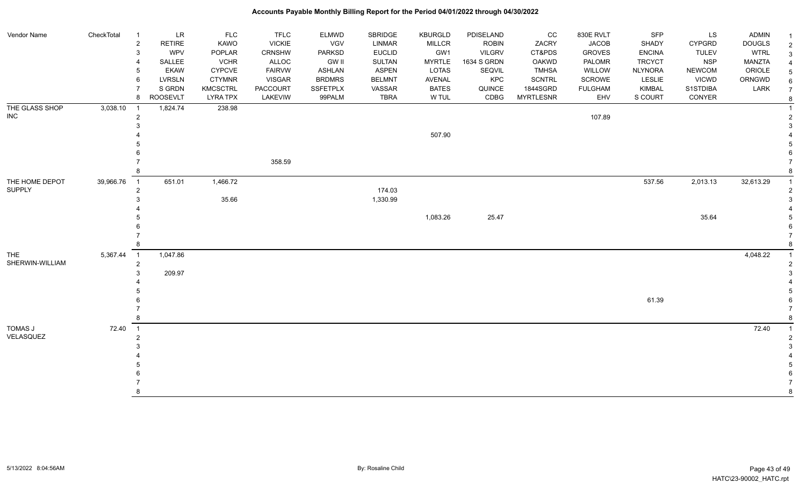| Vendor Name     | CheckTotal | $\overline{1}$             | <b>LR</b>       | <b>FLC</b>      | <b>TFLC</b>     | <b>ELMWD</b>    | SBRIDGE       | <b>KBURGLD</b> | PDISELAND     | cc               | 830E RVLT      | <b>SFP</b>     | LS            | <b>ADMIN</b>  | -1             |
|-----------------|------------|----------------------------|-----------------|-----------------|-----------------|-----------------|---------------|----------------|---------------|------------------|----------------|----------------|---------------|---------------|----------------|
|                 |            | $\overline{c}$             | <b>RETIRE</b>   | KAWO            | <b>VICKIE</b>   | VGV             | LINMAR        | <b>MILLCR</b>  | <b>ROBIN</b>  | ZACRY            | <b>JACOB</b>   | SHADY          | CYPGRD        | <b>DOUGLS</b> | $\overline{2}$ |
|                 |            | 3                          | <b>WPV</b>      | POPLAR          | <b>CRNSHW</b>   | <b>PARKSD</b>   | <b>EUCLID</b> | GW1            | <b>VILGRV</b> | CT&PDS           | <b>GROVES</b>  | <b>ENCINA</b>  | <b>TULEV</b>  | <b>WTRL</b>   | $\mathbf{3}$   |
|                 |            |                            | SALLEE          | <b>VCHR</b>     | ALLOC           | <b>GW II</b>    | SULTAN        | <b>MYRTLE</b>  | 1634 S GRDN   | <b>OAKWD</b>     | <b>PALOMR</b>  | <b>TRCYCT</b>  | <b>NSP</b>    | <b>MANZTA</b> | $\overline{4}$ |
|                 |            | 5                          | <b>EKAW</b>     | <b>CYPCVE</b>   | <b>FAIRVW</b>   | <b>ASHLAN</b>   | <b>ASPEN</b>  | LOTAS          | SEQVIL        | <b>TMHSA</b>     | WILLOW         | <b>NLYNORA</b> | <b>NEWCOM</b> | ORIOLE        | 5              |
|                 |            | 6                          | <b>LVRSLN</b>   | <b>CTYMNR</b>   | <b>VISGAR</b>   | <b>BRDMRS</b>   | <b>BELMNT</b> | AVENAL         | KPC           | <b>SCNTRL</b>    | <b>SCROWE</b>  | <b>LESLIE</b>  | <b>VICWD</b>  | ORNGWD        | 6              |
|                 |            |                            | S GRDN          | <b>KMCSCTRL</b> | <b>PACCOURT</b> | <b>SSFETPLX</b> | VASSAR        | <b>BATES</b>   | QUINCE        | 1844SGRD         | <b>FULGHAM</b> | <b>KIMBAL</b>  | S1STDIBA      | LARK          | $\overline{7}$ |
|                 |            | 8                          | <b>ROOSEVLT</b> | <b>LYRA TPX</b> | LAKEVIW         | 99PALM          | <b>TBRA</b>   | W TUL          | CDBG          | <b>MYRTLESNR</b> | EHV            | S COURT        | CONYER        |               | 8              |
| THE GLASS SHOP  | 3,038.10   | $\overline{1}$             | 1,824.74        | 238.98          |                 |                 |               |                |               |                  |                |                |               |               |                |
| $\sf INC$       |            | $\overline{2}$             |                 |                 |                 |                 |               |                |               |                  | 107.89         |                |               |               | -2             |
|                 |            |                            |                 |                 |                 |                 |               |                |               |                  |                |                |               |               | 3              |
|                 |            |                            |                 |                 |                 |                 |               | 507.90         |               |                  |                |                |               |               |                |
|                 |            |                            |                 |                 |                 |                 |               |                |               |                  |                |                |               |               |                |
|                 |            |                            |                 |                 |                 |                 |               |                |               |                  |                |                |               |               |                |
|                 |            |                            |                 |                 | 358.59          |                 |               |                |               |                  |                |                |               |               |                |
|                 |            |                            |                 |                 |                 |                 |               |                |               |                  |                |                |               |               |                |
| THE HOME DEPOT  | 39,966.76  | $\overline{1}$             | 651.01          | 1,466.72        |                 |                 |               |                |               |                  |                | 537.56         | 2,013.13      | 32,613.29     | $\overline{1}$ |
| <b>SUPPLY</b>   |            | $\overline{2}$             |                 |                 |                 |                 | 174.03        |                |               |                  |                |                |               |               | $\mathcal{P}$  |
|                 |            |                            |                 | 35.66           |                 |                 | 1,330.99      |                |               |                  |                |                |               |               |                |
|                 |            |                            |                 |                 |                 |                 |               |                |               |                  |                |                |               |               |                |
|                 |            |                            |                 |                 |                 |                 |               | 1,083.26       | 25.47         |                  |                |                | 35.64         |               |                |
|                 |            |                            |                 |                 |                 |                 |               |                |               |                  |                |                |               |               |                |
|                 |            |                            |                 |                 |                 |                 |               |                |               |                  |                |                |               |               |                |
|                 |            | 8                          |                 |                 |                 |                 |               |                |               |                  |                |                |               |               | -8             |
| <b>THE</b>      | 5,367.44   | $\overline{\phantom{0}}$ 1 | 1,047.86        |                 |                 |                 |               |                |               |                  |                |                |               | 4,048.22      |                |
| SHERWIN-WILLIAM |            | $\overline{2}$             |                 |                 |                 |                 |               |                |               |                  |                |                |               |               |                |
|                 |            |                            | 209.97          |                 |                 |                 |               |                |               |                  |                |                |               |               | 3              |
|                 |            |                            |                 |                 |                 |                 |               |                |               |                  |                |                |               |               |                |
|                 |            |                            |                 |                 |                 |                 |               |                |               |                  |                |                |               |               |                |
|                 |            |                            |                 |                 |                 |                 |               |                |               |                  |                | 61.39          |               |               |                |
|                 |            |                            |                 |                 |                 |                 |               |                |               |                  |                |                |               |               |                |
|                 |            |                            |                 |                 |                 |                 |               |                |               |                  |                |                |               |               | -8             |
| TOMAS J         | 72.40      | $\overline{1}$             |                 |                 |                 |                 |               |                |               |                  |                |                |               | 72.40         | $\overline{1}$ |
| VELASQUEZ       |            | $\overline{2}$             |                 |                 |                 |                 |               |                |               |                  |                |                |               |               | $\overline{2}$ |
|                 |            |                            |                 |                 |                 |                 |               |                |               |                  |                |                |               |               |                |
|                 |            |                            |                 |                 |                 |                 |               |                |               |                  |                |                |               |               |                |
|                 |            |                            |                 |                 |                 |                 |               |                |               |                  |                |                |               |               |                |
|                 |            |                            |                 |                 |                 |                 |               |                |               |                  |                |                |               |               |                |
|                 |            |                            |                 |                 |                 |                 |               |                |               |                  |                |                |               |               |                |
|                 |            |                            |                 |                 |                 |                 |               |                |               |                  |                |                |               |               | 8              |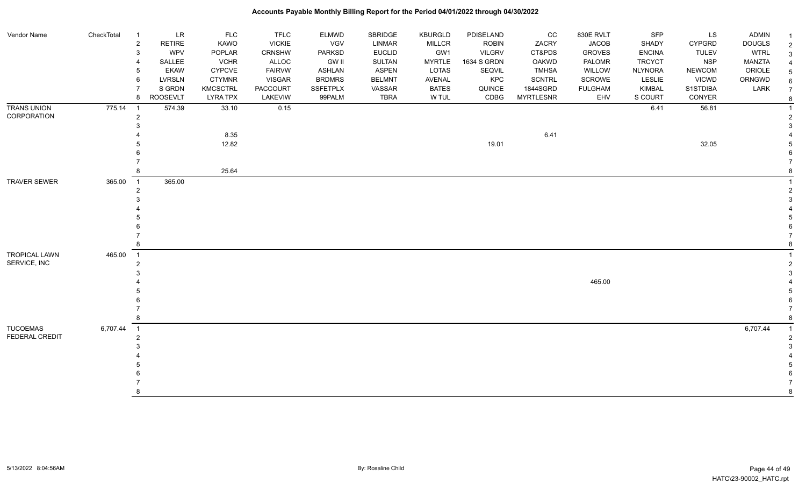| Vendor Name                          | CheckTotal | -1                  | LR              | <b>FLC</b>      | <b>TFLC</b>     | <b>ELMWD</b>    | SBRIDGE       | <b>KBURGLD</b> | PDISELAND     | cc               | 830E RVLT      | <b>SFP</b>     | LS            | <b>ADMIN</b>  |                |
|--------------------------------------|------------|---------------------|-----------------|-----------------|-----------------|-----------------|---------------|----------------|---------------|------------------|----------------|----------------|---------------|---------------|----------------|
|                                      |            | $\overline{c}$      | RETIRE          | KAWO            | <b>VICKIE</b>   | <b>VGV</b>      | LINMAR        | <b>MILLCR</b>  | <b>ROBIN</b>  | ZACRY            | <b>JACOB</b>   | SHADY          | <b>CYPGRD</b> | <b>DOUGLS</b> | $\overline{2}$ |
|                                      |            | 3                   | <b>WPV</b>      | POPLAR          | CRNSHW          | <b>PARKSD</b>   | <b>EUCLID</b> | GW1            | <b>VILGRV</b> | CT&PDS           | <b>GROVES</b>  | <b>ENCINA</b>  | <b>TULEV</b>  | <b>WTRL</b>   | $\mathbf{3}$   |
|                                      |            |                     | SALLEE          | <b>VCHR</b>     | ALLOC           | <b>GW II</b>    | <b>SULTAN</b> | <b>MYRTLE</b>  | 1634 S GRDN   | <b>OAKWD</b>     | PALOMR         | <b>TRCYCT</b>  | <b>NSP</b>    | MANZTA        |                |
|                                      |            | 5                   | <b>EKAW</b>     | CYPCVE          | <b>FAIRVW</b>   | <b>ASHLAN</b>   | <b>ASPEN</b>  | <b>LOTAS</b>   | SEQVIL        | <b>TMHSA</b>     | WILLOW         | <b>NLYNORA</b> | <b>NEWCOM</b> | ORIOLE        | 5              |
|                                      |            | 6                   | LVRSLN          | <b>CTYMNR</b>   | <b>VISGAR</b>   | <b>BRDMRS</b>   | <b>BELMNT</b> | <b>AVENAL</b>  | KPC           | <b>SCNTRL</b>    | SCROWE         | LESLIE         | VICWD         | ORNGWD        | 6              |
|                                      |            |                     | S GRDN          | <b>KMCSCTRL</b> | <b>PACCOURT</b> | <b>SSFETPLX</b> | VASSAR        | <b>BATES</b>   | QUINCE        | 1844SGRD         | <b>FULGHAM</b> | <b>KIMBAL</b>  | S1STDIBA      | LARK          | $\overline{7}$ |
|                                      |            | 8                   | <b>ROOSEVLT</b> | <b>LYRA TPX</b> | LAKEVIW         | 99PALM          | <b>TBRA</b>   | W TUL          | CDBG          | <b>MYRTLESNR</b> | EHV            | S COURT        | CONYER        |               | 8              |
| <b>TRANS UNION</b><br>CORPORATION    | 775.14     | - 1                 | 574.39          | 33.10           | 0.15            |                 |               |                |               |                  |                | 6.41           | 56.81         |               |                |
|                                      |            | $\overline{2}$      |                 |                 |                 |                 |               |                |               |                  |                |                |               |               | 2              |
|                                      |            |                     |                 | 8.35            |                 |                 |               |                |               | 6.41             |                |                |               |               |                |
|                                      |            |                     |                 | 12.82           |                 |                 |               |                | 19.01         |                  |                |                | 32.05         |               |                |
|                                      |            |                     |                 |                 |                 |                 |               |                |               |                  |                |                |               |               |                |
|                                      |            |                     |                 |                 |                 |                 |               |                |               |                  |                |                |               |               |                |
|                                      |            |                     |                 | 25.64           |                 |                 |               |                |               |                  |                |                |               |               |                |
| <b>TRAVER SEWER</b>                  | 365.00     | $\overline{1}$      | 365.00          |                 |                 |                 |               |                |               |                  |                |                |               |               |                |
|                                      |            | $\overline{2}$      |                 |                 |                 |                 |               |                |               |                  |                |                |               |               |                |
|                                      |            |                     |                 |                 |                 |                 |               |                |               |                  |                |                |               |               |                |
|                                      |            |                     |                 |                 |                 |                 |               |                |               |                  |                |                |               |               |                |
|                                      |            |                     |                 |                 |                 |                 |               |                |               |                  |                |                |               |               |                |
|                                      |            |                     |                 |                 |                 |                 |               |                |               |                  |                |                |               |               |                |
|                                      |            | 8                   |                 |                 |                 |                 |               |                |               |                  |                |                |               |               | 8              |
|                                      |            |                     |                 |                 |                 |                 |               |                |               |                  |                |                |               |               |                |
| <b>TROPICAL LAWN</b><br>SERVICE, INC | 465.00     | $\overline{1}$<br>2 |                 |                 |                 |                 |               |                |               |                  |                |                |               |               | 2              |
|                                      |            |                     |                 |                 |                 |                 |               |                |               |                  |                |                |               |               |                |
|                                      |            |                     |                 |                 |                 |                 |               |                |               |                  | 465.00         |                |               |               |                |
|                                      |            |                     |                 |                 |                 |                 |               |                |               |                  |                |                |               |               |                |
|                                      |            |                     |                 |                 |                 |                 |               |                |               |                  |                |                |               |               |                |
|                                      |            |                     |                 |                 |                 |                 |               |                |               |                  |                |                |               |               | $\overline{7}$ |
|                                      |            | 8                   |                 |                 |                 |                 |               |                |               |                  |                |                |               |               | -8             |
| <b>TUCOEMAS</b>                      | 6,707.44   | $\overline{1}$      |                 |                 |                 |                 |               |                |               |                  |                |                |               | 6,707.44      | $\overline{1}$ |
| FEDERAL CREDIT                       |            | $\overline{2}$      |                 |                 |                 |                 |               |                |               |                  |                |                |               |               | $\overline{2}$ |
|                                      |            |                     |                 |                 |                 |                 |               |                |               |                  |                |                |               |               |                |
|                                      |            |                     |                 |                 |                 |                 |               |                |               |                  |                |                |               |               |                |
|                                      |            |                     |                 |                 |                 |                 |               |                |               |                  |                |                |               |               |                |
|                                      |            |                     |                 |                 |                 |                 |               |                |               |                  |                |                |               |               |                |
|                                      |            |                     |                 |                 |                 |                 |               |                |               |                  |                |                |               |               |                |
|                                      |            |                     |                 |                 |                 |                 |               |                |               |                  |                |                |               |               | $\mathsf{R}$   |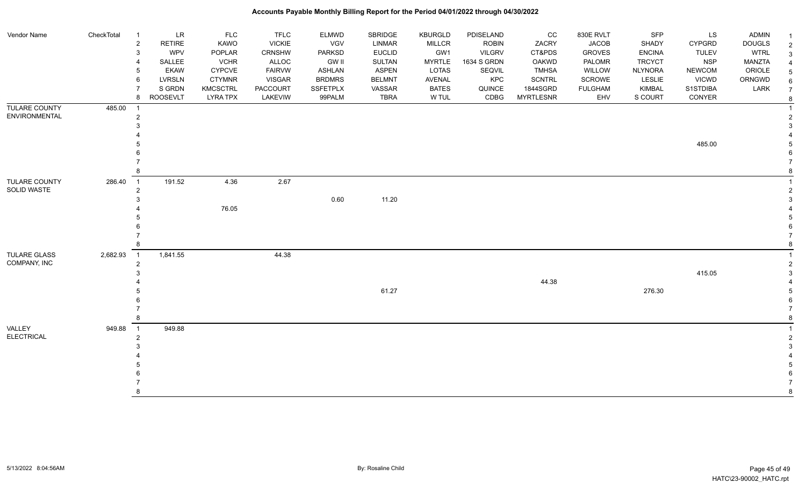| Vendor Name                         | CheckTotal | $\overline{1}$             | LR              | <b>FLC</b>      | <b>TFLC</b>     | <b>ELMWD</b>    | SBRIDGE       | <b>KBURGLD</b> | PDISELAND     | CC               | 830E RVLT      | SFP            | LS            | <b>ADMIN</b>  |                |
|-------------------------------------|------------|----------------------------|-----------------|-----------------|-----------------|-----------------|---------------|----------------|---------------|------------------|----------------|----------------|---------------|---------------|----------------|
|                                     |            | $\overline{2}$             | <b>RETIRE</b>   | KAWO            | <b>VICKIE</b>   | VGV             | LINMAR        | <b>MILLCR</b>  | <b>ROBIN</b>  | ZACRY            | <b>JACOB</b>   | SHADY          | <b>CYPGRD</b> | <b>DOUGLS</b> | $\overline{2}$ |
|                                     |            | 3                          | <b>WPV</b>      | POPLAR          | <b>CRNSHW</b>   | <b>PARKSD</b>   | <b>EUCLID</b> | GW1            | <b>VILGRV</b> | CT&PDS           | <b>GROVES</b>  | <b>ENCINA</b>  | <b>TULEV</b>  | <b>WTRL</b>   | 3              |
|                                     |            | 4                          | SALLEE          | <b>VCHR</b>     | ALLOC           | <b>GW II</b>    | SULTAN        | <b>MYRTLE</b>  | 1634 S GRDN   | OAKWD            | PALOMR         | <b>TRCYCT</b>  | <b>NSP</b>    | MANZTA        |                |
|                                     |            | 5                          | <b>EKAW</b>     | <b>CYPCVE</b>   | <b>FAIRVW</b>   | <b>ASHLAN</b>   | <b>ASPEN</b>  | <b>LOTAS</b>   | SEQVIL        | <b>TMHSA</b>     | WILLOW         | <b>NLYNORA</b> | NEWCOM        | ORIOLE        |                |
|                                     |            | 6                          | <b>LVRSLN</b>   | <b>CTYMNR</b>   | <b>VISGAR</b>   | <b>BRDMRS</b>   | <b>BELMNT</b> | <b>AVENAL</b>  | KPC           | <b>SCNTRL</b>    | SCROWE         | LESLIE         | <b>VICWD</b>  | ORNGWD        |                |
|                                     |            | $\overline{7}$             | S GRDN          | <b>KMCSCTRL</b> | <b>PACCOURT</b> | <b>SSFETPLX</b> | VASSAR        | <b>BATES</b>   | QUINCE        | 1844SGRD         | <b>FULGHAM</b> | <b>KIMBAL</b>  | S1STDIBA      | LARK          |                |
|                                     |            | 8                          | <b>ROOSEVLT</b> | <b>LYRA TPX</b> | LAKEVIW         | 99PALM          | <b>TBRA</b>   | W TUL          | CDBG          | <b>MYRTLESNR</b> | EHV            | S COURT        | CONYER        |               | 8              |
| TULARE COUNTY                       | 485.00     | $\overline{1}$             |                 |                 |                 |                 |               |                |               |                  |                |                |               |               |                |
| ENVIRONMENTAL                       |            | $\overline{2}$             |                 |                 |                 |                 |               |                |               |                  |                |                |               |               |                |
|                                     |            | 3                          |                 |                 |                 |                 |               |                |               |                  |                |                |               |               |                |
|                                     |            |                            |                 |                 |                 |                 |               |                |               |                  |                |                |               |               |                |
|                                     |            |                            |                 |                 |                 |                 |               |                |               |                  |                |                | 485.00        |               |                |
|                                     |            |                            |                 |                 |                 |                 |               |                |               |                  |                |                |               |               |                |
|                                     |            |                            |                 |                 |                 |                 |               |                |               |                  |                |                |               |               |                |
|                                     |            | 8                          |                 |                 |                 |                 |               |                |               |                  |                |                |               |               |                |
| <b>TULARE COUNTY</b><br>SOLID WASTE | 286.40     | $\overline{1}$             | 191.52          | 4.36            | 2.67            |                 |               |                |               |                  |                |                |               |               |                |
|                                     |            | $\overline{2}$             |                 |                 |                 |                 |               |                |               |                  |                |                |               |               |                |
|                                     |            | 3                          |                 |                 |                 | 0.60            | 11.20         |                |               |                  |                |                |               |               |                |
|                                     |            |                            |                 | 76.05           |                 |                 |               |                |               |                  |                |                |               |               |                |
|                                     |            |                            |                 |                 |                 |                 |               |                |               |                  |                |                |               |               |                |
|                                     |            |                            |                 |                 |                 |                 |               |                |               |                  |                |                |               |               |                |
|                                     |            |                            |                 |                 |                 |                 |               |                |               |                  |                |                |               |               |                |
|                                     |            | 8                          |                 |                 |                 |                 |               |                |               |                  |                |                |               |               |                |
| TULARE GLASS                        | 2,682.93   | $\overline{\phantom{0}}$ 1 | 1,841.55        |                 | 44.38           |                 |               |                |               |                  |                |                |               |               |                |
| COMPANY, INC                        |            | $\overline{2}$             |                 |                 |                 |                 |               |                |               |                  |                |                |               |               |                |
|                                     |            | 3                          |                 |                 |                 |                 |               |                |               |                  |                |                | 415.05        |               |                |
|                                     |            |                            |                 |                 |                 |                 |               |                |               | 44.38            |                |                |               |               |                |
|                                     |            |                            |                 |                 |                 |                 | 61.27         |                |               |                  |                | 276.30         |               |               |                |
|                                     |            |                            |                 |                 |                 |                 |               |                |               |                  |                |                |               |               |                |
|                                     |            |                            |                 |                 |                 |                 |               |                |               |                  |                |                |               |               |                |
|                                     |            | 8                          |                 |                 |                 |                 |               |                |               |                  |                |                |               |               |                |
| <b>VALLEY</b>                       | 949.88     | $\overline{\phantom{0}}$ 1 | 949.88          |                 |                 |                 |               |                |               |                  |                |                |               |               |                |
| <b>ELECTRICAL</b>                   |            | $\overline{2}$             |                 |                 |                 |                 |               |                |               |                  |                |                |               |               |                |
|                                     |            |                            |                 |                 |                 |                 |               |                |               |                  |                |                |               |               |                |
|                                     |            |                            |                 |                 |                 |                 |               |                |               |                  |                |                |               |               |                |
|                                     |            |                            |                 |                 |                 |                 |               |                |               |                  |                |                |               |               |                |
|                                     |            |                            |                 |                 |                 |                 |               |                |               |                  |                |                |               |               |                |
|                                     |            |                            |                 |                 |                 |                 |               |                |               |                  |                |                |               |               |                |
|                                     |            | 8                          |                 |                 |                 |                 |               |                |               |                  |                |                |               |               |                |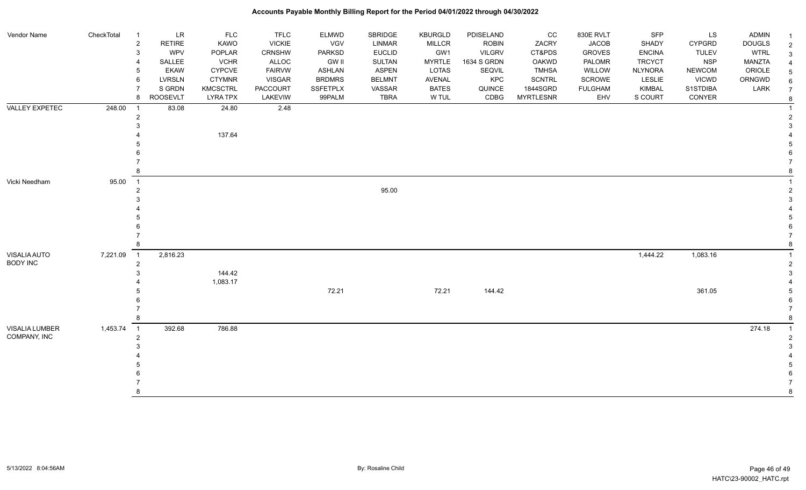| Vendor Name           | CheckTotal | $\overline{1}$                   | LR              | FLC             | <b>TFLC</b>   | <b>ELMWD</b>    | SBRIDGE       | <b>KBURGLD</b> | PDISELAND     | $_{\rm CC}$      | 830E RVLT      | SFP            | LS            | <b>ADMIN</b>  |                                  |
|-----------------------|------------|----------------------------------|-----------------|-----------------|---------------|-----------------|---------------|----------------|---------------|------------------|----------------|----------------|---------------|---------------|----------------------------------|
|                       |            | $\sqrt{2}$                       | RETIRE          | KAWO            | <b>VICKIE</b> | <b>VGV</b>      | LINMAR        | MILLCR         | <b>ROBIN</b>  | ZACRY            | <b>JACOB</b>   | SHADY          | <b>CYPGRD</b> | <b>DOUGLS</b> | $\overline{1}$<br>$\overline{2}$ |
|                       |            | 3                                | <b>WPV</b>      | POPLAR          | CRNSHW        | <b>PARKSD</b>   | <b>EUCLID</b> | GW1            | <b>VILGRV</b> | CT&PDS           | <b>GROVES</b>  | <b>ENCINA</b>  | <b>TULEV</b>  | <b>WTRL</b>   | 3                                |
|                       |            | $\overline{4}$                   | SALLEE          | <b>VCHR</b>     | ALLOC         | <b>GW II</b>    | SULTAN        | <b>MYRTLE</b>  | 1634 S GRDN   | OAKWD            | PALOMR         | <b>TRCYCT</b>  | <b>NSP</b>    | <b>MANZTA</b> | $\overline{4}$                   |
|                       |            | 5                                | <b>EKAW</b>     | <b>CYPCVE</b>   | <b>FAIRVW</b> | <b>ASHLAN</b>   | <b>ASPEN</b>  | LOTAS          | SEQVIL        | <b>TMHSA</b>     | WILLOW         | <b>NLYNORA</b> | <b>NEWCOM</b> | ORIOLE        | 5                                |
|                       |            | 6                                | <b>LVRSLN</b>   | <b>CTYMNR</b>   | <b>VISGAR</b> | <b>BRDMRS</b>   | <b>BELMNT</b> | AVENAL         | KPC           | <b>SCNTRL</b>    | SCROWE         | LESLIE         | <b>VICWD</b>  | ORNGWD        | 6                                |
|                       |            |                                  | S GRDN          | <b>KMCSCTRL</b> | PACCOURT      | <b>SSFETPLX</b> | VASSAR        | <b>BATES</b>   | QUINCE        | 1844SGRD         | <b>FULGHAM</b> | <b>KIMBAL</b>  | S1STDIBA      | LARK          | $\overline{7}$                   |
|                       |            | 8                                | <b>ROOSEVLT</b> | <b>LYRA TPX</b> | LAKEVIW       | 99PALM          | <b>TBRA</b>   | W TUL          | CDBG          | <b>MYRTLESNR</b> | EHV            | S COURT        | CONYER        |               | $\bf 8$                          |
| <b>VALLEY EXPETEC</b> | 248.00     | $\overline{1}$                   | 83.08           | 24.80           | 2.48          |                 |               |                |               |                  |                |                |               |               | $\overline{1}$                   |
|                       |            | $\overline{2}$                   |                 |                 |               |                 |               |                |               |                  |                |                |               |               | $\overline{2}$                   |
|                       |            |                                  |                 |                 |               |                 |               |                |               |                  |                |                |               |               | 3                                |
|                       |            |                                  |                 | 137.64          |               |                 |               |                |               |                  |                |                |               |               |                                  |
|                       |            |                                  |                 |                 |               |                 |               |                |               |                  |                |                |               |               |                                  |
|                       |            |                                  |                 |                 |               |                 |               |                |               |                  |                |                |               |               |                                  |
|                       |            |                                  |                 |                 |               |                 |               |                |               |                  |                |                |               |               |                                  |
|                       |            | 8                                |                 |                 |               |                 |               |                |               |                  |                |                |               |               |                                  |
| Vicki Needham         | 95.00      | $\overline{1}$<br>$\overline{2}$ |                 |                 |               |                 | 95.00         |                |               |                  |                |                |               |               | $\overline{2}$                   |
|                       |            |                                  |                 |                 |               |                 |               |                |               |                  |                |                |               |               | 3                                |
|                       |            |                                  |                 |                 |               |                 |               |                |               |                  |                |                |               |               |                                  |
|                       |            |                                  |                 |                 |               |                 |               |                |               |                  |                |                |               |               |                                  |
|                       |            |                                  |                 |                 |               |                 |               |                |               |                  |                |                |               |               |                                  |
|                       |            |                                  |                 |                 |               |                 |               |                |               |                  |                |                |               |               | $\overline{7}$                   |
|                       |            |                                  |                 |                 |               |                 |               |                |               |                  |                |                |               |               | 8                                |
| VISALIA AUTO          | 7,221.09   | $\overline{1}$                   | 2,816.23        |                 |               |                 |               |                |               |                  |                | 1,444.22       | 1,083.16      |               | $\overline{1}$                   |
| <b>BODY INC</b>       |            | $\overline{2}$                   |                 |                 |               |                 |               |                |               |                  |                |                |               |               | $\overline{2}$                   |
|                       |            |                                  |                 | 144.42          |               |                 |               |                |               |                  |                |                |               |               | 3                                |
|                       |            |                                  |                 | 1,083.17        |               |                 |               |                |               |                  |                |                |               |               |                                  |
|                       |            |                                  |                 |                 |               | 72.21           |               | 72.21          | 144.42        |                  |                |                | 361.05        |               |                                  |
|                       |            |                                  |                 |                 |               |                 |               |                |               |                  |                |                |               |               |                                  |
|                       |            |                                  |                 |                 |               |                 |               |                |               |                  |                |                |               |               |                                  |
|                       |            |                                  |                 |                 |               |                 |               |                |               |                  |                |                |               |               |                                  |
| VISALIA LUMBER        | 1,453.74   | $\overline{1}$                   | 392.68          | 786.88          |               |                 |               |                |               |                  |                |                |               | 274.18        |                                  |
| COMPANY, INC          |            | $\overline{2}$                   |                 |                 |               |                 |               |                |               |                  |                |                |               |               |                                  |
|                       |            |                                  |                 |                 |               |                 |               |                |               |                  |                |                |               |               |                                  |
|                       |            |                                  |                 |                 |               |                 |               |                |               |                  |                |                |               |               |                                  |
|                       |            |                                  |                 |                 |               |                 |               |                |               |                  |                |                |               |               |                                  |
|                       |            |                                  |                 |                 |               |                 |               |                |               |                  |                |                |               |               |                                  |
|                       |            |                                  |                 |                 |               |                 |               |                |               |                  |                |                |               |               | 8                                |
|                       |            |                                  |                 |                 |               |                 |               |                |               |                  |                |                |               |               |                                  |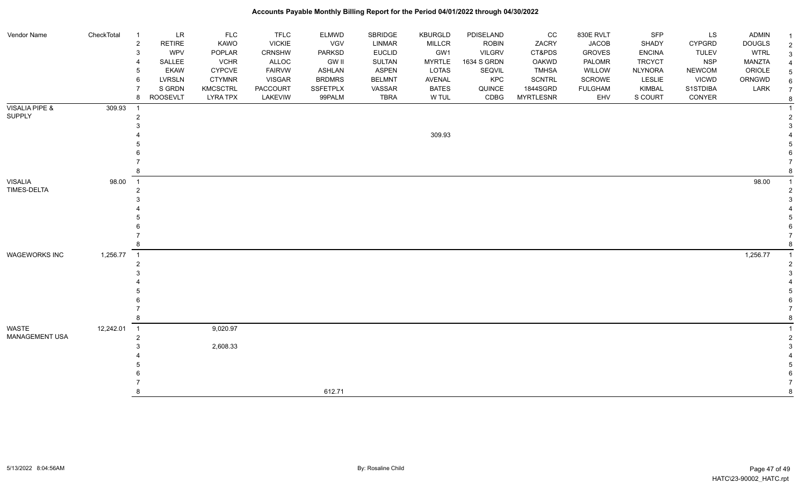| Vendor Name          | CheckTotal | LR<br>- 1                       | <b>FLC</b>      | <b>TFLC</b>     | ELMWD         | SBRIDGE       | <b>KBURGLD</b> | PDISELAND     | CC               | 830E RVLT      | <b>SFP</b>     | LS            | ADMIN         |                |
|----------------------|------------|---------------------------------|-----------------|-----------------|---------------|---------------|----------------|---------------|------------------|----------------|----------------|---------------|---------------|----------------|
|                      |            | <b>RETIRE</b><br>$\overline{c}$ | KAWO            | <b>VICKIE</b>   | VGV           | <b>LINMAR</b> | <b>MILLCR</b>  | <b>ROBIN</b>  | ZACRY            | <b>JACOB</b>   | SHADY          | <b>CYPGRD</b> | <b>DOUGLS</b> | 2              |
|                      |            | WPV<br>3                        | POPLAR          | <b>CRNSHW</b>   | PARKSD        | <b>EUCLID</b> | GW1            | <b>VILGRV</b> | CT&PDS           | <b>GROVES</b>  | <b>ENCINA</b>  | <b>TULEV</b>  | <b>WTRL</b>   |                |
|                      |            | SALLEE                          | <b>VCHR</b>     | ALLOC           | <b>GW II</b>  | <b>SULTAN</b> | <b>MYRTLE</b>  | 1634 S GRDN   | OAKWD            | PALOMR         | <b>TRCYCT</b>  | <b>NSP</b>    | <b>MANZTA</b> |                |
|                      |            | <b>EKAW</b><br>5                | CYPCVE          | <b>FAIRVW</b>   | ASHLAN        | <b>ASPEN</b>  | <b>LOTAS</b>   | SEQVIL        | <b>TMHSA</b>     | WILLOW         | <b>NLYNORA</b> | NEWCOM        | ORIOLE        |                |
|                      |            | <b>LVRSLN</b><br>6              | <b>CTYMNR</b>   | <b>VISGAR</b>   | <b>BRDMRS</b> | <b>BELMNT</b> | AVENAL         | KPC           | SCNTRL           | SCROWE         | <b>LESLIE</b>  | <b>VICWD</b>  | ORNGWD        |                |
|                      |            | S GRDN                          | <b>KMCSCTRL</b> | <b>PACCOURT</b> | SSFETPLX      | VASSAR        | <b>BATES</b>   | QUINCE        | 1844SGRD         | <b>FULGHAM</b> | KIMBAL         | S1STDIBA      | LARK          | $\overline{7}$ |
|                      |            | <b>ROOSEVLT</b><br>8            | <b>LYRA TPX</b> | LAKEVIW         | 99PALM        | <b>TBRA</b>   | W TUL          | CDBG          | <b>MYRTLESNR</b> | EHV            | S COURT        | CONYER        |               |                |
| VISALIA PIPE &       | 309.93     | $\overline{1}$                  |                 |                 |               |               |                |               |                  |                |                |               |               |                |
| <b>SUPPLY</b>        |            | $\overline{2}$                  |                 |                 |               |               |                |               |                  |                |                |               |               |                |
|                      |            |                                 |                 |                 |               |               |                |               |                  |                |                |               |               |                |
|                      |            |                                 |                 |                 |               |               | 309.93         |               |                  |                |                |               |               |                |
|                      |            |                                 |                 |                 |               |               |                |               |                  |                |                |               |               |                |
|                      |            |                                 |                 |                 |               |               |                |               |                  |                |                |               |               |                |
|                      |            |                                 |                 |                 |               |               |                |               |                  |                |                |               |               |                |
|                      |            |                                 |                 |                 |               |               |                |               |                  |                |                |               |               |                |
| VISALIA              | 98.00      | $\overline{1}$                  |                 |                 |               |               |                |               |                  |                |                |               | 98.00         |                |
| TIMES-DELTA          |            | $\overline{2}$                  |                 |                 |               |               |                |               |                  |                |                |               |               |                |
|                      |            |                                 |                 |                 |               |               |                |               |                  |                |                |               |               |                |
|                      |            |                                 |                 |                 |               |               |                |               |                  |                |                |               |               |                |
|                      |            |                                 |                 |                 |               |               |                |               |                  |                |                |               |               |                |
|                      |            |                                 |                 |                 |               |               |                |               |                  |                |                |               |               |                |
|                      |            |                                 |                 |                 |               |               |                |               |                  |                |                |               |               |                |
|                      |            |                                 |                 |                 |               |               |                |               |                  |                |                |               |               |                |
| <b>WAGEWORKS INC</b> | 1,256.77   | $\overline{1}$                  |                 |                 |               |               |                |               |                  |                |                |               | 1,256.77      |                |
|                      |            | 2                               |                 |                 |               |               |                |               |                  |                |                |               |               |                |
|                      |            |                                 |                 |                 |               |               |                |               |                  |                |                |               |               |                |
|                      |            |                                 |                 |                 |               |               |                |               |                  |                |                |               |               |                |
|                      |            |                                 |                 |                 |               |               |                |               |                  |                |                |               |               |                |
|                      |            |                                 |                 |                 |               |               |                |               |                  |                |                |               |               |                |
|                      |            |                                 |                 |                 |               |               |                |               |                  |                |                |               |               |                |
|                      |            |                                 |                 |                 |               |               |                |               |                  |                |                |               |               |                |
| WASTE                | 12,242.01  | $\overline{\phantom{0}}$ 1      | 9,020.97        |                 |               |               |                |               |                  |                |                |               |               |                |
| MANAGEMENT USA       |            | $\overline{2}$                  |                 |                 |               |               |                |               |                  |                |                |               |               |                |
|                      |            |                                 | 2,608.33        |                 |               |               |                |               |                  |                |                |               |               |                |
|                      |            |                                 |                 |                 |               |               |                |               |                  |                |                |               |               |                |
|                      |            |                                 |                 |                 |               |               |                |               |                  |                |                |               |               |                |
|                      |            |                                 |                 |                 |               |               |                |               |                  |                |                |               |               |                |
|                      |            |                                 |                 |                 |               |               |                |               |                  |                |                |               |               |                |
|                      |            | 8                               |                 |                 | 612.71        |               |                |               |                  |                |                |               |               |                |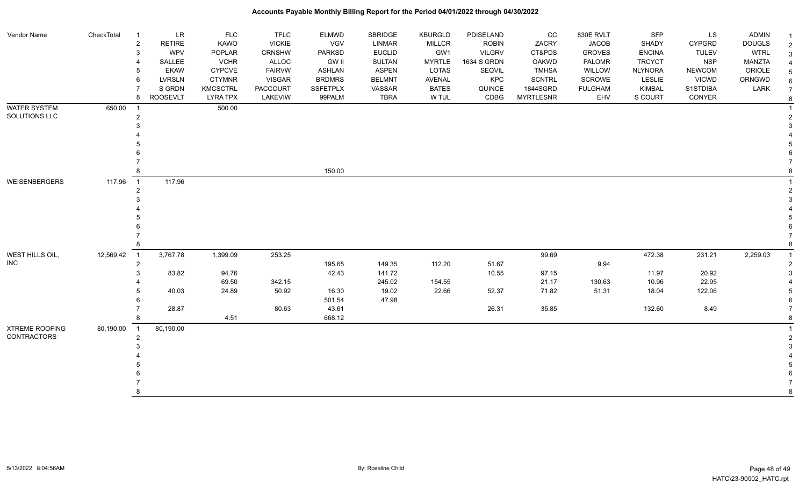| Vendor Name           | CheckTotal | $\overline{1}$ | <b>LR</b>       | <b>FLC</b>      | <b>TFLC</b>   | <b>ELMWD</b>    | <b>SBRIDGE</b> | <b>KBURGLD</b> | PDISELAND     | CC               | 830E RVLT      | <b>SFP</b>     | LS            | <b>ADMIN</b>  |                |
|-----------------------|------------|----------------|-----------------|-----------------|---------------|-----------------|----------------|----------------|---------------|------------------|----------------|----------------|---------------|---------------|----------------|
|                       |            | $\overline{c}$ | <b>RETIRE</b>   | KAWO            | <b>VICKIE</b> | VGV             | LINMAR         | <b>MILLCR</b>  | <b>ROBIN</b>  | ZACRY            | <b>JACOB</b>   | SHADY          | <b>CYPGRD</b> | <b>DOUGLS</b> | $\overline{2}$ |
|                       |            | 3              | <b>WPV</b>      | POPLAR          | CRNSHW        | <b>PARKSD</b>   | <b>EUCLID</b>  | GW1            | <b>VILGRV</b> | CT&PDS           | <b>GROVES</b>  | <b>ENCINA</b>  | <b>TULEV</b>  | <b>WTRL</b>   | 3              |
|                       |            | $\overline{4}$ | SALLEE          | <b>VCHR</b>     | ALLOC         | <b>GW II</b>    | SULTAN         | <b>MYRTLE</b>  | 1634 S GRDN   | OAKWD            | PALOMR         | <b>TRCYCT</b>  | <b>NSP</b>    | MANZTA        |                |
|                       |            | 5              | <b>EKAW</b>     | <b>CYPCVE</b>   | <b>FAIRVW</b> | ASHLAN          | <b>ASPEN</b>   | <b>LOTAS</b>   | SEQVIL        | <b>TMHSA</b>     | WILLOW         | <b>NLYNORA</b> | <b>NEWCOM</b> | ORIOLE        |                |
|                       |            | 6              | <b>LVRSLN</b>   | <b>CTYMNR</b>   | <b>VISGAR</b> | <b>BRDMRS</b>   | <b>BELMNT</b>  | <b>AVENAL</b>  | KPC           | <b>SCNTRL</b>    | <b>SCROWE</b>  | <b>LESLIE</b>  | <b>VICWD</b>  | ORNGWD        |                |
|                       |            | $\overline{7}$ | S GRDN          | <b>KMCSCTRL</b> | PACCOURT      | <b>SSFETPLX</b> | VASSAR         | <b>BATES</b>   | QUINCE        | 1844SGRD         | <b>FULGHAM</b> | <b>KIMBAL</b>  | S1STDIBA      | LARK          |                |
|                       |            | 8              | <b>ROOSEVLT</b> | <b>LYRA TPX</b> | LAKEVIW       | 99PALM          | <b>TBRA</b>    | W TUL          | CDBG          | <b>MYRTLESNR</b> | EHV            | S COURT        | CONYER        |               | 8              |
| <b>WATER SYSTEM</b>   | 650.00     | $\overline{1}$ |                 | 500.00          |               |                 |                |                |               |                  |                |                |               |               |                |
| SOLUTIONS LLC         |            | $\overline{2}$ |                 |                 |               |                 |                |                |               |                  |                |                |               |               |                |
|                       |            | 3              |                 |                 |               |                 |                |                |               |                  |                |                |               |               |                |
|                       |            |                |                 |                 |               |                 |                |                |               |                  |                |                |               |               |                |
|                       |            |                |                 |                 |               |                 |                |                |               |                  |                |                |               |               |                |
|                       |            |                |                 |                 |               |                 |                |                |               |                  |                |                |               |               |                |
|                       |            |                |                 |                 |               |                 |                |                |               |                  |                |                |               |               |                |
|                       |            |                |                 |                 |               | 150.00          |                |                |               |                  |                |                |               |               |                |
| <b>WEISENBERGERS</b>  | 117.96     | $\overline{1}$ | 117.96          |                 |               |                 |                |                |               |                  |                |                |               |               |                |
|                       |            | $\overline{2}$ |                 |                 |               |                 |                |                |               |                  |                |                |               |               |                |
|                       |            |                |                 |                 |               |                 |                |                |               |                  |                |                |               |               |                |
|                       |            |                |                 |                 |               |                 |                |                |               |                  |                |                |               |               |                |
|                       |            |                |                 |                 |               |                 |                |                |               |                  |                |                |               |               |                |
|                       |            |                |                 |                 |               |                 |                |                |               |                  |                |                |               |               |                |
|                       |            |                |                 |                 |               |                 |                |                |               |                  |                |                |               |               |                |
|                       |            | 8              |                 |                 |               |                 |                |                |               |                  |                |                |               |               |                |
| WEST HILLS OIL,       | 12,569.42  | $\overline{1}$ | 3,767.78        | 1,399.09        | 253.25        |                 |                |                |               | 99.69            |                | 472.38         | 231.21        | 2,259.03      |                |
| INC                   |            | $\overline{2}$ |                 |                 |               | 195.65          | 149.35         | 112.20         | 51.67         |                  | 9.94           |                |               |               |                |
|                       |            | 3              | 83.82           | 94.76           |               | 42.43           | 141.72         |                | 10.55         | 97.15            |                | 11.97          | 20.92         |               |                |
|                       |            |                |                 | 69.50           | 342.15        |                 | 245.02         | 154.55         |               | 21.17            | 130.63         | 10.96          | 22.95         |               |                |
|                       |            |                | 40.03           | 24.89           | 50.92         | 16.30           | 19.02          | 22.66          | 52.37         | 71.82            | 51.31          | 18.04          | 122.06        |               |                |
|                       |            |                |                 |                 |               | 501.54          | 47.98          |                |               |                  |                |                |               |               |                |
|                       |            |                | 28.87           |                 | 80.63         | 43.61           |                |                | 26.31         | 35.85            |                | 132.60         | 8.49          |               |                |
|                       |            |                |                 | 4.51            |               | 668.12          |                |                |               |                  |                |                |               |               |                |
| <b>XTREME ROOFING</b> | 80,190.00  | $\overline{1}$ | 80,190.00       |                 |               |                 |                |                |               |                  |                |                |               |               |                |
| <b>CONTRACTORS</b>    |            | $\overline{2}$ |                 |                 |               |                 |                |                |               |                  |                |                |               |               |                |
|                       |            |                |                 |                 |               |                 |                |                |               |                  |                |                |               |               |                |
|                       |            |                |                 |                 |               |                 |                |                |               |                  |                |                |               |               |                |
|                       |            |                |                 |                 |               |                 |                |                |               |                  |                |                |               |               |                |
|                       |            |                |                 |                 |               |                 |                |                |               |                  |                |                |               |               |                |
|                       |            |                |                 |                 |               |                 |                |                |               |                  |                |                |               |               |                |
|                       |            |                |                 |                 |               |                 |                |                |               |                  |                |                |               |               |                |